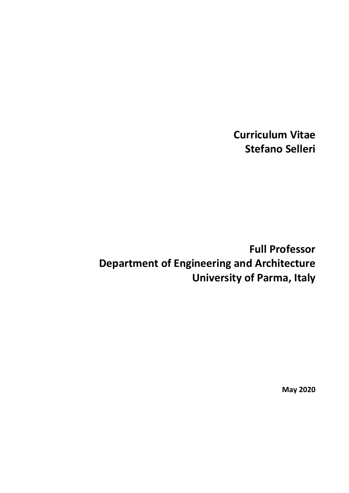**Curriculum Vitae Stefano Selleri**

# **Full Professor Department of Engineering and Architecture University of Parma, Italy**

**May 2020**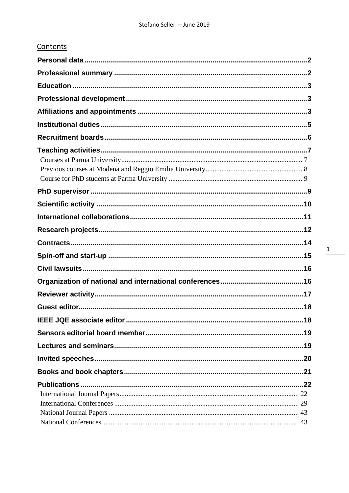|--|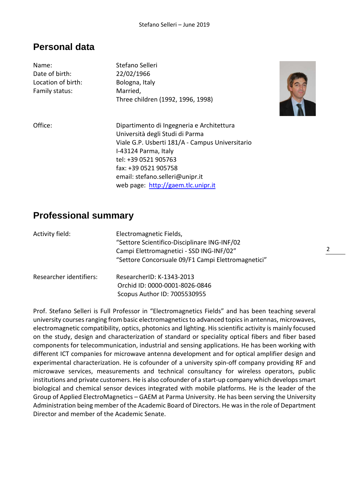### <span id="page-2-0"></span>**Personal data**

| Name:<br>Date of birth:<br>Location of birth:<br>Family status: | Stefano Selleri<br>22/02/1966<br>Bologna, Italy<br>Married,<br>Three children (1992, 1996, 1998)                                                                                                                                           |
|-----------------------------------------------------------------|--------------------------------------------------------------------------------------------------------------------------------------------------------------------------------------------------------------------------------------------|
| Office:                                                         | Dipartimento di Ingegneria e Architettura<br>Università degli Studi di Parma<br>Viale G.P. Usberti 181/A - Campus Universitario<br>I-43124 Parma, Italy<br>tel: +39 0521 905763<br>fax: +39 0521 905758<br>email: stefano.selleri@unipr.it |
|                                                                 | web page: http://gaem.tlc.unipr.it                                                                                                                                                                                                         |



### <span id="page-2-1"></span>**Professional summary**

| Activity field:         | Electromagnetic Fields,<br>"Settore Scientifico-Disciplinare ING-INF/02<br>Campi Elettromagnetici - SSD ING-INF/02"<br>"Settore Concorsuale 09/F1 Campi Elettromagnetici" |
|-------------------------|---------------------------------------------------------------------------------------------------------------------------------------------------------------------------|
| Researcher identifiers: | ResearcherID: K-1343-2013<br>Orchid ID: 0000-0001-8026-0846<br>Scopus Author ID: 7005530955                                                                               |

Prof. Stefano Selleri is Full Professor in "Electromagnetics Fields" and has been teaching several university courses ranging from basic electromagnetics to advanced topics in antennas, microwaves, electromagnetic compatibility, optics, photonics and lighting. His scientific activity is mainly focused on the study, design and characterization of standard or speciality optical fibers and fiber based components for telecommunication, industrial and sensing applications. He has been working with different ICT companies for microwave antenna development and for optical amplifier design and experimental characterization. He is cofounder of a university spin-off company providing RF and microwave services, measurements and technical consultancy for wireless operators, public institutions and private customers. He is also cofounder of a start-up company which develops smart biological and chemical sensor devices integrated with mobile platforms. He is the leader of the Group of Applied ElectroMagnetics – GAEM at Parma University. He has been serving the University Administration being member of the Academic Board of Directors. He was in the role of Department Director and member of the Academic Senate.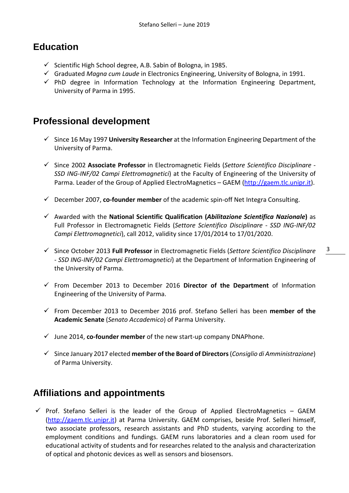### <span id="page-3-0"></span>**Education**

- $\checkmark$  Scientific High School degree, A.B. Sabin of Bologna, in 1985.
- Graduated *Magna cum Laude* in Electronics Engineering, University of Bologna, in 1991.
- $\checkmark$  PhD degree in Information Technology at the Information Engineering Department, University of Parma in 1995.

### <span id="page-3-1"></span>**Professional development**

- Since 16 May 1997 **University Researcher** at the Information Engineering Department of the University of Parma.
- Since 2002 **Associate Professor** in Electromagnetic Fields (*Settore Scientifico Disciplinare - SSD ING-INF/02 Campi Elettromagnetici*) at the Faculty of Engineering of the University of Parma. Leader of the Group of Applied ElectroMagnetics – GAEM [\(http://gaem.tlc.unipr.it\)](http://gaem.tlc.unipr.it/).
- December 2007, **co-founder member** of the academic spin-off Net Integra Consulting.
- Awarded with the **National Scientific Qualification (***Abilitazione Scientifica Nazionale***)** as Full Professor in Electromagnetic Fields (*Settore Scientifico Disciplinare - SSD ING-INF/02 Campi Elettromagnetici*), call 2012, validity since 17/01/2014 to 17/01/2020.
- Since October 2013 **Full Professor** in Electromagnetic Fields (*Settore Scientifico Disciplinare - SSD ING-INF/02 Campi Elettromagnetici*) at the Department of Information Engineering of the University of Parma.
- $\checkmark$  From December 2013 to December 2016 **Director of the Department** of Information Engineering of the University of Parma.
- From December 2013 to December 2016 prof. Stefano Selleri has been **member of the Academic Senate** (*Senato Accademico*) of Parma University.
- $\checkmark$  June 2014, **co-founder member** of the new start-up company DNAPhone.
- Since January 2017 elected **member of the Board of Directors**(*Consiglio di Amministrazione*) of Parma University.

### <span id="page-3-2"></span>**Affiliations and appointments**

 $\checkmark$  Prof. Stefano Selleri is the leader of the Group of Applied ElectroMagnetics – GAEM [\(http://gaem.tlc.unipr.it\)](http://gaem.tlc.unipr.it/) at Parma University. GAEM comprises, beside Prof. Selleri himself, two associate professors, research assistants and PhD students, varying according to the employment conditions and fundings. GAEM runs laboratories and a clean room used for educational activity of students and for researches related to the analysis and characterization of optical and photonic devices as well as sensors and biosensors.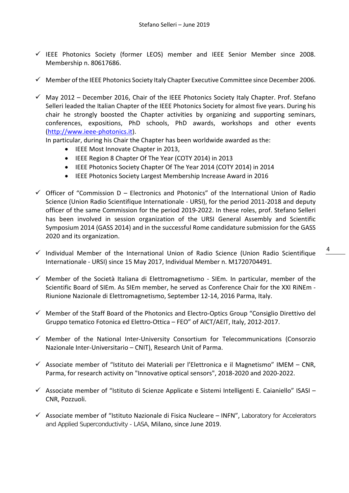- $\checkmark$  IEEE Photonics Society (former LEOS) member and IEEE Senior Member since 2008. Membership n. 80617686.
- $\checkmark$  Member of the IEEE Photonics Society Italy Chapter Executive Committee since December 2006.
- $\checkmark$  May 2012 December 2016, Chair of the IEEE Photonics Society Italy Chapter. Prof. Stefano Selleri leaded the Italian Chapter of the IEEE Photonics Society for almost five years. During his chair he strongly boosted the Chapter activities by organizing and supporting seminars, conferences, expositions, PhD schools, PhD awards, workshops and other events [\(http://www.ieee-photonics.it\)](http://www.ieee-photonics.it/).

In particular, during his Chair the Chapter has been worldwide awarded as the:

- IEEE Most Innovate Chapter in 2013,
- IEEE Region 8 Chapter Of The Year (COTY 2014) in 2013
- IEEE Photonics Society Chapter Of The Year 2014 (COTY 2014) in 2014
- IEEE Photonics Society Largest Membership Increase Award in 2016
- $\checkmark$  Officer of "Commission D Electronics and Photonics" of the International Union of Radio Science (Union Radio Scientifique Internationale - URSI), for the period 2011-2018 and deputy officer of the same Commission for the period 2019-2022. In these roles, prof. Stefano Selleri has been involved in session organization of the URSI General Assembly and Scientific Symposium 2014 (GASS 2014) and in the successful Rome candidature submission for the GASS 2020 and its organization.
- $\checkmark$  Individual Member of the International Union of Radio Science (Union Radio Scientifique Internationale - URSI) since 15 May 2017, Individual Member n. M1720704491.
- $\checkmark$  Member of the Società Italiana di Elettromagnetismo SIEm. In particular, member of the Scientific Board of SIEm. As SIEm member, he served as Conference Chair for the XXI RiNEm - Riunione Nazionale di Elettromagnetismo, September 12-14, 2016 Parma, Italy.
- $\checkmark$  Member of the Staff Board of the Photonics and Electro-Optics Group "Consiglio Direttivo del Gruppo tematico Fotonica ed Elettro-Ottica – FEO" of AICT/AEIT, Italy, 2012-2017.
- $\checkmark$  Member of the National Inter-University Consortium for Telecommunications (Consorzio Nazionale Inter-Universitario – CNIT), Research Unit of Parma.
- $\checkmark$  Associate member of "Istituto dei Materiali per l'Elettronica e il Magnetismo" IMEM CNR, Parma, for research activity on "Innovative optical sensors", 2018-2020 and 2020-2022.
- $\checkmark$  Associate member of "Istituto di Scienze Applicate e Sistemi Intelligenti E. Caianiello" ISASI CNR, Pozzuoli.
- $\checkmark$  Associate member of "Istituto Nazionale di Fisica Nucleare INFN", Laboratory for Accelerators and Applied Superconductivity - LASA, Milano, since June 2019.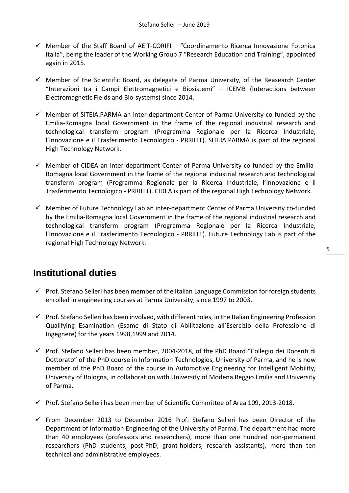- $\checkmark$  Member of the Staff Board of AEIT-CORIFI "Coordinamento Ricerca Innovazione Fotonica Italia", being the leader of the Working Group 7 "Research Education and Training", appointed again in 2015.
- $\checkmark$  Member of the Scientific Board, as delegate of Parma University, of the Reasearch Center "Interazioni tra i Campi Elettromagnetici e Biosistemi" – ICEMB (Interactions between Electromagnetic Fields and Bio-systems) since 2014.
- $\checkmark$  Member of SITEIA.PARMA an inter-department Center of Parma University co-funded by the Emilia-Romagna local Government in the frame of the regional industrial research and technological transferm program (Programma Regionale per la Ricerca Industriale, l'Innovazione e il Trasferimento Tecnologico - PRRIITT). SITEIA.PARMA is part of the regional High Technology Network.
- $\checkmark$  Member of CIDEA an inter-department Center of Parma University co-funded by the Emilia-Romagna local Government in the frame of the regional industrial research and technological transferm program (Programma Regionale per la Ricerca Industriale, l'Innovazione e il Trasferimento Tecnologico - PRRIITT). CIDEA is part of the regional High Technology Network.
- $\checkmark$  Member of Future Technology Lab an inter-department Center of Parma University co-funded by the Emilia-Romagna local Government in the frame of the regional industrial research and technological transferm program (Programma Regionale per la Ricerca Industriale, l'Innovazione e il Trasferimento Tecnologico - PRRIITT). Future Technology Lab is part of the regional High Technology Network.

### <span id="page-5-0"></span>**Institutional duties**

- $\checkmark$  Prof. Stefano Selleri has been member of the Italian Language Commission for foreign students enrolled in engineering courses at Parma University, since 1997 to 2003.
- $\checkmark$  Prof. Stefano Selleri has been involved, with different roles, in the Italian Engineering Profession Qualifying Esamination (Esame di Stato di Abilitazione all'Esercizio della Professione di Ingegnere) for the years 1998,1999 and 2014.
- $\checkmark$  Prof. Stefano Selleri has been member, 2004-2018, of the PhD Board "Collegio dei Docenti di Dottorato" of the PhD course in Information Technologies, University of Parma, and he is now member of the PhD Board of the course in Automotive Engineering for Intelligent Mobility, University of Bologna, in collaboration with University of Modena Reggio Emilia and University of Parma.
- $\checkmark$  Prof. Stefano Selleri has been member of Scientific Committee of Area 109, 2013-2018.
- $\checkmark$  From December 2013 to December 2016 Prof. Stefano Selleri has been Director of the Department of Information Engineering of the University of Parma. The department had more than 40 employees (professors and researchers), more than one hundred non-permanent researchers (PhD students, post-PhD, grant-holders, research assistants), more than ten technical and administrative employees.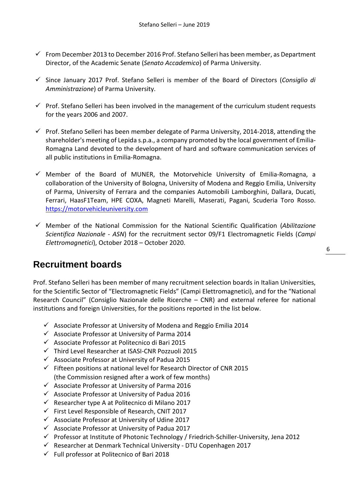- $\checkmark$  From December 2013 to December 2016 Prof. Stefano Selleri has been member, as Department Director, of the Academic Senate (*Senato Accademico*) of Parma University.
- Since January 2017 Prof. Stefano Selleri is member of the Board of Directors (*Consiglio di Amministrazione*) of Parma University.
- $\checkmark$  Prof. Stefano Selleri has been involved in the management of the curriculum student requests for the years 2006 and 2007.
- $\checkmark$  Prof. Stefano Selleri has been member delegate of Parma University, 2014-2018, attending the shareholder's meeting of Lepida s.p.a., a company promoted by the local government of Emilia-Romagna Land devoted to the development of hard and software communication services of all public institutions in Emilia-Romagna.
- $\checkmark$  Member of the Board of MUNER, the Motorvehicle University of Emilia-Romagna, a collaboration of the University of Bologna, University of Modena and Reggio Emilia, University of Parma, University of Ferrara and the companies Automobili Lamborghini, Dallara, Ducati, Ferrari, HaasF1Team, HPE COXA, Magneti Marelli, Maserati, Pagani, Scuderia Toro Rosso. [https://motorvehicleuniversity.com](https://motorvehicleuniversity.com/)
- Member of the National Commission for the National Scientific Qualification (*Abilitazione Scientifica Nazionale - ASN*) for the recruitment sector 09/F1 Electromagnetic Fields (*Campi Elettromagnetici*), October 2018 – October 2020.

### <span id="page-6-0"></span>**Recruitment boards**

Prof. Stefano Selleri has been member of many recruitment selection boards in Italian Universities, for the Scientific Sector of "Electromagnetic Fields" (Campi Elettromagnetici), and for the "National Research Council" (Consiglio Nazionale delle Ricerche – CNR) and external referee for national institutions and foreign Universities, for the positions reported in the list below.

- $\checkmark$  Associate Professor at University of Modena and Reggio Emilia 2014
- $\checkmark$  Associate Professor at University of Parma 2014
- $\checkmark$  Associate Professor at Politecnico di Bari 2015
- Third Level Researcher at ISASI-CNR Pozzuoli 2015
- $\checkmark$  Associate Professor at University of Padua 2015
- $\checkmark$  Fifteen positions at national level for Research Director of CNR 2015 (the Commission resigned after a work of few months)
- $\checkmark$  Associate Professor at University of Parma 2016
- $\checkmark$  Associate Professor at University of Padua 2016
- $\checkmark$  Researcher type A at Politecnico di Milano 2017
- $\checkmark$  First Level Responsible of Research, CNIT 2017
- $\checkmark$  Associate Professor at University of Udine 2017
- $\checkmark$  Associate Professor at University of Padua 2017
- $\checkmark$  Professor at Institute of Photonic Technology / Friedrich-Schiller-University, Jena 2012
- $\checkmark$  Researcher at Denmark Technical University DTU Copenhagen 2017
- $\checkmark$  Full professor at Politecnico of Bari 2018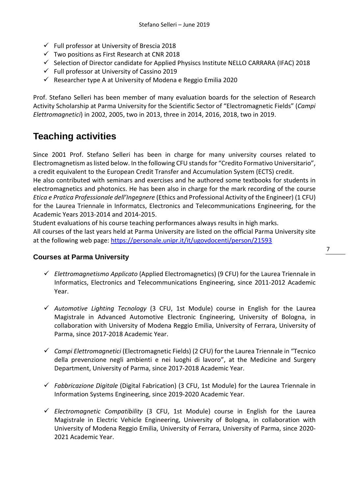- $\checkmark$  Full professor at University of Brescia 2018
- $\checkmark$  Two positions as First Research at CNR 2018
- $\checkmark$  Selection of Director candidate for Applied Physiscs Institute NELLO CARRARA (IFAC) 2018
- $\checkmark$  Full professor at University of Cassino 2019
- $\checkmark$  Researcher type A at University of Modena e Reggio Emilia 2020

Prof. Stefano Selleri has been member of many evaluation boards for the selection of Research Activity Scholarship at Parma University for the Scientific Sector of "Electromagnetic Fields" (*Campi Elettromagnetici*) in 2002, 2005, two in 2013, three in 2014, 2016, 2018, two in 2019.

### <span id="page-7-0"></span>**Teaching activities**

Since 2001 Prof. Stefano Selleri has been in charge for many university courses related to Electromagnetism as listed below. In the following CFU stands for "Credito Formativo Universitario", a credit equivalent to the European Credit Transfer and Accumulation System (ECTS) credit.

He also contributed with seminars and exercises and he authored some textbooks for students in electromagnetics and photonics. He has been also in charge for the mark recording of the course *Etica e Pratica Professionale dell'Ingegnere* (Ethics and Professional Activity of the Engineer) (1 CFU) for the Laurea Triennale in Informatcs, Electronics and Telecommunications Engineering, for the Academic Years 2013-2014 and 2014-2015.

Student evaluations of his course teaching performances always results in high marks. All courses of the last years held at Parma University are listed on the official Parma University site at the following web page:<https://personale.unipr.it/it/ugovdocenti/person/21593>

#### <span id="page-7-1"></span>**Courses at Parma University**

- *Elettromagnetismo Applicato* (Applied Electromagnetics) (9 CFU) for the Laurea Triennale in Informatics, Electronics and Telecommunications Engineering, since 2011-2012 Academic Year.
- *Automotive Lighting Tecnology* (3 CFU, 1st Module) course in English for the Laurea Magistrale in Advanced Automotive Electronic Engineering, University of Bologna, in collaboration with University of Modena Reggio Emilia, University of Ferrara, University of Parma, since 2017-2018 Academic Year.
- *Campi Elettromagnetici* (Electromagnetic Fields) (2 CFU) for the Laurea Triennale in "Tecnico della prevenzione negli ambienti e nei luoghi di lavoro", at the Medicine and Surgery Department, University of Parma, since 2017-2018 Academic Year.
- *Fabbricazione Digitale* (Digital Fabrication) (3 CFU, 1st Module) for the Laurea Triennale in Information Systems Engineering, since 2019-2020 Academic Year.
- *Electromagnetic Compatibility* (3 CFU, 1st Module) course in English for the Laurea Magistrale in Electric Vehicle Engineering, University of Bologna, in collaboration with University of Modena Reggio Emilia, University of Ferrara, University of Parma, since 2020- 2021 Academic Year.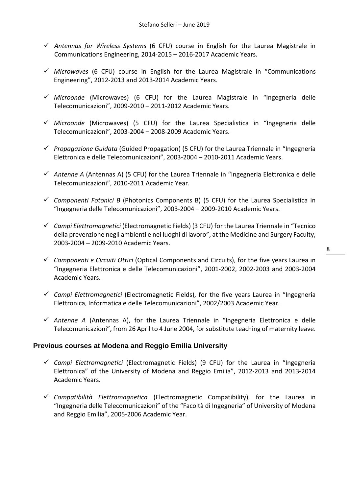- *Antennas for Wireless Systems* (6 CFU) course in English for the Laurea Magistrale in Communications Engineering, 2014-2015 – 2016-2017 Academic Years.
- *Microwaves* (6 CFU) course in English for the Laurea Magistrale in "Communications Engineering", 2012-2013 and 2013-2014 Academic Years.
- *Microonde* (Microwaves) (6 CFU) for the Laurea Magistrale in "Ingegneria delle Telecomunicazioni", 2009-2010 – 2011-2012 Academic Years.
- *Microonde* (Microwaves) (5 CFU) for the Laurea Specialistica in "Ingegneria delle Telecomunicazioni", 2003-2004 – 2008-2009 Academic Years.
- *Propagazione Guidata* (Guided Propagation) (5 CFU) for the Laurea Triennale in "Ingegneria Elettronica e delle Telecomunicazioni", 2003-2004 – 2010-2011 Academic Years.
- *Antenne A* (Antennas A) (5 CFU) for the Laurea Triennale in "Ingegneria Elettronica e delle Telecomunicazioni", 2010-2011 Academic Year.
- *Componenti Fotonici B* (Photonics Components B) (5 CFU) for the Laurea Specialistica in "Ingegneria delle Telecomunicazioni", 2003-2004 – 2009-2010 Academic Years.
- *Campi Elettromagnetici* (Electromagnetic Fields) (3 CFU) for the Laurea Triennale in "Tecnico della prevenzione negli ambienti e nei luoghi di lavoro", at the Medicine and Surgery Faculty, 2003-2004 – 2009-2010 Academic Years.
- *Componenti e Circuiti Ottici* (Optical Components and Circuits), for the five years Laurea in "Ingegneria Elettronica e delle Telecomunicazioni", 2001-2002, 2002-2003 and 2003-2004 Academic Years.
- *Campi Elettromagnetici* (Electromagnetic Fields), for the five years Laurea in "Ingegneria Elettronica, Informatica e delle Telecomunicazioni", 2002/2003 Academic Year.
- $\checkmark$  Antenne A (Antennas A), for the Laurea Triennale in "Ingegneria Elettronica e delle Telecomunicazioni", from 26 April to 4 June 2004, for substitute teaching of maternity leave.

#### <span id="page-8-0"></span>**Previous courses at Modena and Reggio Emilia University**

- *Campi Elettromagnetici* (Electromagnetic Fields) (9 CFU) for the Laurea in "Ingegneria Elettronica" of the University of Modena and Reggio Emilia", 2012-2013 and 2013-2014 Academic Years.
- *Compatibilità Elettromagnetica* (Electromagnetic Compatibility), for the Laurea in "Ingegneria delle Telecomunicazioni" of the "Facoltà di Ingegneria" of University of Modena and Reggio Emilia", 2005-2006 Academic Year.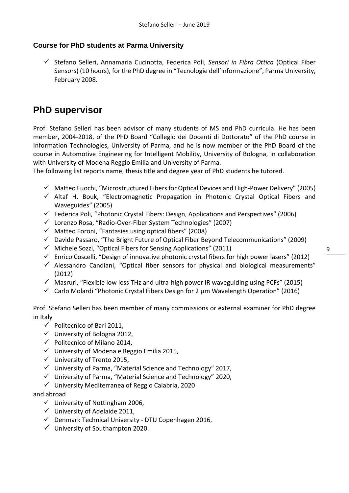#### <span id="page-9-0"></span>**Course for PhD students at Parma University**

 Stefano Selleri, Annamaria Cucinotta, Federica Poli, *Sensori in Fibra Ottica* (Optical Fiber Sensors) (10 hours), for the PhD degree in "Tecnologie dell'Informazione", Parma University, February 2008.

### <span id="page-9-1"></span>**PhD supervisor**

Prof. Stefano Selleri has been advisor of many students of MS and PhD curricula. He has been member, 2004-2018, of the PhD Board "Collegio dei Docenti di Dottorato" of the PhD course in Information Technologies, University of Parma, and he is now member of the PhD Board of the course in Automotive Engineering for Intelligent Mobility, University of Bologna, in collaboration with University of Modena Reggio Emilia and University of Parma.

The following list reports name, thesis title and degree year of PhD students he tutored.

- $\checkmark$  Matteo Fuochi, "Microstructured Fibers for Optical Devices and High-Power Delivery" (2005)
- $\checkmark$  Altaf H. Bouk. "Electromagnetic Propagation in Photonic Crystal Optical Fibers and Waveguides" (2005)
- $\checkmark$  Federica Poli, "Photonic Crystal Fibers: Design, Applications and Perspectives" (2006)
- Lorenzo Rosa, "Radio-Over-Fiber System Technologies" (2007)
- $\checkmark$  Matteo Foroni, "Fantasies using optical fibers" (2008)
- $\checkmark$  Davide Passaro, "The Bright Future of Optical Fiber Beyond Telecommunications" (2009)
- $\checkmark$  Michele Sozzi, "Optical Fibers for Sensing Applications" (2011)
- $\checkmark$  Enrico Coscelli, "Design of innovative photonic crystal fibers for high power lasers" (2012)
- $\checkmark$  Alessandro Candiani, "Optical fiber sensors for physical and biological measurements" (2012)
- $\checkmark$  Masruri, "Flexible low loss THz and ultra-high power IR waveguiding using PCFs" (2015)
- $\checkmark$  Carlo Molardi "Photonic Crystal Fibers Design for 2  $\mu$ m Wavelength Operation" (2016)

Prof. Stefano Selleri has been member of many commissions or external examiner for PhD degree in Italy

- $\checkmark$  Politecnico of Bari 2011,
- $\checkmark$  University of Bologna 2012,
- $\checkmark$  Politecnico of Milano 2014,
- $\checkmark$  University of Modena e Reggio Emilia 2015.
- $\checkmark$  University of Trento 2015,
- University of Parma, "Material Science and Technology" 2017,
- $\checkmark$  University of Parma, "Material Science and Technology" 2020,
- $\checkmark$  University Mediterranea of Reggio Calabria, 2020

#### and abroad

- $\checkmark$  University of Nottingham 2006.
- $\checkmark$  University of Adelaide 2011,
- $\checkmark$  Denmark Technical University DTU Copenhagen 2016,
- $\checkmark$  University of Southampton 2020.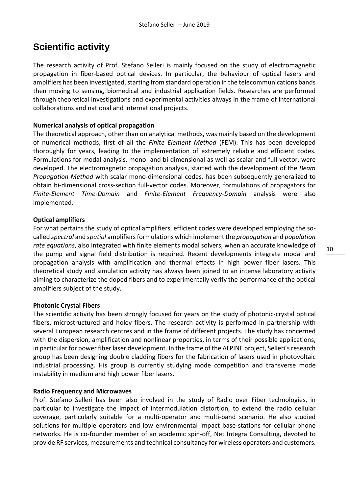### <span id="page-10-0"></span>**Scientific activity**

The research activity of Prof. Stefano Selleri is mainly focused on the study of electromagnetic propagation in fiber-based optical devices. In particular, the behaviour of optical lasers and amplifiers has been investigated, starting from standard operation in the telecommunications bands then moving to sensing, biomedical and industrial application fields. Researches are performed through theoretical investigations and experimental activities always in the frame of international collaborations and national and international projects.

#### **Numerical analysis of optical propagation**

The theoretical approach, other than on analytical methods, was mainly based on the development of numerical methods, first of all the *Finite Element Method* (FEM). This has been developed thoroughly for years, leading to the implementation of extremely reliable and efficient codes. Formulations for modal analysis, mono- and bi-dimensional as well as scalar and full-vector, were developed. The electromagnetic propagation analysis, started with the development of the *Beam Propagation Method* with scalar mono-dimensional codes, has been subsequently generalized to obtain bi-dimensional cross-section full-vector codes. Moreover, formulations of propagators for *Finite-Element Time-Domain* and *Finite-Element Frequency-Domain* analysis were also implemented.

#### **Optical amplifiers**

For what pertains the study of optical amplifiers, efficient codes were developed employing the socalled *spectral* and *spatial* amplifiers formulations which implement the *propagation* and *population rate equations*, also integrated with finite elements modal solvers, when an accurate knowledge of the pump and signal field distribution is required. Recent developments integrate modal and propagation analysis with amplification and thermal effects in high power fiber lasers. This theoretical study and simulation activity has always been joined to an intense laboratory activity aiming to characterize the doped fibers and to experimentally verify the performance of the optical amplifiers subject of the study.

#### **Photonic Crystal Fibers**

The scientific activity has been strongly focused for years on the study of photonic-crystal optical fibers, microstructured and holey fibers. The research activity is performed in partnership with several European research centres and in the frame of different projects. The study has concerned with the dispersion, amplification and nonlinear properties, in terms of their possible applications, in particular for power fiber laser development. In the frame of the ALPINE project, Selleri's research group has been designing double cladding fibers for the fabrication of lasers used in photovoltaic industrial processing. His group is currently studying mode competition and transverse mode instability in medium and high power fiber lasers.

#### **Radio Frequency and Microwaves**

Prof. Stefano Selleri has been also involved in the study of Radio over Fiber technologies, in particular to investigate the impact of intermodulation distortion, to extend the radio cellular coverage, particularly suitable for a multi-operator and multi-band scenario. He also studied solutions for multiple operators and low environmental impact base-stations for cellular phone networks. He is co-founder member of an academic spin-off, Net Integra Consulting, devoted to provide RF services, measurements and technical consultancy for wireless operators and customers.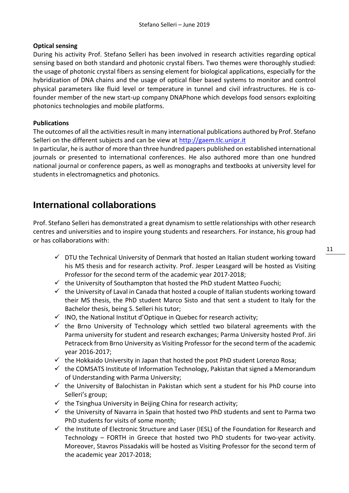#### **Optical sensing**

During his activity Prof. Stefano Selleri has been involved in research activities regarding optical sensing based on both standard and photonic crystal fibers. Two themes were thoroughly studied: the usage of photonic crystal fibers as sensing element for biological applications, especially for the hybridization of DNA chains and the usage of optical fiber based systems to monitor and control physical parameters like fluid level or temperature in tunnel and civil infrastructures. He is cofounder member of the new start-up company DNAPhone which develops food sensors exploiting photonics technologies and mobile platforms.

#### **Publications**

The outcomes of all the activities result in many international publications authored by Prof. Stefano Selleri on the different subjects and can be view at [http://gaem.tlc.unipr.it](http://gaem.tlc.unipr.it/)

In particular, he is author of more than three hundred papers published on established international journals or presented to international conferences. He also authored more than one hundred national journal or conference papers, as well as monographs and textbooks at university level for students in electromagnetics and photonics.

### <span id="page-11-0"></span>**International collaborations**

Prof. Stefano Selleri has demonstrated a great dynamism to settle relationships with other research centres and universities and to inspire young students and researchers. For instance, his group had or has collaborations with:

- $\checkmark$  DTU the Technical University of Denmark that hosted an Italian student working toward his MS thesis and for research activity. Prof. Jesper Leasgard will be hosted as Visiting Professor for the second term of the academic year 2017-2018;
- $\checkmark$  the University of Southampton that hosted the PhD student Matteo Fuochi;
- $\checkmark$  the University of Laval in Canada that hosted a couple of Italian students working toward their MS thesis, the PhD student Marco Sisto and that sent a student to Italy for the Bachelor thesis, being S. Selleri his tutor;
- $\checkmark$  INO, the National Institut d'Optique in Quebec for research activity;
- $\checkmark$  the Brno University of Technology which settled two bilateral agreements with the Parma university for student and research exchanges; Parma University hosted Prof. Jiri Petraceck from Brno University as Visiting Professor for the second term of the academic year 2016-2017;
- $\checkmark$  the Hokkaido University in Japan that hosted the post PhD student Lorenzo Rosa;
- $\checkmark$  the COMSATS Institute of Information Technology, Pakistan that signed a Memorandum of Understanding with Parma University;
- $\checkmark$  the University of Balochistan in Pakistan which sent a student for his PhD course into Selleri's group;
- $\checkmark$  the Tsinghua University in Beijing China for research activity;
- $\checkmark$  the University of Navarra in Spain that hosted two PhD students and sent to Parma two PhD students for visits of some month;
- $\checkmark$  the Institute of Electronic Structure and Laser (IESL) of the Foundation for Research and Technology – FORTH in Greece that hosted two PhD students for two-year activity. Moreover, Stavros Pissadakis will be hosted as Visiting Professor for the second term of the academic year 2017-2018;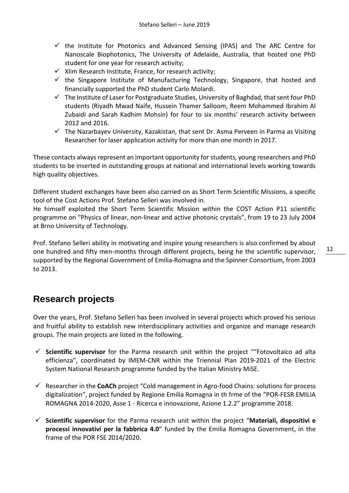- $\checkmark$  the Institute for Photonics and Advanced Sensing (IPAS) and The ARC Centre for Nanoscale Biophotonics, The University of Adelaide, Australia, that hosted one PhD student for one year for research activity;
- $\checkmark$  Xlim Research Institute, France, for research activity;
- $\checkmark$  the Singapore Institute of Manufacturing Technology, Singapore, that hosted and financially supported the PhD student Carlo Molardi.
- $\checkmark$  The Institute of Laser for Postgraduate Studies, University of Baghdad, that sent four PhD students (Riyadh Mwad Naife, Hussein Thamer Salloom, Reem Mohammed Ibrahim Al Zubaidi and Sarah Kadhim Mohsin) for four to six months' research activity between 2012 and 2016.
- $\checkmark$  The Nazarbayev University, Kazakistan, that sent Dr. Asma Perveen in Parma as Visiting Researcher for laser application activity for more than one month in 2017.

These contacts always represent an important opportunity for students, young researchers and PhD students to be inserted in outstanding groups at national and international levels working towards high quality objectives.

Different student exchanges have been also carried on as Short Term Scientific Missions, a specific tool of the Cost Actions Prof. Stefano Selleri was involved in.

He himself exploited the Short Term Scientific Mission within the COST Action P11 scientific programme on "Physics of linear, non-linear and active photonic crystals", from 19 to 23 July 2004 at Brno University of Technology.

Prof. Stefano Selleri ability in motivating and inspire young researchers is also confirmed by about one hundred and fifty men-months through different projects, being he the scientific supervisor, supported by the Regional Government of Emilia-Romagna and the Spinner Consortium, from 2003 to 2013.

### <span id="page-12-0"></span>**Research projects**

Over the years, Prof. Stefano Selleri has been involved in several projects which proved his serious and fruitful ability to establish new interdisciplinary activities and organize and manage research groups. The main projects are listed in the following.

- **Scientific supervisor** for the Parma research unit within the project ""Fotovoltaico ad alta efficienza", coordinated by IMEM-CNR within the Triennial Plan 2019-2021 of the Electric System National Research programme funded by the Italian Ministry MiSE.
- Researcher in the **CoACh** project "Cold management in Agro-food Chains: solutions for process digitalization", project funded by Regione Emilia Romagna in th frme of the "POR-FESR EMILIA ROMAGNA 2014-2020, Asse 1 - Ricerca e innovazione, Azione 1.2.2" programme 2018.
- **Scientific supervisor** for the Parma research unit within the project "**Materiali, dispositivi e processi innovativi per la fabbrica 4.0**" funded by the Emilia Romagna Government, in the frame of the POR FSE 2014/2020.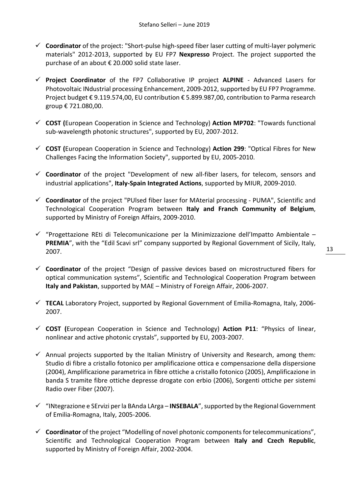- **Coordinator** of the project: "Short-pulse high-speed fiber laser cutting of multi-layer polymeric materials" 2012-2013, supported by EU FP7 **Nexpresso** Project. The project supported the purchase of an about € 20.000 solid state laser.
- **Project Coordinator** of the FP7 Collaborative IP project **ALPINE** Advanced Lasers for Photovoltaic INdustrial processing Enhancement, 2009-2012, supported by EU FP7 Programme. Project budget € 9.119.574,00, EU contribution € 5.899.987,00, contribution to Parma research group € 721.080,00.
- **COST (**European Cooperation in Science and Technology) **Action MP702**: "Towards functional sub-wavelength photonic structures", supported by EU, 2007-2012.
- **COST (**European Cooperation in Science and Technology) **Action 299**: "Optical Fibres for New Challenges Facing the Information Society", supported by EU, 2005-2010.
- **Coordinator** of the project "Development of new all-fiber lasers, for telecom, sensors and industrial applications", **Italy-Spain Integrated Actions**, supported by MIUR, 2009-2010.
- **Coordinator** of the project "PUlsed fiber laser for MAterial processing PUMA", Scientific and Technological Cooperation Program between **Italy and Franch Community of Belgium**, supported by Ministry of Foreign Affairs, 2009-2010.
- $\checkmark$  "Progettazione REti di Telecomunicazione per la Minimizzazione dell'Impatto Ambientale **PREMIA**", with the "Edil Scavi srl" company supported by Regional Government of Sicily, Italy, 2007.
- **Coordinator** of the project "Design of passive devices based on microstructured fibers for optical communication systems", Scientific and Technological Cooperation Program between **Italy and Pakistan**, supported by MAE – Ministry of Foreign Affair, 2006-2007.
- **TECAL** Laboratory Project, supported by Regional Government of Emilia-Romagna, Italy, 2006- 2007.
- **COST (**European Cooperation in Science and Technology) **Action P11**: "Physics of linear, nonlinear and active photonic crystals", supported by EU, 2003-2007.
- $\checkmark$  Annual projects supported by the Italian Ministry of University and Research, among them: Studio di fibre a cristallo fotonico per amplificazione ottica e compensazione della dispersione (2004), Amplificazione parametrica in fibre ottiche a cristallo fotonico (2005), Amplificazione in banda S tramite fibre ottiche depresse drogate con erbio (2006), Sorgenti ottiche per sistemi Radio over Fiber (2007).
- "INtegrazione e SErvizi per la BAnda LArga **INSEBALA**", supported by the Regional Government of Emilia-Romagna, Italy, 2005-2006.
- **Coordinator** of the project "Modelling of novel photonic components for telecommunications", Scientific and Technological Cooperation Program between **Italy and Czech Republic**, supported by Ministry of Foreign Affair, 2002-2004.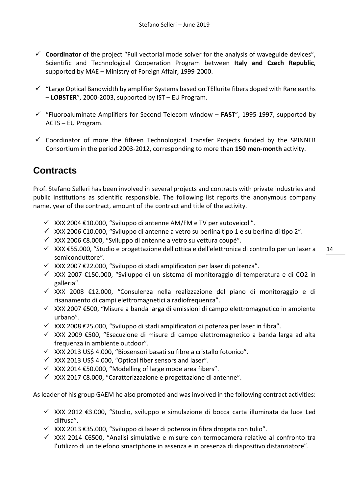- **Coordinator** of the project "Full vectorial mode solver for the analysis of waveguide devices", Scientific and Technological Cooperation Program between **Italy and Czech Republic**, supported by MAE – Ministry of Foreign Affair, 1999-2000.
- $\checkmark$  "Large Optical Bandwidth by amplifier Systems based on TEllurite fibers doped with Rare earths – **LOBSTER**", 2000-2003, supported by IST – EU Program.
- $\checkmark$  "Fluoroaluminate Amplifiers for Second Telecom window **FAST**", 1995-1997, supported by ACTS – EU Program.
- $\checkmark$  Coordinator of more the fifteen Technological Transfer Projects funded by the SPINNER Consortium in the period 2003-2012, corresponding to more than **150 men-month** activity.

### <span id="page-14-0"></span>**Contracts**

Prof. Stefano Selleri has been involved in several projects and contracts with private industries and public institutions as scientific responsible. The following list reports the anonymous company name, year of the contract, amount of the contract and title of the activity.

- $\checkmark$  XXX 2004 €10.000, "Sviluppo di antenne AM/FM e TV per autoveicoli".
- $\checkmark$  XXX 2006 €10.000, "Sviluppo di antenne a vetro su berlina tipo 1 e su berlina di tipo 2".
- $\checkmark$  XXX 2006 €8.000, "Sviluppo di antenne a vetro su vettura coupé".
- XXX €55.000, "Studio e progettazione dell'ottica e dell'elettronica di controllo per un laser a semiconduttore".
- XXX 2007 €22.000, "Sviluppo di stadi amplificatori per laser di potenza".
- $\checkmark$  XXX 2007 €150.000, "Sviluppo di un sistema di monitoraggio di temperatura e di CO2 in galleria".
- XXX 2008 €12.000, "Consulenza nella realizzazione del piano di monitoraggio e di risanamento di campi elettromagnetici a radiofrequenza".
- $\checkmark$  XXX 2007 €500, "Misure a banda larga di emissioni di campo elettromagnetico in ambiente urbano".
- $\checkmark$  XXX 2008 €25.000, "Sviluppo di stadi amplificatori di potenza per laser in fibra".
- $\checkmark$  XXX 2009 €500, "Esecuzione di misure di campo elettromagnetico a banda larga ad alta frequenza in ambiente outdoor".
- $\checkmark$  XXX 2013 US\$ 4.000, "Biosensori basati su fibre a cristallo fotonico".
- $\times$  XXX 2013 US\$ 4.000, "Optical fiber sensors and laser".
- $×$  XXX 2014 €50.000, "Modelling of large mode area fibers".
- $\checkmark$  XXX 2017 €8.000, "Caratterizzazione e progettazione di antenne".

As leader of his group GAEM he also promoted and was involved in the following contract activities:

- $\checkmark$  XXX 2012 €3.000, "Studio, sviluppo e simulazione di bocca carta illuminata da luce Led diffusa".
- $\checkmark$  XXX 2013 €35.000, "Sviluppo di laser di potenza in fibra drogata con tulio".
- XXX 2014 €6500, "Analisi simulative e misure con termocamera relative al confronto tra l'utilizzo di un telefono smartphone in assenza e in presenza di dispositivo distanziatore".

14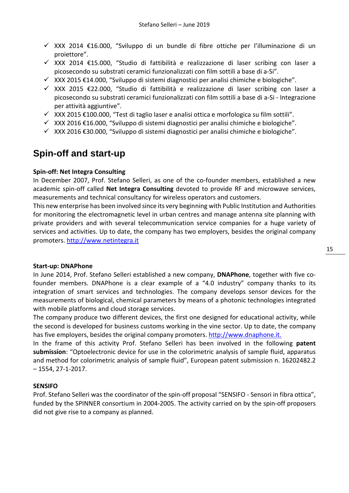- $\checkmark$  XXX 2014 €16.000, "Sviluppo di un bundle di fibre ottiche per l'illuminazione di un proiettore".
- XXX 2014 €15.000, "Studio di fattibilità e realizzazione di laser scribing con laser a picosecondo su substrati ceramici funzionalizzati con film sottili a base di a-Si".
- $\checkmark$  XXX 2015 €14.000, "Sviluppo di sistemi diagnostici per analisi chimiche e biologiche".
- XXX 2015 €22.000, "Studio di fattibilità e realizzazione di laser scribing con laser a picosecondo su substrati ceramici funzionalizzati con film sottili a base di a-Si - Integrazione per attività aggiuntive".
- $\checkmark$  XXX 2015 €100.000, "Test di taglio laser e analisi ottica e morfologica su film sottili".
- $\checkmark$  XXX 2016 €16.000, "Sviluppo di sistemi diagnostici per analisi chimiche e biologiche".
- $\checkmark$  XXX 2016 €30.000, "Sviluppo di sistemi diagnostici per analisi chimiche e biologiche".

### <span id="page-15-0"></span>**Spin-off and start-up**

#### **Spin-off: Net Integra Consulting**

In December 2007, Prof. Stefano Selleri, as one of the co-founder members, established a new academic spin-off called **Net Integra Consulting** devoted to provide RF and microwave services, measurements and technical consultancy for wireless operators and customers.

This new enterprise has been involved since its very beginning with Public Institution and Authorities for monitoring the electromagnetic level in urban centres and manage antenna site planning with private providers and with several telecommunication service companies for a huge variety of services and activities. Up to date, the company has two employers, besides the original company promoters. [http://www.netintegra.it](http://www.netintegra.it/)

#### **Start-up: DNAPhone**

In June 2014, Prof. Stefano Selleri established a new company, **DNAPhone**, together with five cofounder members. DNAPhone is a clear example of a "4.0 industry" company thanks to its integration of smart services and technologies. The company develops sensor devices for the measurements of biological, chemical parameters by means of a photonic technologies integrated with mobile platforms and cloud storage services.

The company produce two different devices, the first one designed for educational activity, while the second is developed for business customs working in the vine sector. Up to date, the company has five employers, besides the original company promoters. [http://www.dnaphone.it.](http://www.dnaphone.it/)

In the frame of this activity Prof. Stefano Selleri has been involved in the following **patent submission**: "Optoelectronic device for use in the colorimetric analysis of sample fluid, apparatus and method for colorimetric analysis of sample fluid", European patent submission n. 16202482.2 – 1554, 27-1-2017.

#### **SENSIFO**

Prof. Stefano Selleri was the coordinator of the spin-off proposal "SENSIFO - Sensori in fibra ottica", funded by the SPINNER consortium in 2004-2005. The activity carried on by the spin-off proposers did not give rise to a company as planned.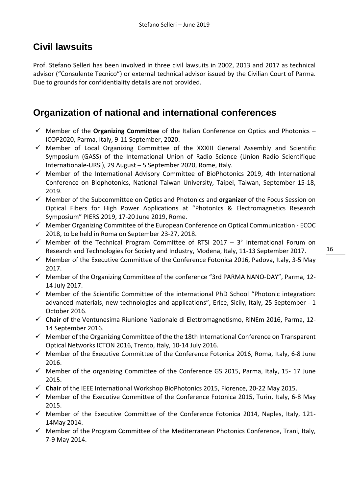# <span id="page-16-0"></span>**Civil lawsuits**

Prof. Stefano Selleri has been involved in three civil lawsuits in 2002, 2013 and 2017 as technical advisor ("Consulente Tecnico") or external technical advisor issued by the Civilian Court of Parma. Due to grounds for confidentiality details are not provided.

# <span id="page-16-1"></span>**Organization of national and international conferences**

- Member of the **Organizing Committee** of the Italian Conference on Optics and Photonics ICOP2020, Parma, Italy, 9-11 September, 2020.
- $\checkmark$  Member of Local Organizing Committee of the XXXIII General Assembly and Scientific Symposium (GASS) of the International Union of Radio Science (Union Radio Scientifique Internationale-URSI), 29 August – 5 September 2020, Rome, Italy.
- $\checkmark$  Member of the International Advisory Committee of BioPhotonics 2019, 4th International Conference on Biophotonics, National Taiwan University, Taipei, Taiwan, September 15-18, 2019.
- Member of the Subcommittee on Optics and Photonics and **organizer** of the Focus Session on Optical Fibers for High Power Applications at "PhotonIcs & Electromagnetics Research Symposium" PIERS 2019, 17-20 June 2019, Rome.
- $\checkmark$  Member Organizing Committee of the European Conference on Optical Communication ECOC 2018, to be held in Roma on September 23-27, 2018.
- $\checkmark$  Member of the Technical Program Committee of RTSI 2017 3° International Forum on Research and Technologies for Society and Industry, Modena, Italy, 11-13 September 2017.
- $\checkmark$  Member of the Executive Committee of the Conference Fotonica 2016, Padova, Italy, 3-5 May 2017.
- $\checkmark$  Member of the Organizing Committee of the conference "3rd PARMA NANO-DAY", Parma, 12-14 July 2017.
- $\checkmark$  Member of the Scientific Committee of the international PhD School "Photonic integration: advanced materials, new technologies and applications", Erice, Sicily, Italy, 25 September - 1 October 2016.
- **Chair** of the Ventunesima Riunione Nazionale di Elettromagnetismo, RiNEm 2016, Parma, 12- 14 September 2016.
- $\checkmark$  Member of the Organizing Committee of the the 18th International Conference on Transparent Optical Networks ICTON 2016, Trento, Italy, 10-14 July 2016.
- $\checkmark$  Member of the Executive Committee of the Conference Fotonica 2016, Roma, Italy, 6-8 June 2016.
- $\checkmark$  Member of the organizing Committee of the Conference GS 2015, Parma, Italy, 15-17 June 2015.
- **Chair** of the IEEE International Workshop BioPhotonics 2015, Florence, 20-22 May 2015.
- $\checkmark$  Member of the Executive Committee of the Conference Fotonica 2015, Turin, Italy, 6-8 May 2015.
- $\checkmark$  Member of the Executive Committee of the Conference Fotonica 2014, Naples, Italy, 121-14May 2014.
- $\checkmark$  Member of the Program Committee of the Mediterranean Photonics Conference, Trani, Italy, 7-9 May 2014.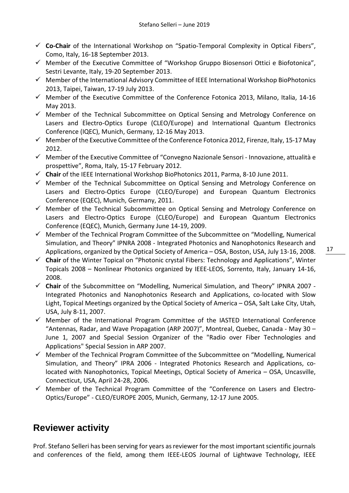- **Co-Chair** of the International Workshop on "Spatio-Temporal Complexity in Optical Fibers", Como, Italy, 16-18 September 2013.
- $\checkmark$  Member of the Executive Committee of "Workshop Gruppo Biosensori Ottici e Biofotonica", Sestri Levante, Italy, 19-20 September 2013.
- $\checkmark$  Member of the International Advisory Committee of IEEE International Workshop BioPhotonics 2013, Taipei, Taiwan, 17-19 July 2013.
- $\checkmark$  Member of the Executive Committee of the Conference Fotonica 2013, Milano, Italia, 14-16 May 2013.
- $\checkmark$  Member of the Technical Subcommittee on Optical Sensing and Metrology Conference on Lasers and Electro-Optics Europe (CLEO/Europe) and International Quantum Electronics Conference (IQEC), Munich, Germany, 12-16 May 2013.
- $\checkmark$  Member of the Executive Committee of the Conference Fotonica 2012, Firenze, Italy, 15-17 May 2012.
- $\checkmark$  Member of the Executive Committee of "Convegno Nazionale Sensori Innovazione, attualità e prospettive", Roma, Italy, 15-17 February 2012.
- **Chair** of the IEEE International Workshop BioPhotonics 2011, Parma, 8-10 June 2011.
- $\checkmark$  Member of the Technical Subcommittee on Optical Sensing and Metrology Conference on Lasers and Electro-Optics Europe (CLEO/Europe) and European Quantum Electronics Conference (EQEC), Munich, Germany, 2011.
- $\checkmark$  Member of the Technical Subcommittee on Optical Sensing and Metrology Conference on Lasers and Electro-Optics Europe (CLEO/Europe) and European Quantum Electronics Conference (EQEC), Munich, Germany June 14-19, 2009.
- $\checkmark$  Member of the Technical Program Committee of the Subcommittee on "Modelling, Numerical Simulation, and Theory" IPNRA 2008 - Integrated Photonics and Nanophotonics Research and Applications, organized by the Optical Society of America – OSA, Boston, USA, July 13-16, 2008.
	- 17
- **Chair** of the Winter Topical on "Photonic crystal Fibers: Technology and Applications", Winter Topicals 2008 – Nonlinear Photonics organized by IEEE-LEOS, Sorrento, Italy, January 14-16, 2008.
- **Chair** of the Subcommittee on "Modelling, Numerical Simulation, and Theory" IPNRA 2007 Integrated Photonics and Nanophotonics Research and Applications, co-located with Slow Light, Topical Meetings organized by the Optical Society of America – OSA, Salt Lake City, Utah, USA, July 8-11, 2007.
- $\checkmark$  Member of the International Program Committee of the IASTED International Conference "Antennas, Radar, and Wave Propagation (ARP 2007)", Montreal, Quebec, Canada - May 30 – June 1, 2007 and Special Session Organizer of the "Radio over Fiber Technologies and Applications" Special Session in ARP 2007.
- $\checkmark$  Member of the Technical Program Committee of the Subcommittee on "Modelling, Numerical Simulation, and Theory" IPRA 2006 - Integrated Photonics Research and Applications, colocated with Nanophotonics, Topical Meetings, Optical Society of America – OSA, Uncasville, Connecticut, USA, April 24-28, 2006.
- $\checkmark$  Member of the Technical Program Committee of the "Conference on Lasers and Electro-Optics/Europe" - CLEO/EUROPE 2005, Munich, Germany, 12-17 June 2005.

# <span id="page-17-0"></span>**Reviewer activity**

Prof. Stefano Selleri has been serving for years as reviewer for the most important scientific journals and conferences of the field, among them IEEE-LEOS Journal of Lightwave Technology, IEEE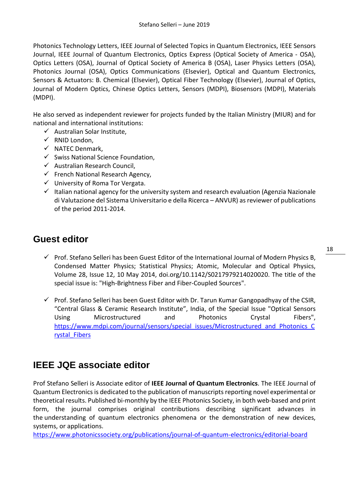Photonics Technology Letters, IEEE Journal of Selected Topics in Quantum Electronics, IEEE Sensors Journal, IEEE Journal of Quantum Electronics, Optics Express (Optical Society of America - OSA), Optics Letters (OSA), Journal of Optical Society of America B (OSA), Laser Physics Letters (OSA), Photonics Journal (OSA), Optics Communications (Elsevier), Optical and Quantum Electronics, Sensors & Actuators: B. Chemical (Elsevier), Optical Fiber Technology (Elsevier), Journal of Optics, Journal of Modern Optics, Chinese Optics Letters, Sensors (MDPI), Biosensors (MDPI), Materials (MDPI).

He also served as independent reviewer for projects funded by the Italian Ministry (MIUR) and for national and international institutions:

- $\checkmark$  Australian Solar Institute.
- $\checkmark$  RNID London.
- $\checkmark$  NATEC Denmark,
- $\checkmark$  Swiss National Science Foundation.
- $\checkmark$  Australian Research Council,
- $\checkmark$  French National Research Agency,
- $\checkmark$  University of Roma Tor Vergata.
- $\checkmark$  Italian national agency for the university system and research evaluation (Agenzia Nazionale di Valutazione del Sistema Universitario e della Ricerca – ANVUR) as reviewer of publications of the period 2011-2014.

### <span id="page-18-0"></span>**Guest editor**

- $\checkmark$  Prof. Stefano Selleri has been Guest Editor of the International Journal of Modern Physics B, Condensed Matter Physics; Statistical Physics; Atomic, Molecular and Optical Physics, Volume 28, Issue 12, 10 May 2014, doi.org/10.1142/S0217979214020020. The title of the special issue is: "High-Brightness Fiber and Fiber-Coupled Sources".
- $\checkmark$  Prof. Stefano Selleri has been Guest Editor with Dr. Tarun Kumar Gangopadhyay of the CSIR, "Central Glass & Ceramic Research Institute", India, of the Special Issue "Optical Sensors Using Microstructured and Photonics Crystal Fibers", [https://www.mdpi.com/journal/sensors/special\\_issues/Microstructured\\_and\\_Photonics\\_C](https://www.mdpi.com/journal/sensors/special_issues/Microstructured_and_Photonics_Crystal_Fibers) [rystal\\_Fibers](https://www.mdpi.com/journal/sensors/special_issues/Microstructured_and_Photonics_Crystal_Fibers)

### <span id="page-18-1"></span>**IEEE JQE associate editor**

Prof Stefano Selleri is Associate editor of **IEEE Journal of Quantum Electronics**. The IEEE Journal of Quantum Electronics is dedicated to the publication of manuscripts reporting novel experimental or theoretical results. Published bi-monthly by the IEEE Photonics Society, in both web-based and print form, the journal comprises original contributions describing significant advances in the understanding of quantum electronics phenomena or the demonstration of new devices, systems, or applications.

<https://www.photonicssociety.org/publications/journal-of-quantum-electronics/editorial-board>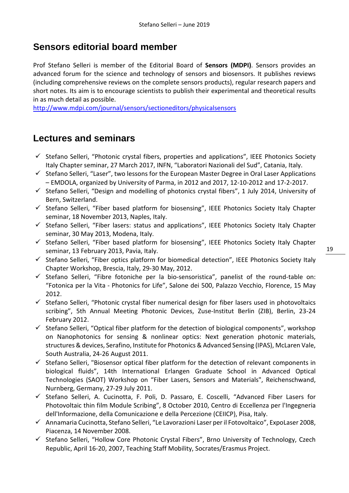### <span id="page-19-0"></span>**Sensors editorial board member**

Prof Stefano Selleri is member of the Editorial Board of **Sensors (MDPI)**. Sensors provides an advanced forum for the science and technology of sensors and biosensors. It publishes reviews (including comprehensive reviews on the complete sensors products), regular research papers and short notes. Its aim is to encourage scientists to publish their experimental and theoretical results in as much detail as possible.

<http://www.mdpi.com/journal/sensors/sectioneditors/physicalsensors>

### <span id="page-19-1"></span>**Lectures and seminars**

- $\checkmark$  Stefano Selleri, "Photonic crystal fibers, properties and applications", IEEE Photonics Society Italy Chapter seminar, 27 March 2017, INFN, "Laboratori Nazionali del Sud", Catania, Italy.
- $\checkmark$  Stefano Selleri, "Laser", two lessons for the European Master Degree in Oral Laser Applications – EMDOLA, organized by University of Parma, in 2012 and 2017, 12-10-2012 and 17-2-2017.
- $\checkmark$  Stefano Selleri, "Design and modelling of photonics crystal fibers", 1 July 2014, University of Bern, Switzerland.
- $\checkmark$  Stefano Selleri, "Fiber based platform for biosensing", IEEE Photonics Society Italy Chapter seminar, 18 November 2013, Naples, Italy.
- $\checkmark$  Stefano Selleri, "Fiber lasers: status and applications", IEEE Photonics Society Italy Chapter seminar, 30 May 2013, Modena, Italy.
- $\checkmark$  Stefano Selleri, "Fiber based platform for biosensing", IEEE Photonics Society Italy Chapter seminar, 13 February 2013, Pavia, Italy.
- $\checkmark$  Stefano Selleri, "Fiber optics platform for biomedical detection", IEEE Photonics Society Italy Chapter Workshop, Brescia, Italy, 29-30 May, 2012.
- $\checkmark$  Stefano Selleri, "Fibre fotoniche per la bio-sensoristica", panelist of the round-table on: "Fotonica per la Vita - Photonics for Life", Salone dei 500, Palazzo Vecchio, Florence, 15 May 2012.
- $\checkmark$  Stefano Selleri, "Photonic crystal fiber numerical design for fiber lasers used in photovoltaics scribing", 5th Annual Meeting Photonic Devices, Zuse-Institut Berlin (ZIB), Berlin, 23-24 February 2012.
- $\checkmark$  Stefano Selleri, "Optical fiber platform for the detection of biological components", workshop on Nanophotonics for sensing & nonlinear optics: Next generation photonic materials, structures & devices, Serafino, Institute for Photonics & Advanced Sensing (IPAS), McLaren Vale, South Australia, 24-26 August 2011.
- $\checkmark$  Stefano Selleri, "Biosensor optical fiber platform for the detection of relevant components in biological fluids", 14th International Erlangen Graduate School in Advanced Optical Technologies (SAOT) Workshop on "Fiber Lasers, Sensors and Materials", Reichenschwand, Nurnberg, Germany, 27-29 July 2011.
- $\checkmark$  Stefano Selleri, A. Cucinotta, F. Poli, D. Passaro, E. Coscelli, "Advanced Fiber Lasers for Photovoltaic thin film Module Scribing", 8 October 2010, Centro di Eccellenza per l'Ingegneria dell'Informazione, della Comunicazione e della Percezione (CEIICP), Pisa, Italy.
- $\checkmark$  Annamaria Cucinotta, Stefano Selleri, "Le Lavorazioni Laser per il Fotovoltaico", ExpoLaser 2008, Piacenza, 14 November 2008.
- $\checkmark$  Stefano Selleri, "Hollow Core Photonic Crystal Fibers", Brno University of Technology, Czech Republic, April 16-20, 2007, Teaching Staff Mobility, Socrates/Erasmus Project.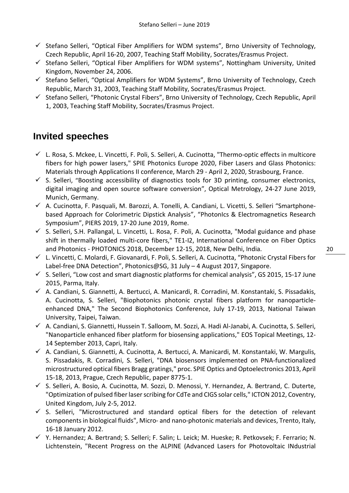- $\checkmark$  Stefano Selleri, "Optical Fiber Amplifiers for WDM systems", Brno University of Technology, Czech Republic, April 16-20, 2007, Teaching Staff Mobility, Socrates/Erasmus Project.
- $\checkmark$  Stefano Selleri, "Optical Fiber Amplifiers for WDM systems", Nottingham University, United Kingdom, November 24, 2006.
- $\checkmark$  Stefano Selleri, "Optical Amplifiers for WDM Systems", Brno University of Technology, Czech Republic, March 31, 2003, Teaching Staff Mobility, Socrates/Erasmus Project.
- $\checkmark$  Stefano Selleri, "Photonic Crystal Fibers", Brno University of Technology, Czech Republic, April 1, 2003, Teaching Staff Mobility, Socrates/Erasmus Project.

## <span id="page-20-0"></span>**Invited speeches**

- $\checkmark$  L. Rosa, S. Mckee, L. Vincetti, F. Poli, S. Selleri, A. Cucinotta, "Thermo-optic effects in multicore fibers for high power lasers," SPIE Photonics Europe 2020, Fiber Lasers and Glass Photonics: Materials through Applications II conference, March 29 - April 2, 2020, Strasbourg, France.
- $\checkmark$  S. Selleri, "Boosting accessibility of diagnostics tools for 3D printing, consumer electronics, digital imaging and open source software conversion", Optical Metrology, 24-27 June 2019, Munich, Germany.
- $\checkmark$  A. Cucinotta, F. Pasquali, M. Barozzi, A. Tonelli, A. Candiani, L. Vicetti, S. Selleri "Smartphonebased Approach for Colorimetric Dipstick Analysis", "PhotonIcs & Electromagnetics Research Symposium", PIERS 2019, 17-20 June 2019, Rome.
- $\checkmark$  S. Selleri, S.H. Pallangal, L. Vincetti, L. Rosa, F. Poli, A. Cucinotta, "Modal guidance and phase shift in thermally loaded multi-core fibers," TE1-I2, International Conference on Fiber Optics and Photonics - PHOTONICS 2018, December 12-15, 2018, New Delhi, India.
- L. Vincetti, C. Molardi, F. Giovanardi, F. Poli, S. Selleri, A. Cucinotta, "Photonic Crystal Fibers for Label-free DNA Detection", Photonics@SG, 31 July – 4 August 2017, Singapore.
- $\checkmark$  S. Selleri, "Low cost and smart diagnostic platforms for chemical analysis", GS 2015, 15-17 June 2015, Parma, Italy.
- $\checkmark$  A. Candiani, S. Giannetti, A. Bertucci, A. Manicardi, R. Corradini, M. Konstantaki, S. Pissadakis, A. Cucinotta, S. Selleri, "Biophotonics photonic crystal fibers platform for nanoparticleenhanced DNA," The Second Biophotonics Conference, July 17-19, 2013, National Taiwan University, Taipei, Taiwan.
- A. Candiani, S. Giannetti, Hussein T. Salloom, M. Sozzi, A. Hadi Al-Janabi, A. Cucinotta, S. Selleri, "Nanoparticle enhanced fiber platform for biosensing applications," EOS Topical Meetings, 12- 14 September 2013, Capri, Italy.
- $\checkmark$  A. Candiani, S. Giannetti, A. Cucinotta, A. Bertucci, A. Manicardi, M. Konstantaki, W. Margulis, S. Pissadakis, R. Corradini, S. Selleri, "DNA biosensors implemented on PNA-functionalized microstructured optical fibers Bragg gratings," proc. SPIE Optics and Optoelectronics 2013, April 15-18, 2013, Prague, Czech Republic, paper 8775-1.
- $\checkmark$  S. Selleri, A. Bosio, A. Cucinotta, M. Sozzi, D. Menossi, Y. Hernandez, A. Bertrand, C. Duterte, "Optimization of pulsed fiber laser scribing for CdTe and CIGS solar cells," ICTON 2012, Coventry, United Kingdom, July 2-5, 2012.
- $\checkmark$  S. Selleri, "Microstructured and standard optical fibers for the detection of relevant components in biological fluids", Micro- and nano-photonic materials and devices, Trento, Italy, 16-18 January 2012.
- Y. Hernandez; A. Bertrand; S. Selleri; F. Salin; L. Leick; M. Hueske; R. Petkovsek; F. Ferrario; N. Lichtenstein, "Recent Progress on the ALPINE (Advanced Lasers for Photovoltaic INdustrial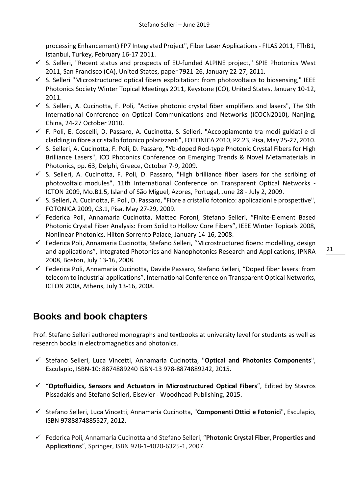processing Enhancement) FP7 Integrated Project", Fiber Laser Applications - FILAS 2011, FThB1, Istanbul, Turkey, February 16-17 2011.

- $\checkmark$  S. Selleri, "Recent status and prospects of EU-funded ALPINE project," SPIE Photonics West 2011, San Francisco (CA), United States, paper 7921-26, January 22-27, 2011.
- $\checkmark$  S. Selleri "Microstructured optical fibers exploitation: from photovoltaics to biosensing," IEEE Photonics Society Winter Topical Meetings 2011, Keystone (CO), United States, January 10-12, 2011.
- $\checkmark$  S. Selleri, A. Cucinotta, F. Poli, "Active photonic crystal fiber amplifiers and lasers". The 9th International Conference on Optical Communications and Networks (ICOCN2010), Nanjing, China, 24-27 October 2010.
- F. Poli, E. Coscelli, D. Passaro, A. Cucinotta, S. Selleri, "Accoppiamento tra modi guidati e di cladding in fibre a cristallo fotonico polarizzanti", FOTONICA 2010, P2.23, Pisa, May 25-27, 2010.
- $\checkmark$  S. Selleri, A. Cucinotta, F. Poli, D. Passaro, "Yb-doped Rod-type Photonic Crystal Fibers for High Brilliance Lasers", ICO Photonics Conference on Emerging Trends & Novel Metamaterials in Photonics, pp. 63, Delphi, Greece, October 7-9, 2009.
- $\checkmark$  S. Selleri, A. Cucinotta, F. Poli, D. Passaro, "High brilliance fiber lasers for the scribing of photovoltaic modules", 11th International Conference on Transparent Optical Networks - ICTON 2009, Mo.B1.5, Island of São Miguel, Azores, Portugal, June 28 - July 2, 2009.
- $\checkmark$  S. Selleri, A. Cucinotta, F. Poli, D. Passaro, "Fibre a cristallo fotonico: applicazioni e prospettive", FOTONICA 2009, C3.1, Pisa, May 27-29, 2009.
- Federica Poli, Annamaria Cucinotta, Matteo Foroni, Stefano Selleri, "Finite-Element Based Photonic Crystal Fiber Analysis: From Solid to Hollow Core Fibers", IEEE Winter Topicals 2008, Nonlinear Photonics, Hilton Sorrento Palace, January 14-16, 2008.
- $\checkmark$  Federica Poli, Annamaria Cucinotta, Stefano Selleri, "Microstructured fibers: modelling, design and applications", Integrated Photonics and Nanophotonics Research and Applications, IPNRA 2008, Boston, July 13-16, 2008.
- $\checkmark$  Federica Poli, Annamaria Cucinotta, Davide Passaro, Stefano Selleri, "Doped fiber lasers: from telecom to industrial applications", International Conference on Transparent Optical Networks, ICTON 2008, Athens, July 13-16, 2008.

# <span id="page-21-0"></span>**Books and book chapters**

Prof. Stefano Selleri authored monographs and textbooks at university level for students as well as research books in electromagnetics and photonics.

- Stefano Selleri, Luca Vincetti, Annamaria Cucinotta, "**Optical and Photonics Components**", Esculapio, ISBN-10: 8874889240 ISBN-13 978-8874889242, 2015.
- "**Optofluidics, Sensors and Actuators in Microstructured Optical Fibers**", Edited by Stavros Pissadakis and Stefano Selleri, Elsevier - Woodhead Publishing, 2015.
- Stefano Selleri, Luca Vincetti, Annamaria Cucinotta, "**Componenti Ottici e Fotonici**", Esculapio, ISBN 9788874885527, 2012.
- Federica Poli, Annamaria Cucinotta and Stefano Selleri, "**Photonic Crystal Fiber, Properties and Applications**", Springer, ISBN 978-1-4020-6325-1, 2007.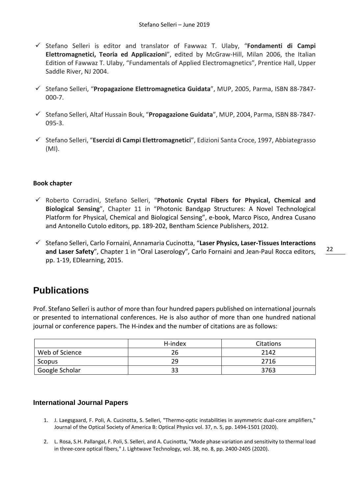- Stefano Selleri is editor and translator of Fawwaz T. Ulaby, "**Fondamenti di Campi Elettromagnetici, Teoria ed Applicazioni**", edited by McGraw-Hill, Milan 2006, the Italian Edition of Fawwaz T. Ulaby, "Fundamentals of Applied Electromagnetics", Prentice Hall, Upper Saddle River, NJ 2004.
- Stefano Selleri, "**Propagazione Elettromagnetica Guidata**", MUP, 2005, Parma, ISBN 88-7847- 000-7.
- Stefano Selleri, Altaf Hussain Bouk, "**Propagazione Guidata**", MUP, 2004, Parma, ISBN 88-7847- 095-3.
- Stefano Selleri, "**Esercizi di Campi Elettromagnetici**", Edizioni Santa Croce, 1997, Abbiategrasso (MI).

#### **Book chapter**

- Roberto Corradini, Stefano Selleri, "**Photonic Crystal Fibers for Physical, Chemical and Biological Sensing**", Chapter 11 in "Photonic Bandgap Structures: A Novel Technological Platform for Physical, Chemical and Biological Sensing", e-book, Marco Pisco, Andrea Cusano and Antonello Cutolo editors, pp. 189-202, Bentham Science Publishers, 2012.
- Stefano Selleri, Carlo Fornaini, Annamaria Cucinotta, "**Laser Physics, Laser-Tissues Interactions and Laser Safety**", Chapter 1 in "Oral Laserology", Carlo Fornaini and Jean-Paul Rocca editors, pp. 1-19, EDlearning, 2015.

### <span id="page-22-0"></span>**Publications**

Prof. Stefano Selleri is author of more than four hundred papers published on international journals or presented to international conferences. He is also author of more than one hundred national journal or conference papers. The H-index and the number of citations are as follows:

|                | H-index | Citations |
|----------------|---------|-----------|
| Web of Science | 26      | 2142      |
| Scopus         | 29      | 2716      |
| Google Scholar | 33      | 3763      |

#### <span id="page-22-1"></span>**International Journal Papers**

- 1. J. Laegsgaard, F. Poli, A. Cucinotta, S. Selleri, "Thermo-optic instabilities in asymmetric dual-core amplifiers," Journal of the Optical Society of America B: Optical Physics vol. 37, n. 5, pp. 1494-1501 (2020).
- 2. L. Rosa, S.H. Pallangal, F. Poli, S. Selleri, and A. Cucinotta, "Mode phase variation and sensitivity to thermal load in three-core optical fibers," J. Lightwave Technology, vol. 38, no. 8, pp. 2400-2405 (2020).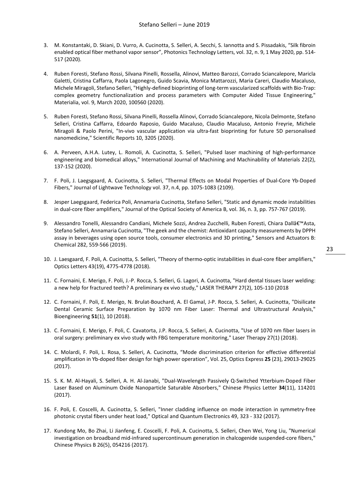- 3. M. Konstantaki, D. Skiani, D. Vurro, A. Cucinotta, S. Selleri, A. Secchi, S. Iannotta and S. Pissadakis, "Silk fibroin enabled optical fiber methanol vapor sensor", Photonics Technology Letters, vol. 32, n. 9, 1 May 2020, pp. 514- 517 (2020).
- 4. Ruben Foresti, Stefano Rossi, Silvana Pinelli, Rossella, Alinovi, Matteo Barozzi, Corrado Sciancalepore, Maricla Galetti, Cristina Caffarra, Paola Lagonegro, Guido Scavia, Monica Mattarozzi, Maria Careri, Claudio Macaluso, Michele Miragoli, Stefano Selleri, "Highly-defined bioprinting of long-term vascularized scaffolds with Bio-Trap: complex geometry functionalization and process parameters with Computer Aided Tissue Engineering," Materialia, vol. 9, March 2020, 100560 (2020).
- 5. Ruben Foresti, Stefano Rossi, Silvana Pinelli, Rossella Alinovi, Corrado Sciancalepore, Nicola Delmonte, Stefano Selleri, Cristina Caffarra, Edoardo Raposio, Guido Macaluso, Claudio Macaluso, Antonio Freyrie, Michele Miragoli & Paolo Perini, "In-vivo vascular application via ultra-fast bioprinting for future 5D personalised nanomedicine," Scientific Reports 10, 3205 (2020).
- 6. A. Perveen, A.H.A. Lutey, L. Romoli, A. Cucinotta, S. Selleri, "Pulsed laser machining of high-performance engineering and biomedical alloys," International Journal of Machining and Machinability of Materials 22(2), 137-152 (2020).
- 7. F. Poli, J. Laegsgaard, A. Cucinotta, S. Selleri, "Thermal Effects on Modal Properties of Dual-Core Yb-Doped Fibers," Journal of Lightwave Technology vol. 37, n.4, pp. 1075-1083 (2109).
- 8. Jesper Laegsgaard, Federica Poli, Annamaria Cucinotta, Stefano Selleri, "Static and dynamic mode instabilities in dual-core fiber amplifiers," Journal of the Optical Society of America B, vol. 36, n. 3, pp. 757-767 (2019).
- 9. Alessandro Tonelli, Alessandro Candiani, Michele Sozzi, Andrea Zucchelli, Ruben Foresti, Chiara Dallâ€<sup>™</sup>Asta, Stefano Selleri, Annamaria Cucinotta, "The geek and the chemist: Antioxidant capacity measurements by DPPH assay in beverages using open source tools, consumer electronics and 3D printing," Sensors and Actuators B: Chemical 282, 559-566 (2019).
- 10. J. Laesgaard, F. Poli, A. Cucinotta, S. Selleri, "Theory of thermo-optic instabilities in dual-core fiber amplifiers," Optics Letters 43(19), 4775-4778 (2018).
- 11. C. Fornaini, E. Merigo, F. Poli, J.-P. Rocca, S. Selleri, G. Lagori, A. Cucinotta, "Hard dental tissues laser welding: a new help for fractured teeth? A preliminary ex vivo study," LASER THERAPY 27(2), 105-110 (2018
- 12. C. Fornaini, F. Poli, E. Merigo, N. Brulat-Bouchard, A. El Gamal, J-P. Rocca, S. Selleri, A. Cucinotta, "Disilicate Dental Ceramic Surface Preparation by 1070 nm Fiber Laser: Thermal and Ultrastructural Analysis," Bioengineering **51**(1), 10 (2018).
- 13. C. Fornaini, E. Merigo, F. Poli, C. Cavatorta, J.P. Rocca, S. Selleri, A. Cucinotta, "Use of 1070 nm fiber lasers in oral surgery: preliminary ex vivo study with FBG temperature monitoring," Laser Therapy 27(1) (2018).
- 14. C. Molardi, F. Poli, L. Rosa, S. Selleri, A. Cucinotta, "Mode discrimination criterion for effective differential amplification in Yb-doped fiber design for high power operation", Vol. 25, Optics Express **25** (23), 29013-29025 (2017).
- 15. S. K. M. Al-Hayali, S. Selleri, A. H. Al-Janabi, "Dual-Wavelength Passively Q-Switched Ytterbium-Doped Fiber Laser Based on Aluminum Oxide Nanoparticle Saturable Absorbers," Chinese Physics Letter **34**(11), 114201 (2017).
- 16. F. Poli, E. Coscelli, A. Cucinotta, S. Selleri, "Inner cladding influence on mode interaction in symmetry-free photonic crystal fibers under heat load," Optical and Quantum Electronics 49, 323 - 332 (2017).
- 17. Kundong Mo, Bo Zhai, Li Jianfeng, E. Coscelli, F. Poli, A. Cucinotta, S. Selleri, Chen Wei, Yong Liu, "Numerical investigation on broadband mid-infrared supercontinuum generation in chalcogenide suspended-core fibers," Chinese Physics B 26(5), 054216 (2017).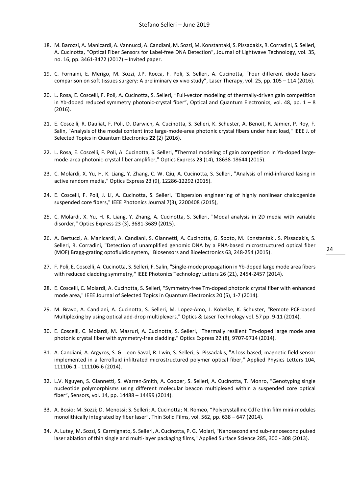- 18. M. Barozzi, A. Manicardi, A. Vannucci, A. Candiani, M. Sozzi, M. Konstantaki, S. Pissadakis, R. Corradini, S. Selleri, A. Cucinotta, "Optical Fiber Sensors for Label-free DNA Detection", Journal of Lightwave Technology, vol. 35, no. 16, pp. 3461-3472 (2017) – Invited paper.
- 19. C. Fornaini, E. Merigo, M. Sozzi, J.P. Rocca, F. Poli, S. Selleri, A. Cucinotta, "Four different diode lasers comparison on soft tissues surgery: A preliminary ex vivo study", Laser Therapy, vol. 25, pp. 105 – 114 (2016).
- 20. L. Rosa, E. Coscelli, F. Poli, A. Cucinotta, S. Selleri, "Full-vector modeling of thermally-driven gain competition in Yb-doped reduced symmetry photonic-crystal fiber", Optical and Quantum Electronics, vol. 48, pp.  $1 - 8$ (2016).
- 21. E. Coscelli, R. Dauliat, F. Poli, D. Darwich, A. Cucinotta, S. Selleri, K. Schuster, A. Benoit, R. Jamier, P. Roy, F. Salin, "Analysis of the modal content into large-mode-area photonic crystal fibers under heat load," IEEE J. of Selected Topics in Quantum Electronics **22** (2) (2016).
- 22. L. Rosa, E. Coscelli, F. Poli, A. Cucinotta, S. Selleri, "Thermal modeling of gain competition in Yb-doped largemode-area photonic-crystal fiber amplifier," Optics Express **23** (14), 18638-18644 (2015).
- 23. C. Molardi, X. Yu, H. K. Liang, Y. Zhang, C. W. Qiu, A. Cucinotta, S. Selleri, "Analysis of mid-infrared lasing in active random media," Optics Express 23 (9), 12286-12292 (2015).
- 24. E. Coscelli, F. Poli, J. Li, A. Cucinotta, S. Selleri, "Dispersion engineering of highly nonlinear chalcogenide suspended core fibers," IEEE Photonics Journal 7(3), 2200408 (2015),
- 25. C. Molardi, X. Yu, H. K. Liang, Y. Zhang, A. Cucinotta, S. Selleri, "Modal analysis in 2D media with variable disorder," Optics Express 23 (3), 3681-3689 (2015).
- 26. A. Bertucci, A. Manicardi, A. Candiani, S. Giannetti, A. Cucinotta, G. Spoto, M. Konstantaki, S. Pissadakis, S. Selleri, R. Corradini, "Detection of unamplified genomic DNA by a PNA-based microstructured optical fiber (MOF) Bragg-grating optofluidic system," Biosensors and Bioelectronics 63, 248-254 (2015).
- 27. F. Poli, E. Coscelli, A. Cucinotta, S. Selleri, F. Salin, "Single-mode propagation in Yb-doped large mode area fibers with reduced cladding symmetry," IEEE Photonics Technology Letters 26 (21), 2454-2457 (2014).
- 28. E. Coscelli, C. Molardi, A. Cucinotta, S. Selleri, "Symmetry-free Tm-doped photonic crystal fiber with enhanced mode area," IEEE Journal of Selected Topics in Quantum Electronics 20 (5), 1-7 (2014).
- 29. M. Bravo, A. Candiani, A. Cucinotta, S. Selleri, M. Lopez-Amo, J. Kobelke, K. Schuster, "Remote PCF-based Multiplexing by using optical add-drop multiplexers," Optics & Laser Technology vol. 57 pp. 9-11 (2014).
- 30. E. Coscelli, C. Molardi, M. Masruri, A. Cucinotta, S. Selleri, "Thermally resilient Tm-doped large mode area photonic crystal fiber with symmetry-free cladding," Optics Express 22 (8), 9707-9714 (2014).
- 31. A. Candiani, A. Argyros, S. G. Leon-Saval, R. Lwin, S. Selleri, S. Pissadakis, "A loss-based, magnetic field sensor implemented in a ferrofluid infiltrated microstructured polymer optical fiber," Applied Physics Letters 104, 111106-1 - 111106-6 (2014).
- 32. L.V. Nguyen, S. Giannetti, S. Warren-Smith, A. Cooper, S. Selleri, A. Cucinotta, T. Monro, "Genotyping single nucleotide polymorphisms using different molecular beacon multiplexed within a suspended core optical fiber", Sensors, vol. 14, pp. 14488 – 14499 (2014).
- 33. A. Bosio; M. Sozzi; D. Menossi; S. Selleri; A. Cucinotta; N. Romeo, "Polycrystalline CdTe thin film mini-modules monolithically integrated by fiber laser", Thin Solid Films, vol. 562, pp. 638 – 647 (2014).
- 34. A. Lutey, M. Sozzi, S. Carmignato, S. Selleri, A. Cucinotta, P. G. Molari, "Nanosecond and sub-nanosecond pulsed laser ablation of thin single and multi-layer packaging films," Applied Surface Science 285, 300 - 308 (2013).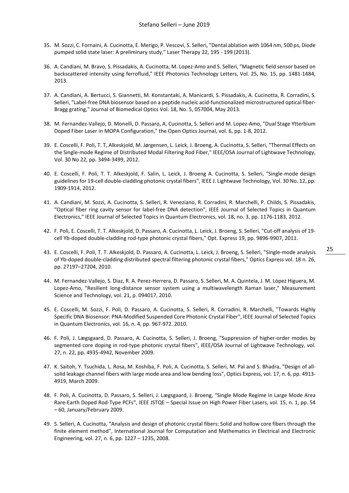- 35. M. Sozzi, C. Fornaini, A. Cucinotta, E. Merigo, P. Vescovi, S. Selleri, "Dental ablation with 1064 nm, 500 ps, Diode pumped solid state laser: A preliminary study," Laser Therapy 22, 195 - 199 (2013).
- 36. A. Candiani, M. Bravo, S. Pissadakis, A. Cucinotta, M. Lopez-Amo and S. Selleri, "Magnetic field sensor based on backscattered intensity using ferrofluid," IEEE Photonics Technology Letters, Vol. 25, No. 15, pp. 1481-1484, 2013.
- 37. A. Candiani, A. Bertucci, S. Giannetti, M. Konstantaki, A. Manicardi, S. Pissadakis, A. Cucinotta, R. Corradini, S. Selleri, "Label-free DNA biosensor based on a peptide nucleic acid-functionalized microstructured optical fiber-Bragg grating," Journal of Biomedical Optics Vol. 18, No. 5, 057004, May 2013.
- 38. M. Fernandez-Vallejo, D. Monelli, D. Passaro, A. Cucinotta, S. Selleri and M. Lopez-Amo, "Dual Stage Ytterbium Doped Fiber Laser in MOPA Configuration," the Open Optics Journal, vol. 6, pp. 1-8, 2012.
- 39. E. Coscelli, F. Poli, T. T, Alkeskjold, M. Jørgensen, L. Leick, J. Broeng, A. Cucinotta, S. Selleri, "Thermal Effects on the Single-mode Regime of Distributed Modal Filtering Rod Fiber," IEEE/OSA Journal of Lightwave Technology, Vol. 30 No 22, pp. 3494-3499, 2012.
- 40. E. Coscelli, F. Poli, T. T. Alkeskjold, F. Salin, L. Leick, J. Broeng A. Cucinotta, S. Selleri, "Single-mode design guidelines for 19-cell double-cladding photonic crystal fibers", IEEE J. Lightwave Technology, Vol. 30 No. 12, pp. 1909-1914, 2012.
- 41. A. Candiani, M. Sozzi, A. Cucinotta, S. Selleri, R. Veneziano, R. Corradini, R. Marchelli, P. Childs, S. Pissadakis, "Optical fiber ring cavity sensor for label-free DNA detection", IEEE Journal of Selected Topics in Quantum Electronics," IEEE Journal of Selected Topics in Quantum Electronics, vol. 18, no. 3, pp. 1176-1183, 2012.
- 42. F. Poli, E. Coscelli, T. T. Alkeskjold, D. Passaro, A. Cucinotta, L. Leick, J. Broeng, S. Selleri, "Cut-off analysis of 19 cell Yb-doped double-cladding rod-type photonic crystal fibers," Opt. Express 19, pp. 9896-9907, 2011.
- 43. E. Coscelli, F. Poli, T. T. Alkeskjold, D. Passaro, A. Cucinotta, L. Leick, J. Broeng, S. Selleri, "Single-mode analysis of Yb-doped double-cladding distributed spectral filtering photonic crystal fibers," Optics Express vol. 18 n. 26, pp. 27197–27204, 2010.
- 44. M. Fernandez-Vallejo, S. Diaz, R. A. Perez-Herrera, D. Passaro, S. Selleri, M. A. Quintela, J. M. López Higuera, M. Lopez-Amo, "Resilient long-distance sensor system using a multiwavelength Raman laser," Measurement Science and Technology, vol. 21, p. 094017, 2010.
- 45. E. Coscelli, M. Sozzi, F. Poli, D. Passaro, A. Cucinotta, S. Selleri, R. Corradini, R. Marchelli, "Towards Highly Specific DNA Biosensor: PNA-Modified Suspended Core Photonic Crystal Fiber", IEEE Journal of Selected Topics in Quantum Electronics, vol. 16, n. 4, pp. 967-972. 2010.
- 46. F. Poli, J. Lægsgaard, D. Passaro, A. Cucinotta, S. Selleri, J. Broeng, "Suppression of higher-order modes by segmented core doping in rod-type photonic crystal fibers", IEEE/OSA Journal of Lightwave Technology, vol. 27, n. 22, pp. 4935-4942, November 2009.
- 47. K. Saitoh, Y. Tsuchida, L. Rosa, M. Koshiba, F. Poli, A. Cucinotta, S. Selleri, M. Pal and S. Bhadra, "Design of allsolid leakage channel fibers with large mode area and low bending loss", Optics Express, vol. 17, n. 6, pp. 4913- 4919, March 2009.
- 48. F. Poli, A. Cucinotta, D. Passaro, S. Selleri, J. Lægsgaard, J. Broeng, "Single Mode Regime in Large Mode Area Rare-Earth Doped Rod-Type PCFs", IEEE JSTQE – Special Issue on High Power Fiber Lasers, vol. 15, n. 1, pp. 54 – 60, January/February 2009.
- 49. S. Selleri, A. Cucinotta, "Analysis and design of photonic crystal fibers: Solid and hollow core fibers through the finite element method", International Journal for Computation and Mathematics in Electrical and Electronic Engineering, vol. 27, n. 6, pp. 1227 – 1235, 2008.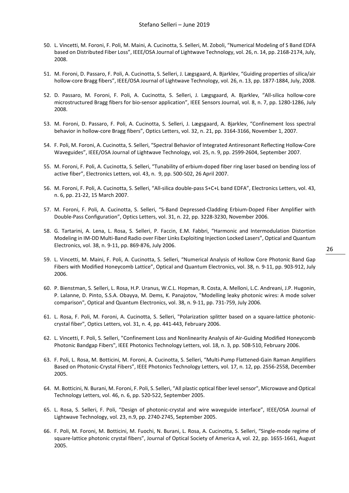- 50. L. Vincetti, M. Foroni, F. Poli, M. Maini, A. Cucinotta, S. Selleri, M. Zoboli, "Numerical Modeling of S Band EDFA based on Distributed Fiber Loss", IEEE/OSA Journal of Lightwave Technology, vol. 26, n. 14, pp. 2168-2174, July, 2008.
- 51. M. Foroni, D. Passaro, F. Poli, A. Cucinotta, S. Selleri, J. Lægsgaard, A. Bjarklev, "Guiding properties of silica/air hollow-core Bragg fibers", IEEE/OSA Journal of Lightwave Technology, vol. 26, n. 13, pp. 1877-1884, July, 2008.
- 52. D. Passaro, M. Foroni, F. Poli, A. Cucinotta, S. Selleri, J. Lægsgaard, A. Bjarklev, "All-silica hollow-core microstructured Bragg fibers for bio-sensor application", IEEE Sensors Journal, vol. 8, n. 7, pp. 1280-1286, July 2008.
- 53. M. Foroni, D. Passaro, F. Poli, A. Cucinotta, S. Selleri, J. Lægsgaard, A. Bjarklev, "Confinement loss spectral behavior in hollow-core Bragg fibers", Optics Letters, vol. 32, n. 21, pp. 3164-3166, November 1, 2007.
- 54. F. Poli, M. Foroni, A. Cucinotta, S. Selleri, "Spectral Behavior of Integrated Antiresonant Reflecting Hollow-Core Waveguides", IEEE/OSA Journal of Lightwave Technology, vol. 25, n. 9, pp. 2599-2604, September 2007.
- 55. M. Foroni, F. Poli, A. Cucinotta, S. Selleri, "Tunability of erbium-doped fiber ring laser based on bending loss of active fiber", Electronics Letters, vol. 43, n. 9, pp. 500-502, 26 April 2007.
- 56. M. Foroni, F. Poli, A. Cucinotta, S. Selleri, "All-silica double-pass S+C+L band EDFA", Electronics Letters, vol. 43, n. 6, pp. 21-22, 15 March 2007.
- 57. M. Foroni, F. Poli, A. Cucinotta, S. Selleri, "S-Band Depressed-Cladding Erbium-Doped Fiber Amplifier with Double-Pass Configuration", Optics Letters, vol. 31, n. 22, pp. 3228-3230, November 2006.
- 58. G. Tartarini, A. Lena, L. Rosa, S. Selleri, P. Faccin, E.M. Fabbri, "Harmonic and Intermodulation Distortion Modeling in IM-DD Multi-Band Radio over Fiber Links Exploiting Injection Locked Lasers", Optical and Quantum Electronics, vol. 38, n. 9-11, pp. 869-876, July 2006.
- 59. L. Vincetti, M. Maini, F. Poli, A. Cucinotta, S. Selleri, "Numerical Analysis of Hollow Core Photonic Band Gap Fibers with Modified Honeycomb Lattice", Optical and Quantum Electronics, vol. 38, n. 9-11, pp. 903-912, July 2006.
- 60. P. Bienstman, S. Selleri, L. Rosa, H.P. Uranus, W.C.L. Hopman, R. Costa, A. Melloni, L.C. Andreani, J.P. Hugonin, P. Lalanne, D. Pinto, S.S.A. Obayya, M. Dems, K. Panajotov, "Modelling leaky photonic wires: A mode solver comparison", Optical and Quantum Electronics, vol. 38, n. 9-11, pp. 731-759, July 2006.
- 61. L. Rosa, F. Poli, M. Foroni, A. Cucinotta, S. Selleri, "Polarization splitter based on a square-lattice photoniccrystal fiber", Optics Letters, vol. 31, n. 4, pp. 441-443, February 2006.
- 62. L. Vincetti, F. Poli, S. Selleri, "Confinement Loss and Nonlinearity Analysis of Air-Guiding Modified Honeycomb Photonic Bandgap Fibers", IEEE Photonics Technology Letters, vol. 18, n. 3, pp. 508-510, February 2006.
- 63. F. Poli, L. Rosa, M. Botticini, M. Foroni, A. Cucinotta, S. Selleri, "Multi-Pump Flattened-Gain Raman Amplifiers Based on Photonic-Crystal Fibers", IEEE Photonics Technology Letters, vol. 17, n. 12, pp. 2556-2558, December 2005.
- 64. M. Botticini, N. Burani, M. Foroni, F. Poli, S. Selleri, "All plastic optical fiber level sensor", Microwave and Optical Technology Letters, vol. 46, n. 6, pp. 520-522, September 2005.
- 65. L. Rosa, S. Selleri, F. Poli, "Design of photonic-crystal and wire waveguide interface", IEEE/OSA Journal of Lightwave Technology, vol. 23, n.9, pp. 2740-2745, September 2005.
- 66. F. Poli, M. Foroni, M. Botticini, M. Fuochi, N. Burani, L. Rosa, A. Cucinotta, S. Selleri, "Single-mode regime of square-lattice photonic crystal fibers", Journal of Optical Society of America A, vol. 22, pp. 1655-1661, August 2005.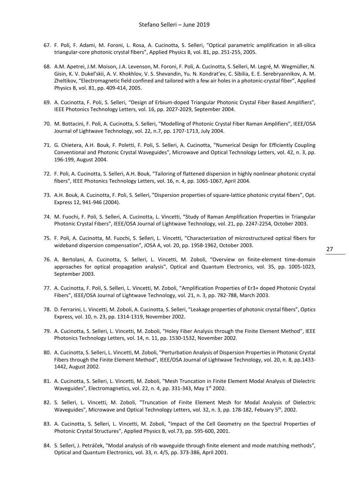- 67. F. Poli, F. Adami, M. Foroni, L. Rosa, A. Cucinotta, S. Selleri, "Optical parametric amplification in all-silica triangular-core photonic crystal fibers", Applied Physics B, vol. 81, pp. 251-255, 2005.
- 68. A.M. Apetrei, J.M. Moison, J.A. Levenson, M. Foroni, F. Poli, A. Cucinotta, S. Selleri, M. Legré, M. Wegmüller, N. Gisin, K. V. Dukel'skii, A. V. Khokhlov, V. S. Shevandin, Yu. N. Kondrat'ev, C. Sibilia, E. E. Serebryannikov, A. M. Zheltikov, "Electromagnetic field confined and tailored with a few air holes in a photonic-crystal fiber", Applied Physics B, vol. 81, pp. 409-414, 2005.
- 69. A. Cucinotta, F. Poli, S. Selleri, "Design of Erbium-doped Triangular Photonic Crystal Fiber Based Amplifiers", IEEE Photonics Technology Letters, vol. 16, pp. 2027-2029, September 2004.
- 70. M. Bottacini, F. Poli, A. Cucinotta, S. Selleri, "Modelling of Photonic Crystal Fiber Raman Amplifiers", IEEE/OSA Journal of Lightwave Technology, vol. 22, n.7, pp. 1707-1713, July 2004.
- 71. G. Chietera, A.H. Bouk, F. Poletti, F. Poli, S. Selleri, A. Cucinotta, "Numerical Design for Efficiently Coupling Conventional and Photonic Crystal Waveguides", Microwave and Optical Technology Letters, vol. 42, n. 3, pp. 196-199, August 2004.
- 72. F. Poli, A. Cucinotta, S. Selleri, A.H. Bouk, "Tailoring of flattened dispersion in highly nonlinear photonic crystal fibers", IEEE Photonics Technology Letters, vol. 16, n. 4, pp. 1065-1067, April 2004.
- 73. A.H. Bouk, A. Cucinotta, F. Poli, S. Selleri, "Dispersion properties of square-lattice photonic crystal fibers", Opt. Express 12, 941-946 (2004).
- 74. M. Fuochi, F. Poli, S. Selleri, A. Cucinotta, L. Vincetti, "Study of Raman Amplification Properties in Triangular Photonic Crystal Fibers", IEEE/OSA Journal of Lightwave Technology, vol. 21, pp. 2247-2254, October 2003.
- 75. F. Poli, A. Cucinotta, M. Fuochi, S. Selleri, L. Vincetti, "Characterization of microstructured optical fibers for wideband dispersion compensation", JOSA A, vol. 20, pp. 1958-1962, October 2003.
- 76. A. Bertolani, A. Cucinotta, S. Selleri, L. Vincetti, M. Zoboli, "Overview on finite-element time-domain approaches for optical propagation analysis", Optical and Quantum Electronics, vol. 35, pp. 1005-1023, September 2003.
- 77. A. Cucinotta, F. Poli, S. Selleri, L. Vincetti, M. Zoboli, "Amplification Properties of Er3+ doped Photonic Crystal Fibers", IEEE/OSA Journal of Lightwave Technology, vol. 21, n. 3, pp. 782-788, March 2003.
- 78. D. Ferrarini, L. Vincetti, M. Zoboli, A. Cucinotta, S. Selleri, "Leakage properties of photonic crystal fibers", Optics Express, vol. 10, n. 23, pp. 1314-1319, November 2002.
- 79. A. Cucinotta, S. Selleri, L. Vincetti, M. Zoboli, "Holey Fiber Analysis through the Finite Element Method", IEEE Photonics Technology Letters, vol. 14, n. 11, pp. 1530-1532, November 2002.
- 80. A. Cucinotta, S. Selleri, L. Vincetti, M. Zoboli, "Perturbation Analysis of Dispersion Properties in Photonic Crystal Fibers through the Finite Element Method", IEEE/OSA Journal of Lightwave Technology, vol. 20, n. 8, pp.1433- 1442, August 2002.
- 81. A. Cucinotta, S. Selleri, L. Vincetti, M. Zoboli, "Mesh Truncation in Finite Element Modal Analysis of Dielectric Waveguides", Electromagnetics, vol. 22, n. 4, pp. 331-343, May 1st 2002.
- 82. S. Selleri, L. Vincetti, M. Zoboli, "Truncation of Finite Element Mesh for Modal Analysis of Dielectric Waveguides", Microwave and Optical Technology Letters, vol. 32, n. 3, pp. 178-182, Febuary 5th, 2002.
- 83. A. Cucinotta, S. Selleri, L. Vincetti, M. Zoboli, "Impact of the Cell Geometry on the Spectral Properties of Photonic Crystal Structures", Applied Physics B, vol.73, pp. 595-600, 2001.
- 84. S. Selleri, J. Petráček, "Modal analysis of rib waveguide through finite element and mode matching methods", Optical and Quantum Electronics, vol. 33, n. 4/5, pp. 373-386, April 2001.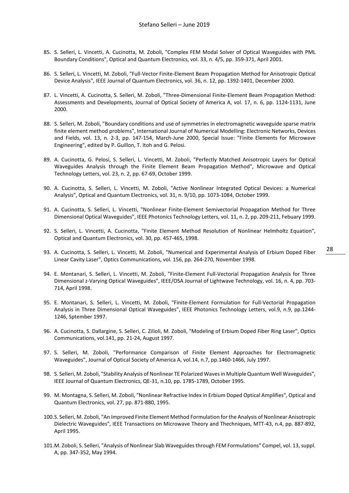- 85. S. Selleri, L. Vincetti, A. Cucinotta, M. Zoboli, "Complex FEM Modal Solver of Optical Waveguides with PML Boundary Conditions", Optical and Quantum Electronics, vol. 33, n. 4/5, pp. 359-371, April 2001.
- 86. S. Selleri, L. Vincetti, M. Zoboli, "Full-Vector Finite-Element Beam Propagation Method for Anisotropic Optical Device Analysis", IEEE Journal of Quantum Electronics, vol. 36, n. 12, pp. 1392-1401, December 2000.
- 87. L. Vincetti, A. Cucinotta, S. Selleri, M. Zoboli, "Three-Dimensional Finite-Element Beam Propagation Method: Assessments and Developments, Journal of Optical Society of America A, vol. 17, n. 6, pp. 1124-1131, June 2000.
- 88. S. Selleri, M. Zoboli, "Boundary conditions and use of symmetries in electromagnetic waveguide sparse matrix finite element method problems", International Journal of Numerical Modelling: Electronic Networks, Devices and Fields, vol. 13, n. 2-3, pp. 147-154, March-June 2000, Special Issue: "Finite Elements for Microwave Engineering", edited by P. Guillon, T. Itoh and G. Pelosi.
- 89. A. Cucinotta, G. Pelosi, S. Selleri, L. Vincetti, M. Zoboli, "Perfectly Matched Anisotropic Layers for Optical Waveguides Analysis through the Finite Element Beam Propagation Method", Microwave and Optical Technology Letters, vol. 23, n. 2, pp. 67-69, October 1999.
- 90. A. Cucinotta, S. Selleri, L. Vincetti, M. Zoboli, "Active Nonlinear Integrated Optical Devices: a Numerical Analysis", Optical and Quantum Electronics, vol. 31, n. 9/10, pp. 1073-1084, October 1999.
- 91. A. Cucinotta, S. Selleri, L. Vincetti, "Nonlinear Finite-Element Semivectorial Propagation Method for Three Dimensional Optical Waveguides", IEEE Photonics Technology Letters, vol. 11, n. 2, pp. 209-211, Febuary 1999.
- 92. S. Selleri, L. Vincetti, A. Cucinotta, "Finite Element Method Resolution of Nonlinear Helmholtz Equation", Optical and Quantum Electronics, vol. 30, pp. 457-465, 1998.
- 93. A. Cucinotta, S. Selleri, L. Vincetti, M. Zoboli, "Numerical and Experimental Analysis of Erbium Doped Fiber Linear Cavity Laser", Optics Communications, vol. 156, pp. 264-270, November 1998.
- 94. E. Montanari, S. Selleri, L. Vincetti, M. Zoboli, "Finite-Element Full-Vectorial Propagation Analysis for Three Dimensional z-Varying Optical Waveguides", IEEE/OSA Journal of Lightwave Technology, vol. 16, n. 4, pp. 703- 714, April 1998.
- 95. E. Montanari, S. Selleri, L. Vincetti, M. Zoboli, "Finite-Element Formulation for Full-Vectorial Propagation Analysis in Three Dimensional Optical Waveguides", IEEE Photonics Technology Letters, vol.9, n.9, pp.1244- 1246, Sptember 1997.
- 96. A. Cucinotta, S. Dallargine, S. Selleri, C. Zilioli, M. Zoboli, "Modeling of Erbium Doped Fiber Ring Laser", Optics Communications, vol.141, pp. 21-24, August 1997.
- 97. S. Selleri, M. Zoboli, "Performance Comparison of Finite Element Approaches for Electromagnetic Waveguides", Journal of Optical Society of America A, vol.14, n.7, pp.1460-1466, July 1997.
- 98. S. Selleri, M. Zoboli, "Stability Analysis of Nonlinear TE Polarized Waves in Multiple Quantum Well Waveguides", IEEE Journal of Quantum Electronics, QE-31, n.10, pp. 1785-1789, October 1995.
- 99. M. Montagna, S. Selleri, M. Zoboli, "Nonlinear Refractive Index in Erbium Doped Optical Amplifies", Optical and Quantum Electronics, vol. 27, pp. 871-880, 1995.
- 100.S. Selleri, M. Zoboli, "An Improved Finite Element Method Formulation for the Analysis of Nonlinear Anisotropic Dielectric Waveguides", IEEE Transactions on Microwave Theory and Thechniques, MTT-43, n.4, pp. 887-892, April 1995.
- 101.M. Zoboli, S. Selleri, "Analysis of Nonlinear Slab Waveguides through FEM Formulations" Compel, vol. 13, suppl. A, pp. 347-352, May 1994.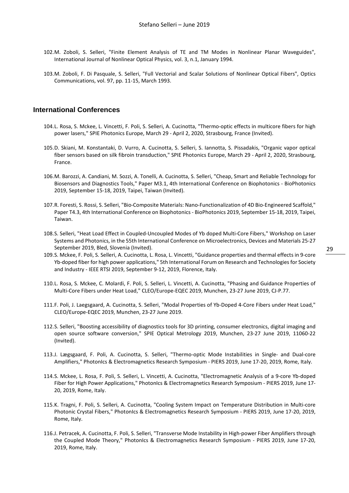- 102.M. Zoboli, S. Selleri, "Finite Element Analysis of TE and TM Modes in Nonlinear Planar Waveguides", International Journal of Nonlinear Optical Physics, vol. 3, n.1, January 1994.
- 103.M. Zoboli, F. Di Pasquale, S. Selleri, "Full Vectorial and Scalar Solutions of Nonlinear Optical Fibers", Optics Communications, vol. 97, pp. 11-15, March 1993.

#### <span id="page-29-0"></span>**International Conferences**

- 104.L. Rosa, S. Mckee, L. Vincetti, F. Poli, S. Selleri, A. Cucinotta, "Thermo-optic effects in multicore fibers for high power lasers," SPIE Photonics Europe, March 29 - April 2, 2020, Strasbourg, France (Invited).
- 105.D. Skiani, M. Konstantaki, D. Vurro, A. Cucinotta, S. Selleri, S. Iannotta, S. Pissadakis, "Organic vapor optical fiber sensors based on silk fibroin transduction," SPIE Photonics Europe, March 29 - April 2, 2020, Strasbourg, France.
- 106.M. Barozzi, A. Candiani, M. Sozzi, A. Tonelli, A. Cucinotta, S. Selleri, "Cheap, Smart and Reliable Technology for Biosensors and Diagnostics Tools," Paper M3.1, 4th International Conference on Biophotonics - BioPhotonics 2019, September 15-18, 2019, Taipei, Taiwan (Invited).
- 107.R. Foresti, S. Rossi, S. Selleri, "Bio-Composite Materials: Nano-Functionalization of 4D Bio-Engineered Scaffold," Paper T4.3, 4th International Conference on Biophotonics - BioPhotonics 2019, September 15-18, 2019, Taipei, Taiwan.
- 108.S. Selleri, "Heat Load Effect in Coupled-Uncoupled Modes of Yb doped Multi-Core Fibers," Workshop on Laser Systems and Photonics, in the 55th International Conference on Microelectronics, Devices and Materials 25-27 September 2019, Bled, Slovenia (Invited).
- 109.S. Mckee, F. Poli, S. Selleri, A. Cucinotta, L. Rosa, L. Vincetti, "Guidance properties and thermal effects in 9-core Yb-doped fiber for high power applications," 5th International Forum on Research and Technologies for Society and Industry - IEEE RTSI 2019, September 9-12, 2019, Florence, Italy.
- 110.L. Rosa, S. Mckee, C. Molardi, F. Poli, S. Selleri, L. Vincetti, A. Cucinotta, "Phasing and Guidance Properties of Multi-Core Fibers under Heat Load," CLEO/Europe-EQEC 2019, Munchen, 23-27 June 2019, CJ-P.77.
- 111.F. Poli, J. Laegsgaard, A. Cucinotta, S. Selleri, "Modal Properties of Yb-Doped 4-Core Fibers under Heat Load," CLEO/Europe-EQEC 2019, Munchen, 23-27 June 2019.
- 112.S. Selleri, "Boosting accessibility of diagnostics tools for 3D printing, consumer electronics, digital imaging and open source software conversion," SPIE Optical Metrology 2019, Munchen, 23-27 June 2019, 11060-22 (Invited).
- 113.J. Lægsgaard, F. Poli, A. Cucinotta, S. Selleri, "Thermo-optic Mode Instabilities in Single- and Dual-core Amplifiers," PhotonIcs & Electromagnetics Research Symposium - PIERS 2019, June 17-20, 2019, Rome, Italy.
- 114.S. Mckee, L. Rosa, F. Poli, S. Selleri, L. Vincetti, A. Cucinotta, "Electromagnetic Analysis of a 9-core Yb-doped Fiber for High Power Applications," PhotonIcs & Electromagnetics Research Symposium - PIERS 2019, June 17-20, 2019, Rome, Italy.
- 115.K. Tragni, F. Poli, S. Selleri, A. Cucinotta, "Cooling System Impact on Temperature Distribution in Multi-core Photonic Crystal Fibers," PhotonIcs & Electromagnetics Research Symposium - PIERS 2019, June 17-20, 2019, Rome, Italy.
- 116.J. Petracek, A. Cucinotta, F. Poli, S. Selleri, "Transverse Mode Instability in High-power Fiber Amplifiers through the Coupled Mode Theory," PhotonIcs & Electromagnetics Research Symposium - PIERS 2019, June 17-20, 2019, Rome, Italy.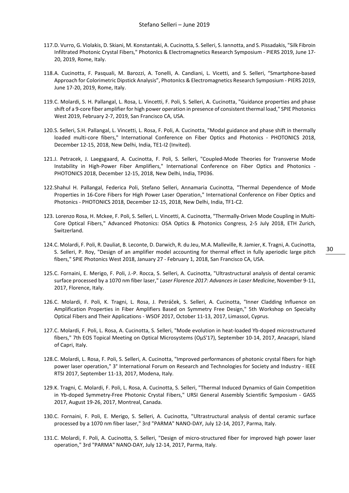- 117.D. Vurro, G. Violakis, D. Skiani, M. Konstantaki, A. Cucinotta, S. Selleri, S. Iannotta, and S. Pissadakis, "Silk Fibroin Infiltrated Photonic Crystal Fibers," PhotonIcs & Electromagnetics Research Symposium - PIERS 2019, June 17- 20, 2019, Rome, Italy.
- 118.A. Cucinotta, F. Pasquali, M. Barozzi, A. Tonelli, A. Candiani, L. Vicetti, and S. Selleri, "Smartphone-based Approach for Colorimetric Dipstick Analysis", PhotonIcs & Electromagnetics Research Symposium - PIERS 2019, June 17-20, 2019, Rome, Italy.
- 119.C. Molardi, S. H. Pallangal, L. Rosa, L. Vincetti, F. Poli, S. Selleri, A. Cucinotta, "Guidance properties and phase shift of a 9-core fiber amplifier for high power operation in presence of consistent thermal load," SPIE Photonics West 2019, February 2-7, 2019, San Francisco CA, USA.
- 120.S. Selleri, S.H. Pallangal, L. Vincetti, L. Rosa, F. Poli, A. Cucinotta, "Modal guidance and phase shift in thermally loaded multi-core fibers," International Conference on Fiber Optics and Photonics - PHOTONICS 2018, December 12-15, 2018, New Delhi, India, TE1-I2 (Invited).
- 121.J. Petracek, J. Laegsgaard, A. Cucinotta, F. Poli, S. Selleri, "Coupled-Mode Theories for Transverse Mode Instability in High-Power Fiber Amplifiers," International Conference on Fiber Optics and Photonics - PHOTONICS 2018, December 12-15, 2018, New Delhi, India, TP036.
- 122.Shahul H. Pallangal, Federica Poli, Stefano Selleri, Annamaria Cucinotta, "Thermal Dependence of Mode Properties in 16-Core Fibers for High Power Laser Operation," International Conference on Fiber Optics and Photonics - PHOTONICS 2018, December 12-15, 2018, New Delhi, India, TF1-C2.
- 123. Lorenzo Rosa, H. Mckee, F. Poli, S. Selleri, L. Vincetti, A. Cucinotta, "Thermally-Driven Mode Coupling in Multi-Core Optical Fibers," Advanced Photonics: OSA Optics & Photonics Congress, 2-5 July 2018, ETH Zurich, Switzerland.
- 124.C. Molardi, F. Poli, R. Dauliat, B. Leconte, D. Darwich, R. du Jeu, M.A. Malleville, R. Jamier, K. Tragni, A. Cucinotta, S. Selleri, P. Roy, "Design of an amplifier model accounting for thermal effect in fully aperiodic large pitch fibers," SPIE Photonics West 2018, January 27 - February 1, 2018, San Francisco CA, USA.
- 125.C. Fornaini, E. Merigo, F. Poli, J.-P. Rocca, S. Selleri, A. Cucinotta, "Ultrastructural analysis of dental ceramic surface processed by a 1070 nm fiber laser," *Laser Florence 2017: Advances in Laser Medicine*, November 9-11, 2017, Florence, Italy.
- 126.C. Molardi, F. Poli, K. Tragni, L. Rosa, J. Petráček, S. Selleri, A. Cucinotta, "Inner Cladding Influence on Amplification Properties in Fiber Amplifiers Based on Symmetry Free Design," 5th Workshop on Specialty Optical Fibers and Their Applications - WSOF 2017, October 11-13, 2017, Limassol, Cyprus.
- 127.C. Molardi, F. Poli, L. Rosa, A. Cucinotta, S. Selleri, "Mode evolution in heat-loaded Yb-doped microstructured fibers," 7th EOS Topical Meeting on Optical Microsystems (OμS'17), September 10-14, 2017, Anacapri, Island of Capri, Italy.
- 128.C. Molardi, L. Rosa, F. Poli, S. Selleri, A. Cucinotta, "Improved performances of photonic crystal fibers for high power laser operation," 3° International Forum on Research and Technologies for Society and Industry - IEEE RTSI 2017, September 11-13, 2017, Modena, Italy.
- 129.K. Tragni, C. Molardi, F. Poli, L. Rosa, A. Cucinotta, S. Selleri, "Thermal Induced Dynamics of Gain Competition in Yb-doped Symmetry-Free Photonic Crystal Fibers," URSI General Assembly Scientific Symposium - GASS 2017, August 19-26, 2017, Montreal, Canada.
- 130.C. Fornaini, F. Poli, E. Merigo, S. Selleri, A. Cucinotta, "Ultrastructural analysis of dental ceramic surface processed by a 1070 nm fiber laser," 3rd "PARMA" NANO-DAY, July 12-14, 2017, Parma, Italy.
- 131.C. Molardi, F. Poli, A. Cucinotta, S. Selleri, "Design of micro-structured fiber for improved high power laser operation," 3rd "PARMA" NANO-DAY, July 12-14, 2017, Parma, Italy.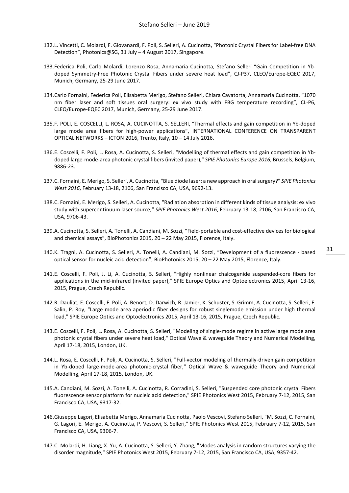- 132.L. Vincetti, C. Molardi, F. Giovanardi, F. Poli, S. Selleri, A. Cucinotta, "Photonic Crystal Fibers for Label-free DNA Detection", Photonics@SG, 31 July – 4 August 2017, Singapore.
- 133.Federica Poli, Carlo Molardi, Lorenzo Rosa, Annamaria Cucinotta, Stefano Selleri "Gain Competition in Ybdoped Symmetry-Free Photonic Crystal Fibers under severe heat load", CJ-P37, CLEO/Europe-EQEC 2017, Munich, Germany, 25-29 June 2017.
- 134.Carlo Fornaini, Federica Poli, Elisabetta Merigo, Stefano Selleri, Chiara Cavatorta, Annamaria Cucinotta, "1070 nm fiber laser and soft tissues oral surgery: ex vivo study with FBG temperature recording", CL-P6, CLEO/Europe-EQEC 2017, Munich, Germany, 25-29 June 2017.
- 135.F. POLI, E. COSCELLI, L. ROSA, A. CUCINOTTA, S. SELLERI, "Thermal effects and gain competition in Yb-doped large mode area fibers for high-power applications", INTERNATIONAL CONFERENCE ON TRANSPARENT OPTICAL NETWORKS – ICTON 2016, Trento, Italy, 10 – 14 July 2016.
- 136.E. Coscelli, F. Poli, L. Rosa, A. Cucinotta, S. Selleri, "Modelling of thermal effects and gain competition in Ybdoped large-mode-area photonic crystal fibers (invited paper)," *SPIE Photonics Europe 2016*, Brussels, Belgium, 9886-23.
- 137.C. Fornaini, E. Merigo, S. Selleri, A. Cucinotta, "Blue diode laser: a new approach in oral surgery?" *SPIE Photonics West 2016*, February 13-18, 2106, San Francisco CA, USA, 9692-13.
- 138.C. Fornaini, E. Merigo, S. Selleri, A. Cucinotta, "Radiation absorption in different kinds of tissue analysis: ex vivo study with supercontinuum laser source," *SPIE Photonics West 2016*, February 13-18, 2106, San Francisco CA, USA, 9706-43.
- 139.A. Cucinotta, S. Selleri, A. Tonelli, A. Candiani, M. Sozzi, "Field-portable and cost-effective devices for biological and chemical assays", BioPhotonics 2015, 20 – 22 May 2015, Florence, Italy.
- 140.K. Tragni, A. Cucinotta, S. Selleri, A. Tonelli, A. Candiani, M. Sozzi, "Development of a fluorescence based optical sensor for nucleic acid detection", BioPhotonics 2015, 20 – 22 May 2015, Florence, Italy.
- 141.E. Coscelli, F. Poli, J. Li, A. Cucinotta, S. Selleri, "Highly nonlinear chalcogenide suspended-core fibers for applications in the mid-infrared (invited paper)," SPIE Europe Optics and Optoelectronics 2015, April 13-16, 2015, Prague, Czech Republic.
- 142.R. Dauliat, E. Coscelli, F. Poli, A. Benort, D. Darwich, R. Jamier, K. Schuster, S. Grimm, A. Cucinotta, S. Selleri, F. Salin, P. Roy, "Large mode area aperiodic fiber designs for robust singlemode emission under high thermal load," SPIE Europe Optics and Optoelectronics 2015, April 13-16, 2015, Prague, Czech Republic.
- 143.E. Coscelli, F. Poli, L. Rosa, A. Cucinotta, S. Selleri, "Modeling of single-mode regime in active large mode area photonic crystal fibers under severe heat load," Optical Wave & waveguide Theory and Numerical Modelling, April 17-18, 2015, London, UK.
- 144.L. Rosa, E. Coscelli, F. Poli, A. Cucinotta, S. Selleri, "Full-vector modeling of thermally-driven gain competition in Yb-doped large-mode-area photonic-crystal fiber," Optical Wave & waveguide Theory and Numerical Modelling, April 17-18, 2015, London, UK.
- 145.A. Candiani, M. Sozzi, A. Tonelli, A. Cucinotta, R. Corradini, S. Selleri, "Suspended core photonic crystal Fibers fluorescence sensor platform for nucleic acid detection," SPIE Photonics West 2015, February 7-12, 2015, San Francisco CA, USA, 9317-32.
- 146.Giuseppe Lagori, Elisabetta Merigo, Annamaria Cucinotta, Paolo Vescovi, Stefano Selleri, "M. Sozzi, C. Fornaini, G. Lagori, E. Merigo, A. Cucinotta, P. Vescovi, S. Selleri," SPIE Photonics West 2015, February 7-12, 2015, San Francisco CA, USA, 9306-7.
- 147.C. Molardi, H. Liang, X. Yu, A. Cucinotta, S. Selleri, Y. Zhang, "Modes analysis in random structures varying the disorder magnitude," SPIE Photonics West 2015, February 7-12, 2015, San Francisco CA, USA, 9357-42.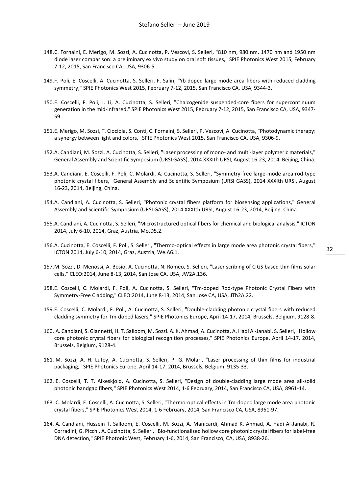- 148.C. Fornaini, E. Merigo, M. Sozzi, A. Cucinotta, P. Vescovi, S. Selleri, "810 nm, 980 nm, 1470 nm and 1950 nm diode laser comparison: a preliminary ex vivo study on oral soft tissues," SPIE Photonics West 2015, February 7-12, 2015, San Francisco CA, USA, 9306-5.
- 149.F. Poli, E. Coscelli, A. Cucinotta, S. Selleri, F. Salin, "Yb-doped large mode area fibers with reduced cladding symmetry," SPIE Photonics West 2015, February 7-12, 2015, San Francisco CA, USA, 9344-3.
- 150.E. Coscelli, F. Poli, J. Li, A. Cucinotta, S. Selleri, "Chalcogenide suspended-core fibers for supercontinuum generation in the mid-infrared," SPIE Photonics West 2015, February 7-12, 2015, San Francisco CA, USA, 9347- 59.
- 151.E. Merigo, M. Sozzi, T. Ciociola, S. Conti, C. Fornaini, S. Selleri, P. Vescovi, A. Cucinotta, "Photodynamic therapy: a synergy between light and colors," SPIE Photonics West 2015, San Francisco CA, USA, 9306-9.
- 152.A. Candiani, M. Sozzi, A. Cucinotta, S. Selleri, "Laser processing of mono- and multi-layer polymeric materials," General Assembly and Scientific Symposium (URSI GASS), 2014 XXXIth URSI, August 16-23, 2014, Beijing, China.
- 153.A. Candiani, E. Coscelli, F. Poli, C. Molardi, A. Cucinotta, S. Selleri, "Symmetry-free large-mode area rod-type photonic crystal fibers," General Assembly and Scientific Symposium (URSI GASS), 2014 XXXIth URSI, August 16-23, 2014, Beijing, China.
- 154.A. Candiani, A. Cucinotta, S. Selleri, "Photonic crystal fibers platform for biosensing applications," General Assembly and Scientific Symposium (URSI GASS), 2014 XXXIth URSI, August 16-23, 2014, Beijing, China.
- 155.A. Candiani, A. Cucinotta, S. Selleri, "Microstructured optical fibers for chemical and biological analysis," ICTON 2014, July 6-10, 2014, Graz, Austria, Mo.D5.2.
- 156.A. Cucinotta, E. Coscelli, F. Poli, S. Selleri, "Thermo-optical effects in large mode area photonic crystal fibers," ICTON 2014, July 6-10, 2014, Graz, Austria, We.A6.1.
- 157.M. Sozzi, D. Menossi, A. Bosio, A. Cucinotta, N. Romeo, S. Selleri, "Laser scribing of CIGS based thin films solar cells," CLEO:2014, June 8-13, 2014, San Jose CA, USA, JW2A.136.
- 158.E. Coscelli, C. Molardi, F. Poli, A. Cucinotta, S. Selleri, "Tm-doped Rod-type Photonic Crystal Fibers with Symmetry-Free Cladding," CLEO:2014, June 8-13, 2014, San Jose CA, USA, JTh2A.22.
- 159.E. Coscelli, C. Molardi, F. Poli, A. Cucinotta, S. Selleri, "Double-cladding photonic crystal fibers with reduced cladding symmetry for Tm-doped lasers," SPIE Photonics Europe, April 14-17, 2014, Brussels, Belgium, 9128-8.
- 160. A. Candiani, S. Giannetti, H. T. Salloom, M. Sozzi. A. K. Ahmad, A. Cucinotta, A. Hadi Al-Janabi, S. Selleri, "Hollow core photonic crystal fibers for biological recognition processes," SPIE Photonics Europe, April 14-17, 2014, Brussels, Belgium, 9128-4.
- 161. M. Sozzi, A. H. Lutey, A. Cucinotta, S. Selleri, P. G. Molari, "Laser processing of thin films for industrial packaging," SPIE Photonics Europe, April 14-17, 2014, Brussels, Belgium, 9135-33.
- 162. E. Coscelli, T. T. Alkeskjold, A. Cucinotta, S. Selleri, "Design of double-cladding large mode area all-solid photonic bandgap fibers," SPIE Photonics West 2014, 1-6 February, 2014, San Francisco CA, USA, 8961-14.
- 163. C. Molardi, E. Coscelli, A. Cucinotta, S. Selleri, "Thermo-optical effects in Tm-doped large mode area photonic crystal fibers," SPIE Photonics West 2014, 1-6 February, 2014, San Francisco CA, USA, 8961-97.
- 164. A. Candiani, Hussein T. Salloom, E. Coscelli, M. Sozzi, A. Manicardi, Ahmad K. Ahmad, A. Hadi Al-Janabi, R. Corradini, G. Picchi, A. Cucinotta, S. Selleri, "Bio-functionalized hollow core photonic crystal fibers for label-free DNA detection," SPIE Photonic West, February 1-6, 2014, San Francisco, CA, USA, 8938-26.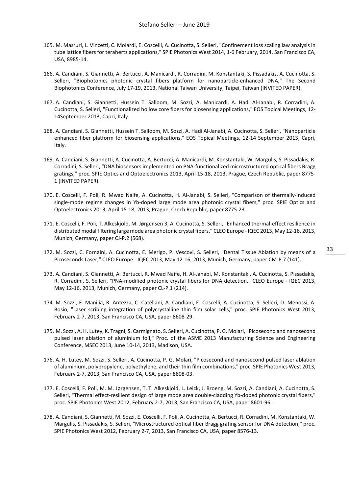- 165. M. Masruri, L. Vincetti, C. Molardi, E. Coscelli, A. Cucinotta, S. Selleri, "Confinement loss scaling law analysis in tube lattice fibers for terahertz applications," SPIE Photonics West 2014, 1-6 February, 2014, San Francisco CA, USA, 8985-14.
- 166. A. Candiani, S. Giannetti, A. Bertucci, A. Manicardi, R. Corradini, M. Konstantaki, S. Pissadakis, A. Cucinotta, S. Selleri, "Biophotonics photonic crystal fibers platform for nanoparticle-enhanced DNA," The Second Biophotonics Conference, July 17-19, 2013, National Taiwan University, Taipei, Taiwan (INVITED PAPER).
- 167. A. Candiani, S. Giannetti, Hussein T. Salloom, M. Sozzi, A. Manicardi, A. Hadi Al-Janabi, R. Corradini, A. Cucinotta, S. Selleri, "Functionalized hollow core fibers for biosensing applications," EOS Topical Meetings, 12- 14September 2013, Capri, Italy.
- 168. A. Candiani, S. Giannetti, Hussein T. Salloom, M. Sozzi, A. Hadi Al-Janabi, A. Cucinotta, S. Selleri, "Nanoparticle enhanced fiber platform for biosensing applications," EOS Topical Meetings, 12-14 September 2013, Capri, Italy.
- 169. A. Candiani, S. Giannetti, A. Cucinotta, A. Bertucci, A. Manicardi, M. Konstantaki, W. Margulis, S. Pissadakis, R. Corradini, S. Selleri, "DNA biosensors implemented on PNA-functionalized microstructured optical fibers Bragg gratings," proc. SPIE Optics and Optoelectronics 2013, April 15-18, 2013, Prague, Czech Republic, paper 8775- 1 (INVITED PAPER).
- 170. E. Coscelli, F. Poli, R. Mwad Naife, A. Cucinotta, H. Al-Janabi, S. Selleri, "Comparison of thermally-induced single-mode regime changes in Yb-doped large mode area photonic crystal fibers," proc. SPIE Optics and Optoelectronics 2013, April 15-18, 2013, Prague, Czech Republic, paper 8775-23.
- 171. E. Coscelli, F. Poli, T. Alkeskjold, M. Jørgensen 3, A. Cucinotta, S. Selleri, "Enhanced thermal-effect resilience in distributed modal filtering large mode area photonic crystal fibers," CLEO Europe - IQEC 2013, May 12-16, 2013, Munich, Germany, paper CJ-P.2 (568).
- 172. M. Sozzi, C. Fornaini, A. Cucinotta, E. Merigo, P. Vescovi, S. Selleri, "Dental Tissue Ablation by means of a Picoseconds Laser," CLEO Europe - IQEC 2013, May 12-16, 2013, Munich, Germany, paper CM-P.7 (141).
- 173. A. Candiani, S. Giannetti, A. Bertucci, R. Mwad Naife, H. Al-Janabi, M. Konstantaki, A. Cucinotta, S. Pissadakis, R. Corradini, S. Selleri, "PNA-modified photonic crystal fibers for DNA detection," CLEO Europe - IQEC 2013, May 12-16, 2013, Munich, Germany, paper CL-P.1 (214).
- 174. M. Sozzi, F. Manilia, R. Antezza, C. Catellani, A. Candiani, E. Coscelli, A. Cucinotta, S. Selleri, D. Menossi, A. Bosio, "Laser scribing integration of polycrystalline thin film solar cells," proc. SPIE Photonics West 2013, February 2-7, 2013, San Francisco CA, USA, paper 8608-29.
- 175. M. Sozzi, A. H. Lutey, K. Tragni, S. Carmignato, S. Selleri, A. Cucinotta, P. G. Molari, "Picosecond and nanosecond pulsed laser ablation of aluminium foil," Proc. of the ASME 2013 Manufacturing Science and Engineering Conference, MSEC 2013, June 10-14, 2013, Madison, USA.
- 176. A. H. Lutey, M. Sozzi, S. Selleri, A. Cucinotta, P. G. Molari, "Picosecond and nanosecond pulsed laser ablation of aluminium, polypropylene, polyethylene, and their thin film combinations," proc. SPIE Photonics West 2013, February 2-7, 2013, San Francisco CA, USA, paper 8608-03.
- 177. E. Coscelli, F. Poli, M. M. Jørgensen, T. T. Alkeskjold, L. Leick, J. Broeng, M. Sozzi, A. Candiani, A. Cucinotta, S. Selleri, "Thermal effect-resilient design of large mode area double-cladding Yb-doped photonic crystal fibers," proc. SPIE Photonics West 2012, February 2-7, 2013, San Francisco CA, USA, paper 8601-96.
- 178. A. Candiani, S. Giannetti, M. Sozzi, E. Coscelli, F. Poli, A. Cucinotta, A. Bertucci, R. Corradini, M. Konstantaki, W. Margulis, S. Pissadakis, S. Selleri, "Microstructured optical fiber Bragg grating sensor for DNA detection," proc. SPIE Photonics West 2012, February 2-7, 2013, San Francisco CA, USA, paper 8576-13.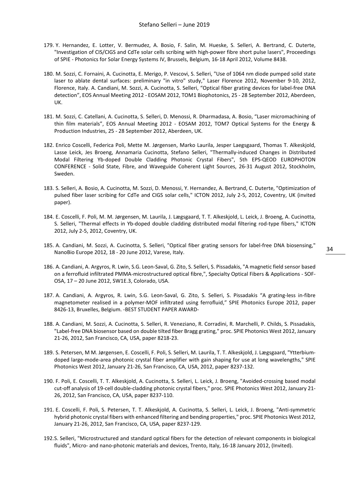- 179. Y. Hernandez, E. Lotter, V. Bermudez, A. Bosio, F. Salin, M. Hueske, S. Selleri, A. Bertrand, C. Duterte, "Investigation of CIS/CIGS and CdTe solar cells scribing with high-power fibre short pulse lasers", Proceedings of SPIE - Photonics for Solar Energy Systems IV, Brussels, Belgium, 16-18 April 2012, Volume 8438.
- 180. M. Sozzi, C. Fornaini, A. Cucinotta, E. Merigo, P. Vescovi, S. Selleri, "Use of 1064 nm diode pumped solid state laser to ablate dental surfaces: preliminary "in vitro" study," Laser Florence 2012, November 9-10, 2012, Florence, Italy. A. Candiani, M. Sozzi, A. Cucinotta, S. Selleri, "Optical fiber grating devices for label-free DNA detection", EOS Annual Meeting 2012 - EOSAM 2012, TOM1 Biophotonics, 25 - 28 September 2012, Aberdeen, UK.
- 181. M. Sozzi, C. Catellani, A. Cucinotta, S. Selleri, D. Menossi, R. Dharmadasa, A. Bosio, "Laser micromachining of thin film materials", EOS Annual Meeting 2012 - EOSAM 2012, TOM7 Optical Systems for the Energy & Production Industries, 25 - 28 September 2012, Aberdeen, UK.
- 182. Enrico Coscelli, Federica Poli, Mette M. Jørgensen, Marko Laurila, Jesper Laegsgaard, Thomas T. Alkeskjold, Lasse Leick, Jes Broeng, Annamaria Cucinotta, Stefano Selleri, "Thermally-induced Changes in Distributed Modal Filtering Yb-doped Double Cladding Photonic Crystal Fibers", 5th EPS-QEOD EUROPHOTON CONFERENCE - Solid State, Fibre, and Waveguide Coherent Light Sources, 26-31 August 2012, Stockholm, Sweden.
- 183. S. Selleri, A. Bosio, A. Cucinotta, M. Sozzi, D. Menossi, Y. Hernandez, A. Bertrand, C. Duterte, "Optimization of pulsed fiber laser scribing for CdTe and CIGS solar cells," ICTON 2012, July 2-5, 2012, Coventry, UK (invited paper).
- 184. E. Coscelli, F. Poli, M. M. Jørgensen, M. Laurila, J. Lægsgaard, T. T. Alkeskjold, L. Leick, J. Broeng, A. Cucinotta, S. Selleri, "Thermal effects in Yb-doped double cladding distributed modal filtering rod-type fibers," ICTON 2012, July 2-5, 2012, Coventry, UK.
- 185. A. Candiani, M. Sozzi, A. Cucinotta, S. Selleri, "Optical fiber grating sensors for label-free DNA biosensing," NanoBio Europe 2012, 18 - 20 June 2012, Varese, Italy.
- 186. A. Candiani, A. Argyros, R. Lwin, S.G. Leon-Saval, G. Zito, S. Selleri, S. Pissadakis, "A magnetic field sensor based on a ferrofluid infiltrated PMMA-microstructured optical fibre,", Specialty Optical Fibers & Applications - SOF-OSA, 17 – 20 June 2012, SW1E.3, Colorado, USA.
- 187. A. Candiani, A. Argyros, R. Lwin, S.G. Leon-Saval, G. Zito, S. Selleri, S. Pissadakis "A grating-less in-fibre magnetometer realised in a polymer-MOF infiltrated using ferrofluid," SPIE Photonics Europe 2012, paper 8426-13, Bruxelles, Belgium. -BEST STUDENT PAPER AWARD-
- 188. A. Candiani, M. Sozzi, A. Cucinotta, S. Selleri, R. Veneziano, R. Corradini, R. Marchelli, P. Childs, S. Pissadakis, "Label-free DNA biosensor based on double tilted fiber Bragg grating," proc. SPIE Photonics West 2012, January 21-26, 2012, San Francisco, CA, USA, paper 8218-23.
- 189. S. Petersen, M M. Jørgensen, E. Coscelli, F. Poli, S. Selleri, M. Laurila, T. T. Alkeskjold, J. Lægsgaard, "Ytterbiumdoped large-mode-area photonic crystal fiber amplifier with gain shaping for use at long wavelengths," SPIE Photonics West 2012, January 21-26, San Francisco, CA, USA, 2012, paper 8237-132.
- 190. F. Poli, E. Coscelli, T. T. Alkeskjold, A. Cucinotta, S. Selleri, L. Leick, J. Broeng, "Avoided-crossing based modal cut-off analysis of 19-cell double-cladding photonic crystal fibers," proc. SPIE Photonics West 2012, January 21- 26, 2012, San Francisco, CA, USA, paper 8237-110.
- 191. E. Coscelli, F. Poli, S. Petersen, T. T. Alkeskjold, A. Cucinotta, S. Selleri, L. Leick, J. Broeng, "Anti-symmetric hybrid photonic crystal fibers with enhanced filtering and bending properties," proc. SPIE Photonics West 2012, January 21-26, 2012, San Francisco, CA, USA, paper 8237-129.
- 192.S. Selleri, "Microstructured and standard optical fibers for the detection of relevant components in biological fluids", Micro- and nano-photonic materials and devices, Trento, Italy, 16-18 January 2012, (Invited).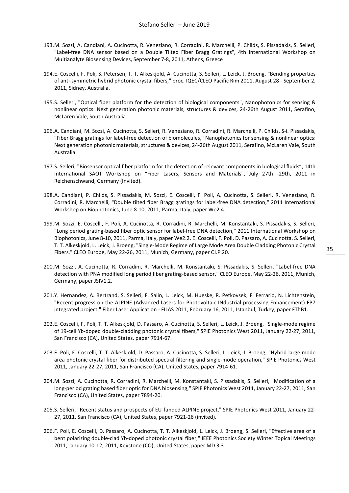- 193.M. Sozzi, A. Candiani, A. Cucinotta, R. Veneziano, R. Corradini, R. Marchelli, P. Childs, S. Pissadakis, S. Selleri, "Label-free DNA sensor based on a Double Tilted Fiber Bragg Gratings", 4th International Workshop on Multianalyte Biosensing Devices, September 7-8, 2011, Athens, Greece
- 194.E. Coscelli, F. Poli, S. Petersen, T. T. Alkeskjold, A. Cucinotta, S. Selleri, L. Leick, J. Broeng, "Bending properties of anti-symmetric hybrid photonic crystal fibers," proc. IQEC/CLEO Pacific Rim 2011, August 28 - September 2, 2011, Sidney, Australia.
- 195.S. Selleri, "Optical fiber platform for the detection of biological components", Nanophotonics for sensing & nonlinear optics: Next generation photonic materials, structures & devices, 24-26th August 2011, Serafino, McLaren Vale, South Australia.
- 196.A. Candiani, M. Sozzi, A. Cucinotta, S. Selleri, R. Veneziano, R. Corradini, R. Marchelli, P. Childs, S-ì. Pissadakis, "Fiber Bragg gratings for label-free detection of biomolecules," Nanophotonics for sensing & nonlinear optics: Next generation photonic materials, structures & devices, 24-26th August 2011, Serafino, McLaren Vale, South Australia.
- 197.S. Selleri, "Biosensor optical fiber platform for the detection of relevant components in biological fluids", 14th International SAOT Workshop on "Fiber Lasers, Sensors and Materials", July 27th -29th, 2011 in Reichenschwand, Germany (Invited).
- 198.A. Candiani, P. Childs, S. Pissadakis, M. Sozzi, E. Coscelli, F. Poli, A. Cucinotta, S. Selleri, R. Veneziano, R. Corradini, R. Marchelli, "Double tilted fiber Bragg gratings for label-free DNA detection," 2011 International Workshop on Biophotonics, June 8-10, 2011, Parma, Italy, paper We2.4.
- 199.M. Sozzi, E. Coscelli, F. Poli, A. Cucinotta, R. Corradini, R. Marchelli, M. Konstantaki, S. Pissadakis, S. Selleri, "Long period grating-based fiber optic sensor for label-free DNA detection," 2011 International Workshop on Biophotonics, June 8-10, 2011, Parma, Italy, paper We2.2. E. Coscelli, F. Poli, D. Passaro, A. Cucinotta, S. Selleri, T. T. Alkeskjold, L. Leick, J. Broeng, "Single-Mode Regime of Large Mode Area Double Cladding Photonic Crystal Fibers," CLEO Europe, May 22-26, 2011, Munich, Germany, paper CJ.P.20.
- 200.M. Sozzi, A. Cucinotta, R. Corradini, R. Marchelli, M. Konstantaki, S. Pissadakis, S. Selleri, "Label-free DNA detection with PNA modified long period fiber grating-based sensor," CLEO Europe, May 22-26, 2011, Munich, Germany, paper JSIV1.2.
- 201.Y. Hernandez, A. Bertrand, S. Selleri, F. Salin, L. Leick, M. Hueske, R. Petkovsek, F. Ferrario, N. Lichtenstein, "Recent progress on the ALPINE (Advanced Lasers for Photovoltaic INdustrial processing Enhancement) FP7 integrated project," Fiber Laser Application - FILAS 2011, February 16, 2011, Istanbul, Turkey, paper FThB1.
- 202.E. Coscelli, F. Poli, T. T. Alkeskjold, D. Passaro, A. Cucinotta, S. Selleri, L. Leick, J. Broeng, "Single-mode regime of 19-cell Yb-doped double-cladding photonic crystal fibers," SPIE Photonics West 2011, January 22-27, 2011, San Francisco (CA), United States, paper 7914-67.
- 203.F. Poli, E. Coscelli, T. T. Alkeskjold, D. Passaro, A. Cucinotta, S. Selleri, L. Leick, J. Broeng, "Hybrid large mode area photonic crystal fiber for distributed spectral filtering and single-mode operation," SPIE Photonics West 2011, January 22-27, 2011, San Francisco (CA), United States, paper 7914-61.
- 204.M. Sozzi, A. Cucinotta, R. Corradini, R. Marchelli, M. Konstantaki, S. Pissadakis, S. Selleri, "Modification of a long-period grating based fiber optic for DNA biosensing," SPIE Photonics West 2011, January 22-27, 2011, San Francisco (CA), United States, paper 7894-20.
- 205.S. Selleri, "Recent status and prospects of EU-funded ALPINE project," SPIE Photonics West 2011, January 22- 27, 2011, San Francisco (CA), United States, paper 7921-26 (invited).
- 206.F. Poli, E. Coscelli, D. Passaro, A. Cucinotta, T. T. Alkeskjold, L. Leick, J. Broeng, S. Selleri, "Effective area of a bent polarizing double-clad Yb-doped photonic crystal fiber," IEEE Photonics Society Winter Topical Meetings 2011, January 10-12, 2011, Keystone (CO), United States, paper MD 3.3.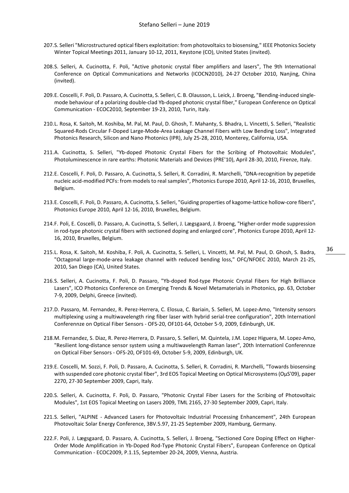- 207.S. Selleri "Microstructured optical fibers exploitation: from photovoltaics to biosensing," IEEE Photonics Society Winter Topical Meetings 2011, January 10-12, 2011, Keystone (CO), United States (invited).
- 208.S. Selleri, A. Cucinotta, F. Poli, "Active photonic crystal fiber amplifiers and lasers", The 9th International Conference on Optical Communications and Networks (ICOCN2010), 24-27 October 2010, Nanjing, China (invited).
- 209.E. Coscelli, F. Poli, D. Passaro, A. Cucinotta, S. Selleri, C. B. Olausson, L. Leick, J. Broeng, "Bending-induced singlemode behaviour of a polarizing double-clad Yb-doped photonic crystal fiber," European Conference on Optical Communication - ECOC2010, September 19-23, 2010, Turin, Italy.
- 210.L. Rosa, K. Saitoh, M. Koshiba, M. Pal, M. Paul, D. Ghosh, T. Mahanty, S. Bhadra, L. Vincetti, S. Selleri, "Realistic Squared-Rods Circular F-Doped Large-Mode-Area Leakage Channel Fibers with Low Bending Loss", Integrated Photonics Research, Silicon and Nano Photonics (IPR), July 25-28, 2010, Monterey, California, USA.
- 211.A. Cucinotta, S. Selleri, "Yb-doped Photonic Crystal Fibers for the Scribing of Photovoltaic Modules", Photoluminescence in rare earths: Photonic Materials and Devices (PRE'10), April 28-30, 2010, Firenze, Italy.
- 212.E. Coscelli, F. Poli, D. Passaro, A. Cucinotta, S. Selleri, R. Corradini, R. Marchelli, "DNA-recognition by pepetide nucleic acid-modified PCFs: from models to real samples", Photonics Europe 2010, April 12-16, 2010, Bruxelles, Belgium.
- 213.E. Coscelli, F. Poli, D. Passaro, A. Cucinotta, S. Selleri, "Guiding properties of kagome-lattice hollow-core fibers", Photonics Europe 2010, April 12-16, 2010, Bruxelles, Belgium.
- 214.F. Poli, E. Coscelli, D. Passaro, A. Cucinotta, S. Selleri, J. Lægsgaard, J. Broeng, "Higher-order mode suppression in rod-type photonic crystal fibers with sectioned doping and enlarged core", Photonics Europe 2010, April 12- 16, 2010, Bruxelles, Belgium.
- 215.L. Rosa, K. Saitoh, M. Koshiba, F. Poli, A. Cucinotta, S. Selleri, L. Vincetti, M. Pal, M. Paul, D. Ghosh, S. Badra, "Octagonal large-mode-area leakage channel with reduced bending loss," OFC/NFOEC 2010, March 21-25, 2010, San Diego (CA), United States.
- 216.S. Selleri, A. Cucinotta, F. Poli, D. Passaro, "Yb-doped Rod-type Photonic Crystal Fibers for High Brilliance Lasers", ICO Photonics Conference on Emerging Trends & Novel Metamaterials in Photonics, pp. 63, October 7-9, 2009, Delphi, Greece (invited).
- 217.D. Passaro, M. Fernandez, R. Perez-Herrera, C. Elosua, C. Bariain, S. Selleri, M. Lopez-Amo, "Intensity sensors multiplexing using a multiwavelength ring fiber laser with hybrid serial-tree configuration", 20th Internationl Conferennze on Optical Fiber Sensors - OFS-20, OF101-64, October 5-9, 2009, Edinburgh, UK.
- 218.M. Fernandez, S. Diaz, R. Perez-Herrera, D. Passaro, S. Selleri, M. Quintela, J.M. Lopez Higuera, M. Lopez-Amo, "Resilient long-distance sensor system using a multiwavelength Raman laser", 20th Internationl Conferennze on Optical Fiber Sensors - OFS-20, OF101-69, October 5-9, 2009, Edinburgh, UK.
- 219.E. Coscelli, M. Sozzi, F. Poli, D. Passaro, A. Cucinotta, S. Selleri, R. Corradini, R. Marchelli, "Towards biosensing with suspended core photonic crystal fiber", 3rd EOS Topical Meeting on Optical Microsystems (OμS'09), paper 2270, 27-30 September 2009, Capri, Italy.
- 220.S. Selleri, A. Cucinotta, F. Poli, D. Passaro, "Photonic Crystal Fiber Lasers for the Scribing of Photovoltaic Modules", 1st EOS Topical Meeting on Lasers 2009, TML 2165, 27-30 September 2009, Capri, Italy.
- 221.S. Selleri, "ALPINE Advanced Lasers for Photovoltaic Industrial Processing Enhancement", 24th European Photovoltaic Solar Energy Conference, 3BV.5.97, 21-25 September 2009, Hamburg, Germany.
- 222.F. Poli, J. Lægsgaard, D. Passaro, A. Cucinotta, S. Selleri, J. Broeng, "Sectioned Core Doping Effect on Higher-Order Mode Amplification in Yb-Doped Rod-Type Photonic Crystal Fibers", European Conference on Optical Communication - ECOC2009, P.1.15, September 20-24, 2009, Vienna, Austria.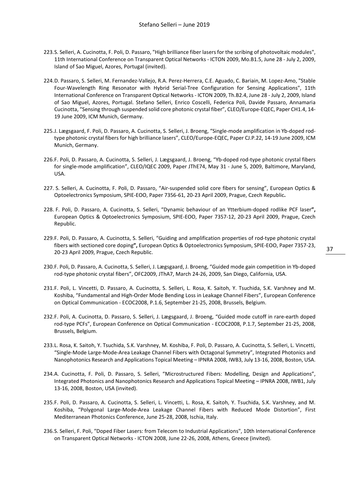- 223.S. Selleri, A. Cucinotta, F. Poli, D. Passaro, "High brilliance fiber lasers for the scribing of photovoltaic modules", 11th International Conference on Transparent Optical Networks - ICTON 2009, Mo.B1.5, June 28 - July 2, 2009, Island of Sao Miguel, Azores, Portugal (invited).
- 224.D. Passaro, S. Selleri, M. Fernandez-Vallejo, R.A. Perez-Herrera, C.E. Aguado, C. Bariain, M. Lopez-Amo, "Stable Four-Wavelength Ring Resonator with Hybrid Serial-Tree Configuration for Sensing Applications", 11th International Conference on Transparent Optical Networks - ICTON 2009, Th.B2.4, June 28 - July 2, 2009, Island of Sao Miguel, Azores, Portugal. Stefano Selleri, Enrico Coscelli, Federica Poli, Davide Passaro, Annamaria Cucinotta, "Sensing through suspended solid core photonic crystal fiber", CLEO/Europe-EQEC, Paper CH1.4, 14- 19 June 2009, ICM Munich, Germany.
- 225.J. Lægsgaard, F. Poli, D. Passaro, A. Cucinotta, S. Selleri, J. Broeng, "Single-mode amplification in Yb-doped rodtype photonic crystal fibers for high brilliance lasers", CLEO/Europe-EQEC, Paper CJ.P.22, 14-19 June 2009, ICM Munich, Germany.
- 226.F. Poli, D. Passaro, A. Cucinotta, S. Selleri, J. Lægsgaard, J. Broeng, "Yb-doped rod-type photonic crystal fibers for single-mode amplification", CLEO/IQEC 2009, Paper JThE74, May 31 - June 5, 2009, Baltimore, Maryland, USA.
- 227. S. Selleri, A. Cucinotta, F. Poli, D. Passaro, "Air-suspended solid core fibers for sensing", European Optics & Optoelectronics Symposium, SPIE-EOO, Paper 7356-61, 20-23 April 2009, Prague, Czech Republic**.**
- 228. F. Poli, D. Passaro, A. Cucinotta, S. Selleri, "Dynamic behaviour of an Ytterbium-doped rodlike PCF laser**",**  European Optics & Optoelectronics Symposium, SPIE-EOO, Paper 7357-12, 20-23 April 2009, Prague, Czech Republic.
- 229.F. Poli, D. Passaro, A. Cucinotta, S. Selleri, "Guiding and amplification properties of rod-type photonic crystal fibers with sectioned core doping**",** European Optics & Optoelectronics Symposium, SPIE-EOO, Paper 7357-23, 20-23 April 2009, Prague, Czech Republic.
- 230.F. Poli, D. Passaro, A. Cucinotta, S. Selleri, J. Lægsgaard, J. Broeng, "Guided mode gain competition in Yb-doped rod-type photonic crystal fibers", OFC2009, JThA7, March 24-26, 2009, San Diego, California, USA.
- 231.F. Poli, L. Vincetti, D. Passaro, A. Cucinotta, S. Selleri, L. Rosa, K. Saitoh, Y. Tsuchida, S.K. Varshney and M. Koshiba, "Fundamental and High-Order Mode Bending Loss in Leakage Channel Fibers", European Conference on Optical Communication - ECOC2008, P.1.6, September 21-25, 2008, Brussels, Belgium.
- 232.F. Poli, A. Cucinotta, D. Passaro, S. Selleri, J. Lægsgaard, J. Broeng, "Guided mode cutoff in rare-earth doped rod-type PCFs", European Conference on Optical Communication - ECOC2008, P.1.7, September 21-25, 2008, Brussels, Belgium.
- 233.L. Rosa, K. Saitoh, Y. Tsuchida, S.K. Varshney, M. Koshiba, F. Poli, D. Passaro, A. Cucinotta, S. Selleri, L. Vincetti, "Single-Mode Large-Mode-Area Leakage Channel Fibers with Octagonal Symmetry", Integrated Photonics and Nanophotonics Research and Applications Topical Meeting – IPNRA 2008, IWB3, July 13-16, 2008, Boston, USA.
- 234.A. Cucinotta, F. Poli, D. Passaro, S. Selleri, "Microstructured Fibers: Modelling, Design and Applications", Integrated Photonics and Nanophotonics Research and Applications Topical Meeting – IPNRA 2008, IWB1, July 13-16, 2008, Boston, USA (invited).
- 235.F. Poli, D. Passaro, A. Cucinotta, S. Selleri, L. Vincetti, L. Rosa, K. Saitoh, Y. Tsuchida, S.K. Varshney, and M. Koshiba, "Polygonal Large-Mode-Area Leakage Channel Fibers with Reduced Mode Distortion", First Mediterranean Photonics Conference, June 25-28, 2008, Ischia, Italy.
- 236.S. Selleri, F. Poli, "Doped Fiber Lasers: from Telecom to Industrial Applications", 10th International Conference on Transparent Optical Networks - ICTON 2008, June 22-26, 2008, Athens, Greece (invited).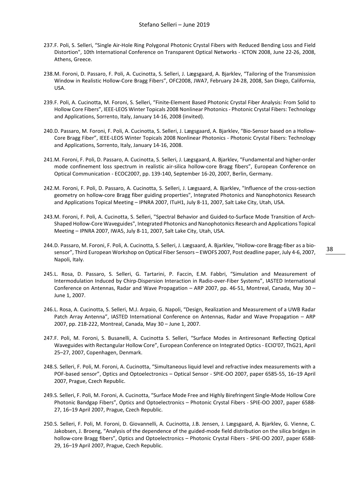- 237.F. Poli, S. Selleri, "Single Air-Hole Ring Polygonal Photonic Crystal Fibers with Reduced Bending Loss and Field Distortion", 10th International Conference on Transparent Optical Networks - ICTON 2008, June 22-26, 2008, Athens, Greece.
- 238.M. Foroni, D. Passaro, F. Poli, A. Cucinotta, S. Selleri, J. Lægsgaard, A. Bjarklev, "Tailoring of the Transmission Window in Realistic Hollow-Core Bragg Fibers", OFC2008, JWA7, February 24-28, 2008, San Diego, California, USA.
- 239.F. Poli, A. Cucinotta, M. Foroni, S. Selleri, "Finite-Element Based Photonic Crystal Fiber Analysis: From Solid to Hollow Core Fibers", IEEE-LEOS Winter Topicals 2008 Nonlinear Photonics - Photonic Crystal Fibers: Technology and Applications, Sorrento, Italy, January 14-16, 2008 (invited).
- 240.D. Passaro, M. Foroni, F. Poli, A. Cucinotta, S. Selleri, J. Lægsgaard, A. Bjarklev, "Bio-Sensor based on a Hollow-Core Bragg Fiber", IEEE-LEOS Winter Topicals 2008 Nonlinear Photonics - Photonic Crystal Fibers: Technology and Applications, Sorrento, Italy, January 14-16, 2008.
- 241.M. Foroni, F. Poli, D. Passaro, A. Cucinotta, S. Selleri, J. Lægsgaard, A. Bjarklev, "Fundamental and higher-order mode confinement loss spectrum in realistic air-silica hollow-core Bragg fibers", European Conference on Optical Communication - ECOC2007, pp. 139-140, September 16-20, 2007, Berlin, Germany.
- 242.M. Foroni, F. Poli, D. Passaro, A. Cucinotta, S. Selleri, J. Lægsaard, A. Bjarklev, "Influence of the cross-section geometry on hollow-core Bragg fiber guiding properties", Integrated Photonics and Nanophotonics Research and Applications Topical Meeting – IPNRA 2007, ITuH1, July 8-11, 2007, Salt Lake City, Utah, USA.
- 243.M. Foroni, F. Poli, A. Cucinotta, S. Selleri, "Spectral Behavior and Guided-to-Surface Mode Transition of Arch-Shaped Hollow-Core Waveguides", Integrated Photonics and Nanophotonics Research and Applications Topical Meeting – IPNRA 2007, IWA5, July 8-11, 2007, Salt Lake City, Utah, USA.
- 244.D. Passaro, M. Foroni, F. Poli, A. Cucinotta, S. Selleri, J. Lægsaard, A. Bjarklev, "Hollow-core Bragg-fiber as a biosensor", Third European Workshop on Optical Fiber Sensors – EWOFS 2007, Post deadline paper, July 4-6, 2007, Napoli, Italy.
- 245.L. Rosa, D. Passaro, S. Selleri, G. Tartarini, P. Faccin, E.M. Fabbri, "Simulation and Measurement of Intermodulation Induced by Chirp-Dispersion Interaction in Radio-over-Fiber Systems", IASTED International Conference on Antennas, Radar and Wave Propagation – ARP 2007, pp. 46-51, Montreal, Canada, May 30 – June 1, 2007.
- 246.L. Rosa, A. Cucinotta, S. Selleri, M.J. Arpaio, G. Napoli, "Design, Realization and Measurement of a UWB Radar Patch Array Antenna", IASTED International Conference on Antennas, Radar and Wave Propagation – ARP 2007, pp. 218-222, Montreal, Canada, May 30 – June 1, 2007.
- 247.F. Poli, M. Foroni, S. Busanelli, A. Cucinotta S. Selleri, "Surface Modes in Antiresonant Reflecting Optical Waveguides with Rectangular Hollow Core", European Conference on Integrated Optics - ECIO'07, ThG21, April 25–27, 2007, Copenhagen, Denmark.
- 248.S. Selleri, F. Poli, M. Foroni, A. Cucinotta, "Simultaneous liquid level and refractive index measurements with a POF-based sensor", Optics and Optoelectronics – Optical Sensor - SPIE-OO 2007, paper 6585-55, 16–19 April 2007, Prague, Czech Republic.
- 249.S. Selleri, F. Poli, M. Foroni, A. Cucinotta, "Surface Mode Free and Highly Birefringent Single-Mode Hollow Core Photonic Bandgap Fibers", Optics and Optoelectronics – Photonic Crystal Fibers - SPIE-OO 2007, paper 6588- 27, 16–19 April 2007, Prague, Czech Republic.
- 250.S. Selleri, F. Poli, M. Foroni, D. Giovannelli, A. Cucinotta, J.B. Jensen, J. Lægsgaard, A. Bjarklev, G. Vienne, C. Jakobsen, J. Broeng, "Analysis of the dependence of the guided-mode field distribution on the silica bridges in hollow-core Bragg fibers", Optics and Optoelectronics – Photonic Crystal Fibers - SPIE-OO 2007, paper 6588- 29, 16–19 April 2007, Prague, Czech Republic.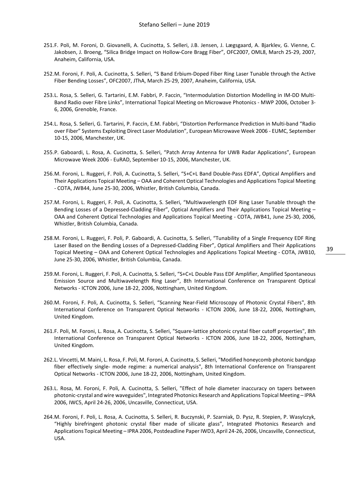- 251.F. Poli, M. Foroni, D. Giovanelli, A. Cucinotta, S. Selleri, J.B. Jensen, J. Lægsgaard, A. Bjarklev, G. Vienne, C. Jakobsen, J. Broeng, "Silica Bridge Impact on Hollow-Core Bragg Fiber", OFC2007, OML8, March 25-29, 2007, Anaheim, California, USA.
- 252.M. Foroni, F. Poli, A. Cucinotta, S. Selleri, "S Band Erbium-Doped Fiber Ring Laser Tunable through the Active Fiber Bending Losses", OFC2007, JThA, March 25-29, 2007, Anaheim, California, USA.
- 253.L. Rosa, S. Selleri, G. Tartarini, E.M. Fabbri, P. Faccin, "Intermodulation Distortion Modelling in IM-DD Multi-Band Radio over Fibre Links", International Topical Meeting on Microwave Photonics - MWP 2006, October 3- 6, 2006, Grenoble, France.
- 254.L. Rosa, S. Selleri, G. Tartarini, P. Faccin, E.M. Fabbri, "Distortion Performance Prediction in Multi-band "Radio over Fiber" Systems Exploiting Direct Laser Modulation", European Microwave Week 2006 - EUMC, September 10-15, 2006, Manchester, UK.
- 255.P. Gaboardi, L. Rosa, A. Cucinotta, S. Selleri, "Patch Array Antenna for UWB Radar Applications", European Microwave Week 2006 - EuRAD, September 10-15, 2006, Manchester, UK.
- 256.M. Foroni, L. Ruggeri, F. Poli, A. Cucinotta, S. Selleri, "S+C+L Band Double-Pass EDFA", Optical Amplifiers and Their Applications Topical Meeting – OAA and Coherent Optical Technologies and Applications Topical Meeting - COTA, JWB44, June 25-30, 2006, Whistler, British Columbia, Canada.
- 257.M. Foroni, L. Ruggeri, F. Poli, A. Cucinotta, S. Selleri, "Multiwavelength EDF Ring Laser Tunable through the Bending Losses of a Depressed-Cladding Fiber", Optical Amplifiers and Their Applications Topical Meeting – OAA and Coherent Optical Technologies and Applications Topical Meeting - COTA, JWB41, June 25-30, 2006, Whistler, British Columbia, Canada.
- 258.M. Foroni, L. Ruggeri, F. Poli, P. Gaboardi, A. Cucinotta, S. Selleri, "Tunability of a Single Frequency EDF Ring Laser Based on the Bending Losses of a Depressed-Cladding Fiber", Optical Amplifiers and Their Applications Topical Meeting – OAA and Coherent Optical Technologies and Applications Topical Meeting - COTA, JWB10, June 25-30, 2006, Whistler, British Columbia, Canada.
- 259.M. Foroni, L. Ruggeri, F. Poli, A. Cucinotta, S. Selleri, "S+C+L Double Pass EDF Amplifier, Amplified Spontaneous Emission Source and Multiwavelength Ring Laser", 8th International Conference on Transparent Optical Networks - ICTON 2006, June 18-22, 2006, Nottingham, United Kingdom.
- 260.M. Foroni, F. Poli, A. Cucinotta, S. Selleri, "Scanning Near-Field Microscopy of Photonic Crystal Fibers", 8th International Conference on Transparent Optical Networks - ICTON 2006, June 18-22, 2006, Nottingham, United Kingdom.
- 261.F. Poli, M. Foroni, L. Rosa, A. Cucinotta, S. Selleri, "Square-lattice photonic crystal fiber cutoff properties", 8th International Conference on Transparent Optical Networks - ICTON 2006, June 18-22, 2006, Nottingham, United Kingdom.
- 262.L. Vincetti, M. Maini, L. Rosa, F. Poli, M. Foroni, A. Cucinotta, S. Selleri, "Modified honeycomb photonic bandgap fiber effectively single- mode regime: a numerical analysis", 8th International Conference on Transparent Optical Networks - ICTON 2006, June 18-22, 2006, Nottingham, United Kingdom.
- 263.L. Rosa, M. Foroni, F. Poli, A. Cucinotta, S. Selleri, "Effect of hole diameter inaccuracy on tapers between photonic-crystal and wire waveguides", Integrated Photonics Research and Applications Topical Meeting – IPRA 2006, IWC5, April 24-26, 2006, Uncasville, Connecticut, USA.
- 264.M. Foroni, F. Poli, L. Rosa, A. Cucinotta, S. Selleri, R. Buczynski, P. Szarniak, D. Pysz, R. Stepien, P. Wasylczyk, "Highly birefringent photonic crystal fiber made of silicate glass", Integrated Photonics Research and Applications Topical Meeting – IPRA 2006, Postdeadline Paper IWD3, April 24-26, 2006, Uncasville, Connecticut, USA.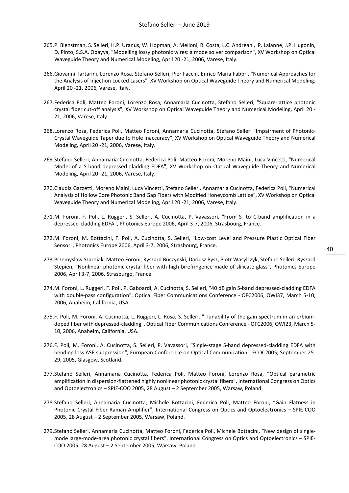- 265.P. Bienstman, S. Selleri, H.P. Uranus, W. Hopman, A. Melloni, R. Costa, L.C. Andreani, P. Lalanne, J.P. Hugonin, D. Pinto, S.S.A. Obayya, "Modelling lossy photonic wires: a mode solver comparison", XV Workshop on Optical Waveguide Theory and Numerical Modeling, April 20 -21, 2006, Varese, Italy.
- 266.Giovanni Tartarini, Lorenzo Rosa, Stefano Selleri, Pier Faccin, Enrico Maria Fabbri, "Numerical Approaches for the Analysis of Injection Locked Lasers", XV Workshop on Optical Waveguide Theory and Numerical Modeling, April 20 -21, 2006, Varese, Italy.
- 267.Federica Poli, Matteo Foroni, Lorenzo Rosa, Annamaria Cucinotta, Stefano Selleri, "Square-lattice photonic crystal fiber cut-off analysis", XV Workshop on Optical Waveguide Theory and Numerical Modeling, April 20 - 21, 2006, Varese, Italy.
- 268.Lorenzo Rosa, Federica Poli, Matteo Foroni, Annamaria Cucinotta, Stefano Selleri "Impairment of Photonic-Crystal Waveguide Taper due to Hole Inaccuracy", XV Workshop on Optical Waveguide Theory and Numerical Modeling, April 20 -21, 2006, Varese, Italy.
- 269.Stefano Selleri, Annamaria Cucinotta, Federica Poli, Matteo Foroni, Moreno Maini, Luca Vincetti, "Numerical Model of a S-band depressed cladding EDFA", XV Workshop on Optical Waveguide Theory and Numerical Modeling, April 20 -21, 2006, Varese, Italy.
- 270.Claudia Gazzetti, Moreno Maini, Luca Vincetti, Stefano Selleri, Annamaria Cucinotta, Federica Poli, "Numerical Analysis of Hollow Core Photonic Band Gap Fibers with Modified Honeycomb Lattice", XV Workshop on Optical Waveguide Theory and Numerical Modeling, April 20 -21, 2006, Varese, Italy.
- 271.M. Foroni, F. Poli, L. Ruggeri, S. Selleri, A. Cucinotta, P. Vavassori, "From S- to C-band amplification in a depressed-cladding EDFA", Photonics Europe 2006, April 3-7, 2006, Strasbourg, France.
- 272.M. Foroni, M. Bottacini, F. Poli, A. Cucinotta, S. Selleri, "Low-cost Level and Pressure Plastic Optical Fiber Sensor", Photonics Europe 2006, April 3-7, 2006, Strasbourg, France.
- 273.Przemyslaw Szarniak, Matteo Foroni, Ryszard Buczynski, Dariusz Pysz, Piotr Wasylczyk, Stefano Selleri, Ryszard Stepien, "Nonlinear photonic crystal fiber with high birefringence made of slilicate glass", Photonics Europe 2006, April 3-7, 2006, Strasburgo, France.
- 274.M. Foroni, L. Ruggeri, F. Poli, P. Gaboardi, A. Cucinotta, S. Selleri, "40 dB gain S-band depressed-cladding EDFA with double-pass configuration", Optical Fiber Communications Conference - OFC2006, OWI37, March 5-10, 2006, Anaheim, California, USA.
- 275.F. Poli, M. Foroni, A. Cucinotta, L. Ruggeri, L. Rosa, S. Selleri, " Tunability of the gain spectrum in an erbiumdoped fiber with depressed-cladding", Optical Fiber Communications Conference - OFC2006, OWI23, March 5- 10, 2006, Anaheim, California, USA.
- 276.F. Poli, M. Foroni, A. Cucinotta, S. Selleri, P. Vavassori, "Single-stage S-band depressed-cladding EDFA with bending loss ASE suppression", European Conference on Optical Communication - ECOC2005, September 25- 29, 2005, Glasgow, Scotland.
- 277.Stefano Selleri, Annamaria Cucinotta, Federica Poli, Matteo Foroni, Lorenzo Rosa, "Optical parametric amplification in dispersion-flattened highly nonlinear photonic crystal fibers", International Congress on Optics and Optoelectronics – SPIE-COO 2005, 28 August – 2 September 2005, Warsaw, Poland.
- 278.Stefano Selleri, Annamaria Cucinotta, Michele Bottacini, Federica Poli, Matteo Foroni, "Gain Flatness in Photonic Crystal Fiber Raman Amplifier", International Congress on Optics and Optoelectronics – SPIE-COO 2005, 28 August – 2 September 2005, Warsaw, Poland.
- 279.Stefano Selleri, Annamaria Cucinotta, Matteo Foroni, Federica Poli, Michele Bottacini, "New design of singlemode large-mode-area photonic crystal fibers", International Congress on Optics and Optoelectronics – SPIE-COO 2005, 28 August – 2 September 2005, Warsaw, Poland.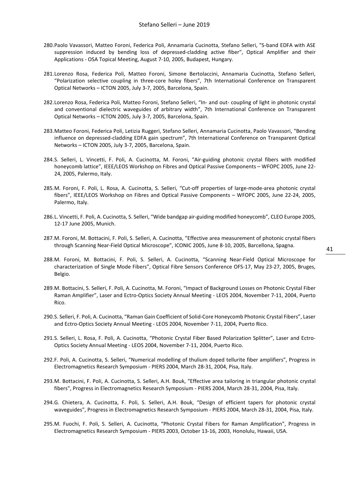- 280.Paolo Vavassori, Matteo Foroni, Federica Poli, Annamaria Cucinotta, Stefano Selleri, "S-band EDFA with ASE suppression induced by bending loss of depressed-cladding active fiber", Optical Amplifier and their Applications - OSA Topical Meeting, August 7-10, 2005, Budapest, Hungary.
- 281.Lorenzo Rosa, Federica Poli, Matteo Foroni, Simone Bertolaccini, Annamaria Cucinotta, Stefano Selleri, "Polarization selective coupling in three-core holey fibers", 7th International Conference on Transparent Optical Networks – ICTON 2005, July 3-7, 2005, Barcelona, Spain.
- 282.Lorenzo Rosa, Federica Poli, Matteo Foroni, Stefano Selleri, "In- and out- coupling of light in photonic crystal and conventional dielectric waveguides of arbitrary width", 7th International Conference on Transparent Optical Networks – ICTON 2005, July 3-7, 2005, Barcelona, Spain.
- 283.Matteo Foroni, Federica Poli, Letizia Ruggeri, Stefano Selleri, Annamaria Cucinotta, Paolo Vavassori, "Bending influence on depressed-cladding EDFA gain spectrum", 7th International Conference on Transparent Optical Networks – ICTON 2005, July 3-7, 2005, Barcelona, Spain.
- 284.S. Selleri, L. Vincetti, F. Poli, A. Cucinotta, M. Foroni, "Air-guiding photonic crystal fibers with modified honeycomb lattice", IEEE/LEOS Workshop on Fibres and Optical Passive Components – WFOPC 2005, June 22- 24, 2005, Palermo, Italy.
- 285.M. Foroni, F. Poli, L. Rosa, A. Cucinotta, S. Selleri, "Cut-off properties of large-mode-area photonic crystal fibers", IEEE/LEOS Workshop on Fibres and Optical Passive Components – WFOPC 2005, June 22-24, 2005, Palermo, Italy.
- 286.L. Vincetti, F. Poli, A. Cucinotta, S. Selleri, "Wide bandgap air-guiding modified honeycomb", CLEO Europe 2005, 12-17 June 2005, Munich.
- 287.M. Foroni, M. Bottacini, F. Poli, S. Selleri, A. Cucinotta, "Effective area measurement of photonic crystal fibers through Scanning Near-Field Optical Microscope", ICONIC 2005, June 8-10, 2005, Barcellona, Spagna.
- 288.M. Foroni, M. Bottacini, F. Poli, S. Selleri, A. Cucinotta, "Scanning Near-Field Optical Microscope for characterization of Single Mode Fibers", Optical Fibre Sensors Conference OFS-17, May 23-27, 2005, Bruges, Belgio.
- 289.M. Bottacini, S. Selleri, F. Poli, A. Cucinotta, M. Foroni, "Impact of Background Losses on Photonic Crystal Fiber Raman Amplifier", Laser and Ectro-Optics Society Annual Meeting - LEOS 2004, November 7-11, 2004, Puerto Rico.
- 290.S. Selleri, F. Poli, A. Cucinotta, "Raman Gain Coefficient of Solid-Core Honeycomb Photonic Crystal Fibers", Laser and Ectro-Optics Society Annual Meeting - LEOS 2004, November 7-11, 2004, Puerto Rico.
- 291.S. Selleri, L. Rosa, F. Poli, A. Cucinotta, "Photonic Crystal Fiber Based Polarization Splitter", Laser and Ectro-Optics Society Annual Meeting - LEOS 2004, November 7-11, 2004, Puerto Rico.
- 292.F. Poli, A. Cucinotta, S. Selleri, "Numerical modelling of thulium doped tellurite fiber amplifiers", Progress in Electromagnetics Research Symposium - PIERS 2004, March 28-31, 2004, Pisa, Italy.
- 293.M. Bottacini, F. Poli, A. Cucinotta, S. Selleri, A.H. Bouk, "Effective area tailoring in triangular photonic crystal fibers", Progress in Electromagnetics Research Symposium - PIERS 2004, March 28-31, 2004, Pisa, Italy.
- 294.G. Chietera, A. Cucinotta, F. Poli, S. Selleri, A.H. Bouk, "Design of efficient tapers for photonic crystal waveguides", Progress in Electromagnetics Research Symposium - PIERS 2004, March 28-31, 2004, Pisa, Italy.
- 295.M. Fuochi, F. Poli, S. Selleri, A. Cucinotta, "Photonic Crystal Fibers for Raman Amplification", Progress in Electromagnetics Research Symposium - PIERS 2003, October 13-16, 2003, Honolulu, Hawaii, USA.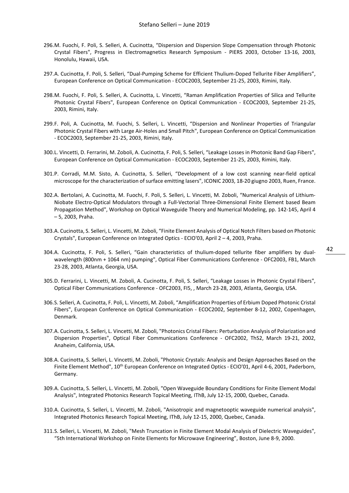- 296.M. Fuochi, F. Poli, S. Selleri, A. Cucinotta, "Dispersion and Dispersion Slope Compensation through Photonic Crystal Fibers", Progress in Electromagnetics Research Symposium - PIERS 2003, October 13-16, 2003, Honolulu, Hawaii, USA.
- 297.A. Cucinotta, F. Poli, S. Selleri, "Dual-Pumping Scheme for Efficient Thulium-Doped Tellurite Fiber Amplifiers", European Conference on Optical Communication - ECOC2003, September 21-25, 2003, Rimini, Italy.
- 298.M. Fuochi, F. Poli, S. Selleri, A. Cucinotta, L. Vincetti, "Raman Amplification Properties of Silica and Tellurite Photonic Crystal Fibers", European Conference on Optical Communication - ECOC2003, September 21-25, 2003, Rimini, Italy.
- 299.F. Poli, A. Cucinotta, M. Fuochi, S. Selleri, L. Vincetti, "Dispersion and Nonlinear Properties of Triangular Photonic Crystal Fibers with Large Air-Holes and Small Pitch", European Conference on Optical Communication - ECOC2003, September 21-25, 2003, Rimini, Italy.
- 300.L. Vincetti, D. Ferrarini, M. Zoboli, A. Cucinotta, F. Poli, S. Selleri, "Leakage Losses in Photonic Band Gap Fibers", European Conference on Optical Communication - ECOC2003, September 21-25, 2003, Rimini, Italy.
- 301.P. Corradi, M.M. Sisto, A. Cucinotta, S. Selleri, "Development of a low cost scanning near-field optical microscope for the characterization of surface emitting lasers", ICONIC 2003, 18-20 giugno 2003, Ruen, France.
- 302.A. Bertolani, A. Cucinotta, M. Fuochi, F. Poli, S. Selleri, L. Vincetti, M. Zoboli, "Numerical Analysis of Lithium-Niobate Electro-Optical Modulators through a Full-Vectorial Three-Dimensional Finite Element based Beam Propagation Method", Workshop on Optical Waveguide Theory and Numerical Modeling, pp. 142-145, April 4 – 5, 2003, Praha.
- 303.A. Cucinotta, S. Selleri, L. Vincetti, M. Zoboli, "Finite Element Analysis of Optical Notch Filters based on Photonic Crystals", European Conference on Integrated Optics - ECIO'03, April 2 – 4, 2003, Praha.
- 304.A. Cucinotta, F. Poli, S. Selleri, "Gain characteristics of thulium-doped tellurite fiber amplifiers by dualwavelength (800nm + 1064 nm) pumping", Optical Fiber Communications Conference - OFC2003, FB1, March
- 305.D. Ferrarini, L. Vincetti, M. Zoboli, A. Cucinotta, F. Poli, S. Selleri, "Leakage Losses in Photonic Crystal Fibers", Optical Fiber Communications Conference - OFC2003, FI5, , March 23-28, 2003, Atlanta, Georgia, USA.

23-28, 2003, Atlanta, Georgia, USA.

- 306.S. Selleri, A. Cucinotta, F. Poli, L. Vincetti, M. Zoboli, "Amplification Properties of Erbium Doped Photonic Cristal Fibers", European Conference on Optical Communication - ECOC2002, September 8-12, 2002, Copenhagen, Denmark.
- 307.A. Cucinotta, S. Selleri, L. Vincetti, M. Zoboli, "Photonics Cristal Fibers: Perturbation Analysis of Polarization and Dispersion Properties", Optical Fiber Communications Conference - OFC2002, ThS2, March 19-21, 2002, Anaheim, California, USA.
- 308.A. Cucinotta, S. Selleri, L. Vincetti, M. Zoboli, "Photonic Crystals: Analysis and Design Approaches Based on the Finite Element Method", 10<sup>th</sup> European Conference on Integrated Optics - ECIO'01, April 4-6, 2001, Paderborn, Germany.
- 309.A. Cucinotta, S. Selleri, L. Vincetti, M. Zoboli, "Open Waveguide Boundary Conditions for Finite Element Modal Analysis", Integrated Photonics Research Topical Meeting, IThB, July 12-15, 2000, Quebec, Canada.
- 310.A. Cucinotta, S. Selleri, L. Vincetti, M. Zoboli, "Anisotropic and magnetooptic waveguide numerical analysis", Integrated Photonics Research Topical Meeting, IThB, July 12-15, 2000, Quebec, Canada.
- 311.S. Selleri, L. Vincetti, M. Zoboli, "Mesh Truncation in Finite Element Modal Analysis of Dielectric Waveguides", "5th International Workshop on Finite Elements for Microwave Engineering", Boston, June 8-9, 2000.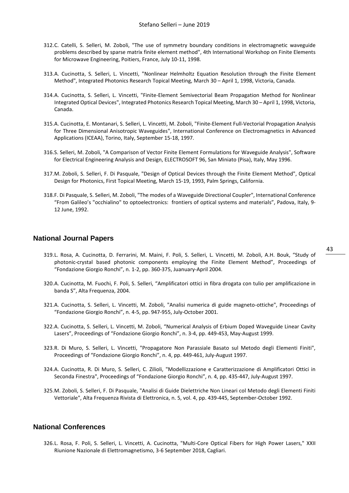- 312.C. Catelli, S. Selleri, M. Zoboli, "The use of symmetry boundary conditions in electromagnetic waveguide problems described by sparse matrix finite element method", 4th International Workshop on Finite Elements for Microwave Engineering, Poitiers, France, July 10-11, 1998.
- 313.A. Cucinotta, S. Selleri, L. Vincetti, "Nonlinear Helmholtz Equation Resolution through the Finite Element Method", Integrated Photonics Research Topical Meeting, March 30 – April 1, 1998, Victoria, Canada.
- 314.A. Cucinotta, S. Selleri, L. Vincetti, "Finite-Element Semivectorial Beam Propagation Method for Nonlinear Integrated Optical Devices", Integrated Photonics Research Topical Meeting, March 30 – April 1, 1998, Victoria, Canada.
- 315.A. Cucinotta, E. Montanari, S. Selleri, L. Vincetti, M. Zoboli, "Finite-Element Full-Vectorial Propagation Analysis for Three Dimensional Anisotropic Waveguides", International Conference on Electromagnetics in Advanced Applications (ICEAA), Torino, Italy, September 15-18, 1997.
- 316.S. Selleri, M. Zoboli, "A Comparison of Vector Finite Element Formulations for Waveguide Analysis", Software for Electrical Engineering Analysis and Design, ELECTROSOFT 96, San Miniato (Pisa), Italy, May 1996.
- 317.M. Zoboli, S. Selleri, F. Di Pasquale, "Design of Optical Devices through the Finite Element Method", Optical Design for Photonics, First Topical Meeting, March 15-19, 1993, Palm Springs, California.
- 318.F. Di Pasquale, S. Selleri, M. Zoboli, "The modes of a Waveguide Directional Coupler", International Conference "From Galileo's "occhialino" to optoelectronics: frontiers of optical systems and materials", Padova, Italy, 9- 12 June, 1992.

#### <span id="page-43-0"></span>**National Journal Papers**

- 319.L. Rosa, A. Cucinotta, D. Ferrarini, M. Maini, F. Poli, S. Selleri, L. Vincetti, M. Zoboli, A.H. Bouk, "Study of photonic-crystal based photonic components employing the Finite Element Method", Proceedings of "Fondazione Giorgio Ronchi", n. 1-2, pp. 360-375, Juanuary-April 2004.
- 320.A. Cucinotta, M. Fuochi, F. Poli, S. Selleri, "Amplificatori ottici in fibra drogata con tulio per amplificazione in banda S", Alta Frequenza, 2004.
- 321.A. Cucinotta, S. Selleri, L. Vincetti, M. Zoboli, "Analisi numerica di guide magneto-ottiche", Proceedings of "Fondazione Giorgio Ronchi", n. 4-5, pp. 947-955, July-October 2001.
- 322.A. Cucinotta, S. Selleri, L. Vincetti, M. Zoboli, "Numerical Analysis of Erbium Doped Waveguide Linear Cavity Lasers", Proceedings of "Fondazione Giorgio Ronchi", n. 3-4, pp. 449-453, May-August 1999.
- 323.R. Di Muro, S. Selleri, L. Vincetti, "Propagatore Non Parassiale Basato sul Metodo degli Elementi Finiti", Proceedings of "Fondazione Giorgio Ronchi", n. 4, pp. 449-461, July-August 1997.
- 324.A. Cucinotta, R. Di Muro, S. Selleri, C. Zilioli, "Modellizzazione e Caratterizzazione di Amplificatori Ottici in Seconda Finestra", Proceedings of "Fondazione Giorgio Ronchi", n. 4, pp. 435-447, July-August 1997.
- 325.M. Zoboli, S. Selleri, F. Di Pasquale, "Analisi di Guide Dielettriche Non Lineari col Metodo degli Elementi Finiti Vettoriale", Alta Frequenza Rivista di Elettronica, n. 5, vol. 4, pp. 439-445, September-October 1992.

#### <span id="page-43-1"></span>**National Conferences**

326.L. Rosa, F. Poli, S. Selleri, L. Vincetti, A. Cucinotta, "Multi-Core Optical Fibers for High Power Lasers," XXII Riunione Nazionale di Elettromagnetismo, 3-6 September 2018, Cagliari.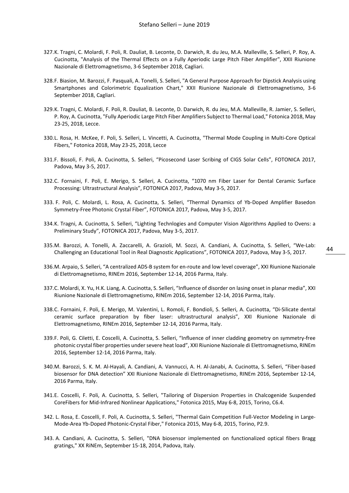- 327.K. Tragni, C. Molardi, F. Poli, R. Dauliat, B. Leconte, D. Darwich, R. du Jeu, M.A. Malleville, S. Selleri, P. Roy, A. Cucinotta, "Analysis of the Thermal Effects on a Fully Aperiodic Large Pitch Fiber Amplifier", XXII Riunione Nazionale di Elettromagnetismo, 3-6 September 2018, Cagliari.
- 328.F. Biasion, M. Barozzi, F. Pasquali, A. Tonelli, S. Selleri, "A General Purpose Approach for Dipstick Analysis using Smartphones and Colorimetric Equalization Chart," XXII Riunione Nazionale di Elettromagnetismo, 3-6 September 2018, Cagliari.
- 329.K. Tragni, C. Molardi, F. Poli, R. Dauliat, B. Leconte, D. Darwich, R. du Jeu, M.A. Malleville, R. Jamier, S. Selleri, P. Roy, A. Cucinotta, "Fully Aperiodic Large Pitch Fiber Amplifiers Subject to Thermal Load," Fotonica 2018, May 23-25, 2018, Lecce.
- 330.L. Rosa, H. McKee, F. Poli, S. Selleri, L. Vincetti, A. Cucinotta, "Thermal Mode Coupling in Multi-Core Optical Fibers," Fotonica 2018, May 23-25, 2018, Lecce
- 331.F. Bissoli, F. Poli, A. Cucinotta, S. Selleri, "Picosecond Laser Scribing of CIGS Solar Cells", FOTONICA 2017, Padova, May 3-5, 2017.
- 332.C. Fornaini, F. Poli, E. Merigo, S. Selleri, A. Cucinotta, "1070 nm Fiber Laser for Dental Ceramic Surface Processing: Ultrastructural Analysis", FOTONICA 2017, Padova, May 3-5, 2017.
- 333. F. Poli, C. Molardi, L. Rosa, A. Cucinotta, S. Selleri, "Thermal Dynamics of Yb-Doped Amplifier Basedon Symmetry-Free Photonic Crystal Fiber", FOTONICA 2017, Padova, May 3-5, 2017.
- 334.K. Tragni, A. Cucinotta, S. Selleri, "Lighting Technlogies and Computer Vision Algorithms Applied to Ovens: a Preliminary Study", FOTONICA 2017, Padova, May 3-5, 2017.
- 335.M. Barozzi, A. Tonelli, A. Zaccarelli, A. Grazioli, M. Sozzi, A. Candiani, A. Cucinotta, S. Selleri, "We-Lab: Challenging an Educational Tool in Real Diagnostic Applications", FOTONICA 2017, Padova, May 3-5, 2017.

44

- 336.M. Arpaio, S. Selleri, "A centralized ADS-B system for en-route and low level coverage", XXI Riunione Nazionale di Elettromagnetismo, RINEm 2016, September 12-14, 2016 Parma, Italy.
- 337.C. Molardi, X. Yu, H.K. Liang, A. Cucinotta, S. Selleri, "Influence of disorder on lasing onset in planar media", XXI Riunione Nazionale di Elettromagnetismo, RINEm 2016, September 12-14, 2016 Parma, Italy.
- 338.C. Fornaini, F. Poli, E. Merigo, M. Valentini, L. Romoli, F. Bondioli, S. Selleri, A. Cucinotta, "Di-Silicate dental ceramic surface preparation by fiber laser: ultrastructural analysis", XXI Riunione Nazionale di Elettromagnetismo, RINEm 2016, September 12-14, 2016 Parma, Italy.
- 339.F. Poli, G. Ciletti, E. Coscelli, A. Cucinotta, S. Selleri, "Influence of inner cladding geometry on symmetry-free photonic crystal fiber properties under severe heat load", XXI Riunione Nazionale di Elettromagnetismo, RINEm 2016, September 12-14, 2016 Parma, Italy.
- 340.M. Barozzi, S. K. M. Al-Hayali, A. Candiani, A. Vannucci, A. H. Al-Janabi, A. Cucinotta, S. Selleri, "Fiber-based biosensor for DNA detection" XXI Riunione Nazionale di Elettromagnetismo, RINEm 2016, September 12-14, 2016 Parma, Italy.
- 341.E. Coscelli, F. Poli, A. Cucinotta, S. Selleri, "Tailoring of Dispersion Properties in Chalcogenide Suspended CoreFibers for Mid-Infrared Nonlinear Applications," Fotonica 2015, May 6-8, 2015, Torino, C6.4.
- 342. L. Rosa, E. Coscelli, F. Poli, A. Cucinotta, S. Selleri, "Thermal Gain Competition Full-Vector Modeling in Large-Mode-Area Yb-Doped Photonic-Crystal Fiber," Fotonica 2015, May 6-8, 2015, Torino, P2.9.
- 343. A. Candiani, A. Cucinotta, S. Selleri, "DNA biosensor implemented on functionalized optical fibers Bragg gratings," XX RiNEm, September 15-18, 2014, Padova, Italy.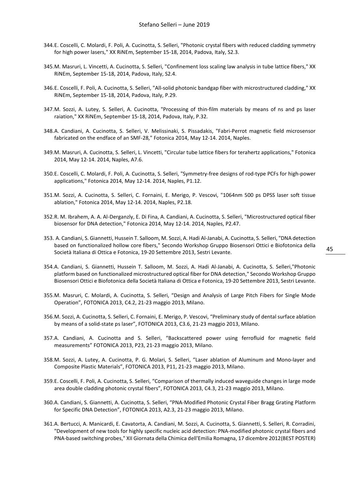- 344.E. Coscelli, C. Molardi, F. Poli, A. Cucinotta, S. Selleri, "Photonic crystal fibers with reduced cladding symmetry for high power lasers," XX RiNEm, September 15-18, 2014, Padova, Italy, S2.3.
- 345.M. Masruri, L. Vincetti, A. Cucinotta, S. Selleri, "Confinement loss scaling law analysis in tube lattice fibers," XX RiNEm, September 15-18, 2014, Padova, Italy, S2.4.
- 346.E. Coscelli, F. Poli, A. Cucinotta, S. Selleri, "All-solid photonic bandgap fiber with microstructured cladding," XX RiNEm, September 15-18, 2014, Padova, Italy, P.29.
- 347.M. Sozzi, A. Lutey, S. Selleri, A. Cucinotta, "Processing of thin-film materials by means of ns and ps laser raiation," XX RiNEm, September 15-18, 2014, Padova, Italy, P.32.
- 348.A. Candiani, A. Cucinotta, S. Selleri, V. Melissinaki, S. Pissadakis, "Fabri-Perrot magnetic field microsensor fabricated on the endface of an SMF-28," Fotonica 2014, May 12-14. 2014, Naples.
- 349.M. Masruri, A. Cucinotta, S. Selleri, L. Vincetti, "Circular tube lattice fibers for terahertz applications," Fotonica 2014, May 12-14. 2014, Naples, A7.6.
- 350.E. Coscelli, C. Molardi, F. Poli, A. Cucinotta, S. Selleri, "Symmetry-free designs of rod-type PCFs for high-power applications," Fotonica 2014, May 12-14. 2014, Naples, P1.12.
- 351.M. Sozzi, A. Cucinotta, S. Selleri, C. Fornaini, E. Merigo, P. Vescovi, "1064nm 500 ps DPSS laser soft tissue ablation," Fotonica 2014, May 12-14. 2014, Naples, P2.18.
- 352.R. M. Ibrahem, A. A. Al-Derganzly, E. Di Fina, A. Candiani, A. Cucinotta, S. Selleri, "Microstructured optical fiber biosensor for DNA detection," Fotonica 2014, May 12-14. 2014, Naples, P2.47.
- 353. A. Candiani, S. Giannetti, Hussein T. Salloom, M. Sozzi, A. Hadi Al-Janabi, A. Cucinotta, S. Selleri, "DNA detection based on functionalized hollow core fibers," Secondo Workshop Gruppo Biosensori Ottici e Biofotonica della Società Italiana di Ottica e Fotonica, 19-20 Settembre 2013, Sestri Levante.
- 354.A. Candiani, S. Giannetti, Hussein T. Salloom, M. Sozzi, A. Hadi Al-Janabi, A. Cucinotta, S. Selleri,"Photonic platform based on functionalized microstructured optical fiber for DNA detection," Secondo Workshop Gruppo Biosensori Ottici e Biofotonica della Società Italiana di Ottica e Fotonica, 19-20 Settembre 2013, Sestri Levante.
- 355.M. Masruri, C. Molardi, A. Cucinotta, S. Selleri, "Design and Analysis of Large Pitch Fibers for Single Mode Operation", FOTONICA 2013, C4.2, 21-23 maggio 2013, Milano.
- 356.M. Sozzi, A. Cucinotta, S. Selleri, C. Fornaini, E. Merigo, P. Vescovi, "Preliminary study of dental surface ablation by means of a solid-state ps laser", FOTONICA 2013, C3.6, 21-23 maggio 2013, Milano.
- 357.A. Candiani, A. Cucinotta and S. Selleri, "Backscattered power using ferrofluid for magnetic field measurements" FOTONICA 2013, P23, 21-23 maggio 2013, Milano.
- 358.M. Sozzi, A. Lutey, A. Cucinotta, P. G. Molari, S. Selleri, "Laser ablation of Aluminum and Mono-layer and Composite Plastic Materials", FOTONICA 2013, P11, 21-23 maggio 2013, Milano.
- 359.E. Coscelli, F. Poli, A. Cucinotta, S. Selleri, "Comparison of thermally induced waveguide changes in large mode area double cladding photonic crystal fibers", FOTONICA 2013, C4.3, 21-23 maggio 2013, Milano.
- 360.A. Candiani, S. Giannetti, A. Cucinotta, S. Selleri, "PNA-Modified Photonic Crystal Fiber Bragg Grating Platform for Specific DNA Detection", FOTONICA 2013, A2.3, 21-23 maggio 2013, Milano.
- 361.A. Bertucci, A. Manicardi, E. Cavatorta, A. Candiani, M. Sozzi, A. Cucinotta, S. Giannetti, S. Selleri, R. Corradini, "Development of new tools for highly specific nucleic acid detection: PNA-modified photonic crystal fibers and PNA-based switching probes," XII Giornata della Chimica dell'Emilia Romagna, 17 dicembre 2012(BEST POSTER)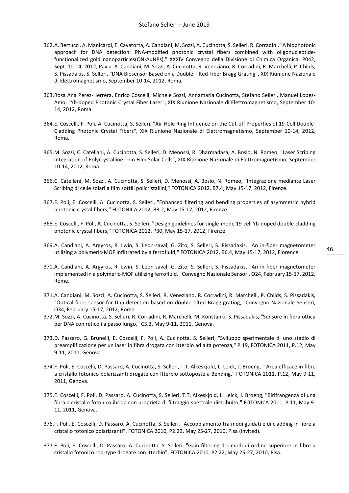- 362.A. Bertucci, A. Manicardi, E. Cavatorta, A. Candiani, M. Sozzi, A. Cucinotta, S. Selleri, R. Corradini, "A biophotonic approach for DNA detection: PNA-modified photonic crystal fibers combined with oligonucleotidefunctionalized gold nanoparticles(ON-AuNPs)," XXXIV Convegno della Divisione di Chimica Organica, P042, Sept. 10-14, 2012, Pavia. A. Candiani, M. Sozzi, A. Cucinotta, R. Veneziano, R. Corradini, R. Marchelli, P. Childs, S. Pissadakis, S. Selleri, "DNA Biosensor Based on a Double Tilted Fiber Bragg Grating", XIX Riunione Nazionale di Elettromagnetismo, September 10-14, 2012, Roma.
- 363.Rosa Ana Perez-Herrera, Enrico Coscelli, Michele Sozzi, Annamaria Cucinotta, Stefano Selleri, Manuel Lopez-Amo, "Yb-doped Photonic Crystal Fiber Laser", XIX Riunione Nazionale di Elettromagnetismo, September 10- 14, 2012, Roma.
- 364.E. Coscelli, F. Poli, A. Cucinotta, S. Selleri, "Air-Hole Ring Influence on the Cut-off Properties of 19-Cell Double-Cladding Photonic Crystal Fibers", XIX Riunione Nazionale di Elettromagnetismo, September 10-14, 2012, Roma.
- 365.M. Sozzi, C. Catellani, A. Cucinotta, S. Selleri, D. Menossi, R. Dharmadasa, A. Bosio, N. Romeo, "Laser Scribing Integration of Polycrystalline Thin Film Solar Cells", XIX Riunione Nazionale di Elettromagnetismo, September 10-14, 2012, Roma.
- 366.C. Catellani, M. Sozzi, A. Cucinotta, S. Selleri, D. Menossi, A. Bosio, N. Romeo, "Integrazione mediante Laser Scribing di celle solari a film sottili policristallini," FOTONICA 2012, B7.4, May 15-17, 2012, Firenze.
- 367.F. Poli, E. Coscelli, A. Cucinotta, S. Selleri, "Enhanced filtering and bending properties of asymmetric hybrid photonic crystal fibers," FOTONICA 2012, B3.2, May 15-17, 2012, Firenze.
- 368.E. Coscelli, F. Poli, A. Cucinotta, S. Selleri, "Design guidelines for single-mode 19-cell Yb-doped double-cladding photonic crystal fibers," FOTONICA 2012, P30, May 15-17, 2012, Firenze.
- 369.A. Candiani, A. Argyros, R. Lwin, S. Leon-saval, G. Zito, S. Selleri, S. Pissadakis, "An in-fiber magnetometer utilizing a polymeric-MOF infiltrated by a ferrofluid," FOTONICA 2012, B6.4, May 15-17, 2012, Florence.

- 370.A. Candiani, A. Argyros, R. Lwin, S. Leon-saval, G. Zito, S. Selleri, S. Pissadakis, "An in-fiber magnetometer implemented in a polymeric-MOF utilizing ferrofluid," Convegno Nazionale Sensori, O24, February 15-17, 2012, Rome.
- 371.A. Candiani, M. Sozzi, A. Cucinotta, S. Selleri, R. Veneziano, R. Corradini, R. Marchelli, P. Childs, S. Pissadakis, "Optical fiber sensor for Dna detection based on double-tilted Bragg grating," Convegno Nazionale Sensori, O34, February 15-17, 2012, Rome.
- 372.M. Sozzi, A. Cucinotta, S. Selleri, R. Corradini, R. Marchelli, M. Konstanki, S. Pissadakis, "Sensore in fibra ottica per DNA con reticoli a passo lungo," C3.3, May 9-11, 2011, Genova.
- 373.D. Passaro, G. Brunelli, E. Coscelli, F. Poli, A. Cucinotta, S. Selleri, "Sviluppo sperimentale di uno stadio di preamplificazione per un laser in fibra drogata con Itterbio ad alta potenza," P.19, FOTONICA 2011, P.12, May 9-11, 2011, Genova.
- 374.F. Poli, E. Coscelli, D. Passaro, A. Cucinotta, S. Selleri, T.T. Alkeskjold, L. Leick, J. Broeng, " Area efficace in fibre a cristallo fotonico polarizzanti drogate con Itterbio sottoposte a Bending," FOTONICA 2011, P.12, May 9-11, 2011, Genova.
- 375.E. Coscelli, F. Poli, D. Passaro, A. Cucinotta, S. Selleri, T.T. Alkeskjold, L. Leick, J. Broeng, "Birifrangenza di una fibra a cristallo fotonico ibrida con proprietà di filtraggio spettrale distribuito," FOTONICA 2011, P.11, May 9- 11, 2011, Genova.
- 376.F. Poli, E. Coscelli, D. Passaro, A. Cucinotta, S. Selleri, "Accoppiamento tra modi guidati e di cladding in fibre a cristallo fotonico polarizzanti", FOTONICA 2010, P2.23, May 25-27, 2010, Pisa (invited).
- 377.F. Poli, E. Coscelli, D. Passaro, A. Cucinotta, S. Selleri, "Gain filtering dei modi di ordine superiore in fibre a cristallo fotonico rod-type drogate con itterbio", FOTONICA 2010, P2.22, May 25-27, 2010, Pisa.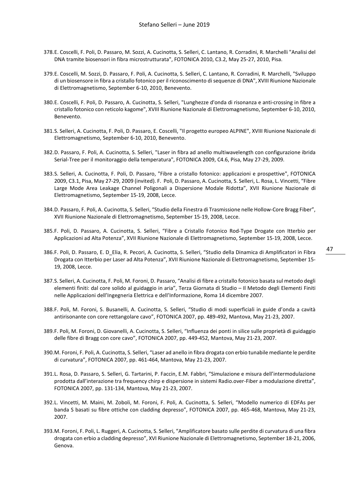- 378.E. Coscelli, F. Poli, D. Passaro, M. Sozzi, A. Cucinotta, S. Selleri, C. Lantano, R. Corradini, R. Marchelli "Analisi del DNA tramite biosensori in fibra microstrutturata", FOTONICA 2010, C3.2, May 25-27, 2010, Pisa.
- 379.E. Coscelli, M. Sozzi, D. Passaro, F. Poli, A. Cucinotta, S. Selleri, C. Lantano, R. Corradini, R. Marchelli, "Sviluppo di un biosensore in fibra a cristallo fotonico per il riconoscimento di sequenze di DNA", XVIII Riunione Nazionale di Elettromagnetismo, September 6-10, 2010, Benevento.
- 380.E. Coscelli, F. Poli, D. Passaro, A. Cucinotta, S. Selleri, "Lunghezze d'onda di risonanza e anti-crossing in fibre a cristallo fotonico con reticolo kagome", XVIII Riunione Nazionale di Elettromagnetismo, September 6-10, 2010, Benevento.
- 381.S. Selleri, A. Cucinotta, F. Poli, D. Passaro, E. Coscelli, "Il progetto europeo ALPINE", XVIII Riunione Nazionale di Elettromagnetismo, September 6-10, 2010, Benevento.
- 382.D. Passaro, F. Poli, A. Cucinotta, S. Selleri, "Laser in fibra ad anello multiwavelength con configurazione ibrida Serial-Tree per il monitoraggio della temperatura", FOTONICA 2009, C4.6, Pisa, May 27-29, 2009.
- 383.S. Selleri, A. Cucinotta, F. Poli, D. Passaro, "Fibre a cristallo fotonico: applicazioni e prospettive", FOTONICA 2009, C3.1, Pisa, May 27-29, 2009 (invited). F. Poli, D. Passaro, A. Cucinotta, S. Selleri, L. Rosa, L. Vincetti, "Fibre Large Mode Area Leakage Channel Poligonali a Dispersione Modale Ridotta", XVII Riunione Nazionale di Elettromagnetismo, September 15-19, 2008, Lecce.
- 384.D. Passaro, F. Poli, A. Cucinotta, S. Selleri, "Studio della Finestra di Trasmissione nelle Hollow-Core Bragg Fiber", XVII Riunione Nazionale di Elettromagnetismo, September 15-19, 2008, Lecce.
- 385.F. Poli, D. Passaro, A. Cucinotta, S. Selleri, "Fibre a Cristallo Fotonico Rod-Type Drogate con Itterbio per Applicazioni ad Alta Potenza", XVII Riunione Nazionale di Elettromagnetismo, September 15-19, 2008, Lecce.
- 386.F. Poli, D. Passaro, E. D\_Elia, R. Pecori, A. Cucinotta, S. Selleri, "Studio della Dinamica di Amplificatori in Fibra Drogata con Itterbio per Laser ad Alta Potenza", XVII Riunione Nazionale di Elettromagnetismo, September 15- 19, 2008, Lecce.
- 387.S. Selleri, A. Cucinotta, F. Poli, M. Foroni, D. Passaro, "Analisi di fibre a cristallo fotonico basata sul metodo degli elementi finiti: dal core solido al guidaggio in aria", Terza Giornata di Studio – Il Metodo degli Elementi Finiti nelle Applicazioni dell'Ingegneria Elettrica e dell'Informazione, Roma 14 dicembre 2007.
- 388.F. Poli, M. Foroni, S. Busanelli, A. Cucinotta, S. Selleri, "Studio di modi superficiali in guide d'onda a cavità antirisonante con core rettangolare cavo", FOTONICA 2007, pp. 489-492, Mantova, May 21-23, 2007.
- 389.F. Poli, M. Foroni, D. Giovanelli, A. Cucinotta, S. Selleri, "Influenza dei ponti in silice sulle proprietà di guidaggio delle fibre di Bragg con core cavo", FOTONICA 2007, pp. 449-452, Mantova, May 21-23, 2007.
- 390.M. Foroni, F. Poli, A. Cucinotta, S. Selleri, "Laser ad anello in fibra drogata con erbio tunabile mediante le perdite di curvatura", FOTONICA 2007, pp. 461-464, Mantova, May 21-23, 2007.
- 391.L. Rosa, D. Passaro, S. Selleri, G. Tartarini, P. Faccin, E.M. Fabbri, "Simulazione e misura dell'intermodulazione prodotta dall'interazione tra frequency chirp e dispersione in sistemi Radio.over-Fiber a modulazione diretta", FOTONICA 2007, pp. 131-134, Mantova, May 21-23, 2007.
- 392.L. Vincetti, M. Maini, M. Zoboli, M. Foroni, F. Poli, A. Cucinotta, S. Selleri, "Modello numerico di EDFAs per banda S basati su fibre ottiche con cladding depresso", FOTONICA 2007, pp. 465-468, Mantova, May 21-23, 2007.
- 393.M. Foroni, F. Poli, L. Ruggeri, A. Cucinotta, S. Selleri, "Amplificatore basato sulle perdite di curvatura di una fibra drogata con erbio a cladding depresso", XVI Riunione Nazionale di Elettromagnetismo, September 18-21, 2006, Genova.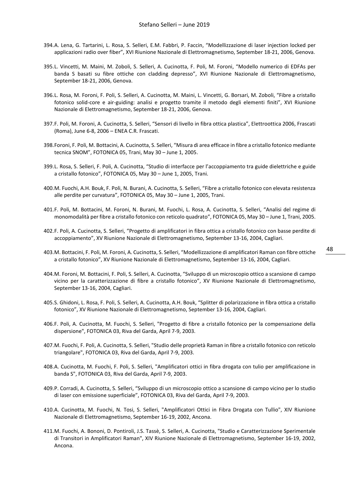- 394.A. Lena, G. Tartarini, L. Rosa, S. Selleri, E.M. Fabbri, P. Faccin, "Modellizzazione di laser injection locked per applicazioni radio over fiber", XVI Riunione Nazionale di Elettromagnetismo, September 18-21, 2006, Genova.
- 395.L. Vincetti, M. Maini, M. Zoboli, S. Selleri, A. Cucinotta, F. Poli, M. Foroni, "Modello numerico di EDFAs per banda S basati su fibre ottiche con cladding depresso", XVI Riunione Nazionale di Elettromagnetismo, September 18-21, 2006, Genova.
- 396.L. Rosa, M. Foroni, F. Poli, S. Selleri, A. Cucinotta, M. Maini, L. Vincetti, G. Borsari, M. Zoboli, "Fibre a cristallo fotonico solid-core e air-guiding: analisi e progetto tramite il metodo degli elementi finiti", XVI Riunione Nazionale di Elettromagnetismo, September 18-21, 2006, Genova.
- 397.F. Poli, M. Foroni, A. Cucinotta, S. Selleri, "Sensori di livello in fibra ottica plastica", Elettroottica 2006, Frascati (Roma), June 6-8, 2006 – ENEA C.R. Frascati.
- 398.Foroni, F. Poli, M. Bottacini, A. Cucinotta, S. Selleri, "Misura di area efficace in fibre a cristallo fotonico mediante tecnica SNOM", FOTONICA 05, Trani, May 30 – June 1, 2005.
- 399.L. Rosa, S. Selleri, F. Poli, A. Cucinotta, "Studio di interfacce per l'accoppiamento tra guide dielettriche e guide a cristallo fotonico", FOTONICA 05, May 30 – June 1, 2005, Trani.
- 400.M. Fuochi, A.H. Bouk, F. Poli, N. Burani, A. Cucinotta, S. Selleri, "Fibre a cristallo fotonico con elevata resistenza alle perdite per curvatura", FOTONICA 05, May 30 – June 1, 2005, Trani.
- 401.F. Poli, M. Bottacini, M. Foroni, N. Burani, M. Fuochi, L. Rosa, A. Cucinotta, S. Selleri, "Analisi del regime di monomodalità per fibre a cristallo fotonico con reticolo quadrato", FOTONICA 05, May 30 – June 1, Trani, 2005.
- 402.F. Poli, A. Cucinotta, S. Selleri, "Progetto di amplificatori in fibra ottica a cristallo fotonico con basse perdite di accoppiamento", XV Riunione Nazionale di Elettromagnetismo, September 13-16, 2004, Cagliari.
- 403.M. Bottacini, F. Poli, M. Foroni, A. Cucinotta, S. Selleri, "Modellizzazione di amplificatori Raman con fibre ottiche a cristallo fotonico", XV Riunione Nazionale di Elettromagnetismo, September 13-16, 2004, Cagliari.
- 404.M. Foroni, M. Bottacini, F. Poli, S. Selleri, A. Cucinotta, "Sviluppo di un microscopio ottico a scansione di campo vicino per la caratterizzazione di fibre a cristallo fotonico", XV Riunione Nazionale di Elettromagnetismo, September 13-16, 2004, Cagliari.
- 405.S. Ghidoni, L. Rosa, F. Poli, S. Selleri, A. Cucinotta, A.H. Bouk, "Splitter di polarizzazione in fibra ottica a cristallo fotonico", XV Riunione Nazionale di Elettromagnetismo, September 13-16, 2004, Cagliari.
- 406.F. Poli, A. Cucinotta, M. Fuochi, S. Selleri, "Progetto di fibre a cristallo fotonico per la compensazione della dispersione", FOTONICA 03, Riva del Garda, April 7-9, 2003.
- 407.M. Fuochi, F. Poli, A. Cucinotta, S. Selleri, "Studio delle proprietà Raman in fibre a cristallo fotonico con reticolo triangolare", FOTONICA 03, Riva del Garda, April 7-9, 2003.
- 408.A. Cucinotta, M. Fuochi, F. Poli, S. Selleri, "Amplificatori ottici in fibra drogata con tulio per amplificazione in banda S", FOTONICA 03, Riva del Garda, April 7-9, 2003.
- 409.P. Corradi, A. Cucinotta, S. Selleri, "Sviluppo di un microscopio ottico a scansione di campo vicino per lo studio di laser con emissione superficiale", FOTONICA 03, Riva del Garda, April 7-9, 2003.
- 410.A. Cucinotta, M. Fuochi, N. Tosi, S. Selleri, "Amplificatori Ottici in Fibra Drogata con Tullio", XIV Riunione Nazionale di Elettromagnetismo, September 16-19, 2002, Ancona.
- 411.M. Fuochi, A. Bononi, D. Pontiroli, J.S. Tassè, S. Selleri, A. Cucinotta, "Studio e Caratterizzazione Sperimentale di Transitori in Amplificatori Raman", XIV Riunione Nazionale di Elettromagnetismo, September 16-19, 2002, Ancona.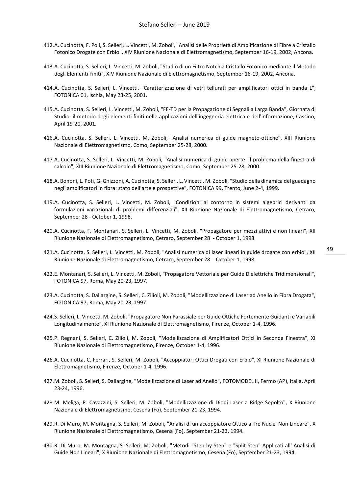- 412.A. Cucinotta, F. Poli, S. Selleri, L. Vincetti, M. Zoboli, "Analisi delle Proprietà di Amplificazione di Fibre a Cristallo Fotonico Drogate con Erbio", XIV Riunione Nazionale di Elettromagnetismo, September 16-19, 2002, Ancona.
- 413.A. Cucinotta, S. Selleri, L. Vincetti, M. Zoboli, "Studio di un Filtro Notch a Cristallo Fotonico mediante il Metodo degli Elementi Finiti", XIV Riunione Nazionale di Elettromagnetismo, September 16-19, 2002, Ancona.
- 414.A. Cucinotta, S. Selleri, L. Vincetti, "Caratterizzazione di vetri tellurati per amplificatori ottici in banda L", FOTONICA 01, Ischia, May 23-25, 2001.
- 415.A. Cucinotta, S. Selleri, L. Vincetti, M. Zoboli, "FE-TD per la Propagazione di Segnali a Larga Banda", Giornata di Studio: il metodo degli elementi finiti nelle applicazioni dell'ingegneria elettrica e dell'informazione, Cassino, April 19-20, 2001.
- 416.A. Cucinotta, S. Selleri, L. Vincetti, M. Zoboli, "Analisi numerica di guide magneto-ottiche", XIII Riunione Nazionale di Elettromagnetismo, Como, September 25-28, 2000.
- 417.A. Cucinotta, S. Selleri, L. Vincetti, M. Zoboli, "Analisi numerica di guide aperte: il problema della finestra di calcolo", XIII Riunione Nazionale di Elettromagnetismo, Como, September 25-28, 2000.
- 418.A. Bononi, L. Potì, G. Ghizzoni, A. Cucinotta, S. Selleri, L. Vincetti, M. Zoboli, "Studio della dinamica del guadagno negli amplificatori in fibra: stato dell'arte e prospettive", FOTONICA 99, Trento, June 2-4, 1999.
- 419.A. Cucinotta, S. Selleri, L. Vincetti, M. Zoboli, "Condizioni al contorno in sistemi algebrici derivanti da formulazioni variazionali di problemi differenziali", XII Riunione Nazionale di Elettromagnetismo, Cetraro, September 28 - October 1, 1998.
- 420.A. Cucinotta, F. Montanari, S. Selleri, L. Vincetti, M. Zoboli, "Propagatore per mezzi attivi e non lineari", XII Riunione Nazionale di Elettromagnetismo, Cetraro, September 28 - October 1, 1998.
- 421.A. Cucinotta, S. Selleri, L. Vincetti, M. Zoboli, "Analisi numerica di laser lineari in guide drogate con erbio", XII Riunione Nazionale di Elettromagnetismo, Cetraro, September 28 - October 1, 1998.
- 422.E. Montanari, S. Selleri, L. Vincetti, M. Zoboli, "Propagatore Vettoriale per Guide Dielettriche Tridimensionali", FOTONICA 97, Roma, May 20-23, 1997.
- 423.A. Cucinotta, S. Dallargine, S. Selleri, C. Zilioli, M. Zoboli, "Modellizzazione di Laser ad Anello in Fibra Drogata", FOTONICA 97, Roma, May 20-23, 1997.
- 424.S. Selleri, L. Vincetti, M. Zoboli, "Propagatore Non Parassiale per Guide Ottiche Fortemente Guidanti e Variabili Longitudinalmente", XI Riunione Nazionale di Elettromagnetismo, Firenze, October 1-4, 1996.
- 425.P. Regnani, S. Selleri, C. Zilioli, M. Zoboli, "Modellizzazione di Amplificatori Ottici in Seconda Finestra", XI Riunione Nazionale di Elettromagnetismo, Firenze, October 1-4, 1996.
- 426.A. Cucinotta, C. Ferrari, S. Selleri, M. Zoboli, "Accoppiatori Ottici Drogati con Erbio", XI Riunione Nazionale di Elettromagnetismo, Firenze, October 1-4, 1996.
- 427.M. Zoboli, S. Selleri, S. Dallargine, "Modellizzazione di Laser ad Anello", FOTOMODEL II, Fermo (AP), Italia, April 23-24, 1996.
- 428.M. Meliga, P. Cavazzini, S. Selleri, M. Zoboli, "Modellizzazione di Diodi Laser a Ridge Sepolto", X Riunione Nazionale di Elettromagnetismo, Cesena (Fo), September 21-23, 1994.
- 429.R. Di Muro, M. Montagna, S. Selleri, M. Zoboli, "Analisi di un accoppiatore Ottico a Tre Nuclei Non Lineare", X Riunione Nazionale di Elettromagnetismo, Cesena (Fo), September 21-23, 1994.
- 430.R. Di Muro, M. Montagna, S. Selleri, M. Zoboli, "Metodi "Step by Step" e "Split Step" Applicati all' Analisi di Guide Non Lineari", X Riunione Nazionale di Elettromagnetismo, Cesena (Fo), September 21-23, 1994.